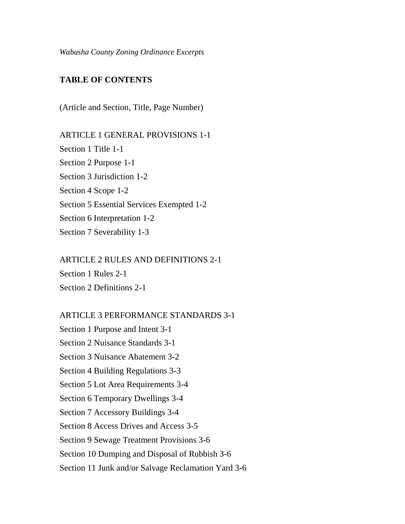*Wabasha County Zoning Ordinance Excerpts*

### **TABLE OF CONTENTS**

(Article and Section, Title, Page Number)

ARTICLE 1 GENERAL PROVISIONS 1-1 Section 1 Title 1-1 Section 2 Purpose 1-1 Section 3 Jurisdiction 1-2 Section 4 Scope 1-2 Section 5 Essential Services Exempted 1-2 Section 6 Interpretation 1-2 Section 7 Severability 1-3

### ARTICLE 2 RULES AND DEFINITIONS 2-1

Section 1 Rules 2-1

Section 2 Definitions 2-1

### ARTICLE 3 PERFORMANCE STANDARDS 3-1

Section 1 Purpose and Intent 3-1 Section 2 Nuisance Standards 3-1 Section 3 Nuisance Abatement 3-2 Section 4 Building Regulations 3-3 Section 5 Lot Area Requirements 3-4 Section 6 Temporary Dwellings 3-4 Section 7 Accessory Buildings 3-4 Section 8 Access Drives and Access 3-5 Section 9 Sewage Treatment Provisions 3-6 Section 10 Dumping and Disposal of Rubbish 3-6 Section 11 Junk and/or Salvage Reclamation Yard 3-6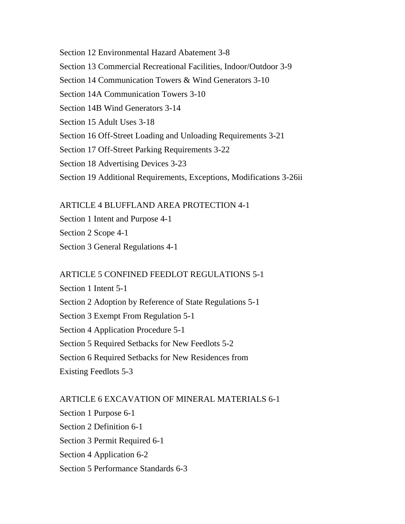Section 12 Environmental Hazard Abatement 3-8 Section 13 Commercial Recreational Facilities, Indoor/Outdoor 3-9 Section 14 Communication Towers & Wind Generators 3-10 Section 14A Communication Towers 3-10 Section 14B Wind Generators 3-14 Section 15 Adult Uses 3-18 Section 16 Off-Street Loading and Unloading Requirements 3-21 Section 17 Off-Street Parking Requirements 3-22 Section 18 Advertising Devices 3-23 Section 19 Additional Requirements, Exceptions, Modifications 3-26ii

ARTICLE 4 BLUFFLAND AREA PROTECTION 4-1

Section 1 Intent and Purpose 4-1 Section 2 Scope 4-1 Section 3 General Regulations 4-1

### ARTICLE 5 CONFINED FEEDLOT REGULATIONS 5-1

Section 1 Intent 5-1 Section 2 Adoption by Reference of State Regulations 5-1 Section 3 Exempt From Regulation 5-1 Section 4 Application Procedure 5-1 Section 5 Required Setbacks for New Feedlots 5-2 Section 6 Required Setbacks for New Residences from Existing Feedlots 5-3

ARTICLE 6 EXCAVATION OF MINERAL MATERIALS 6-1 Section 1 Purpose 6-1 Section 2 Definition 6-1 Section 3 Permit Required 6-1 Section 4 Application 6-2 Section 5 Performance Standards 6-3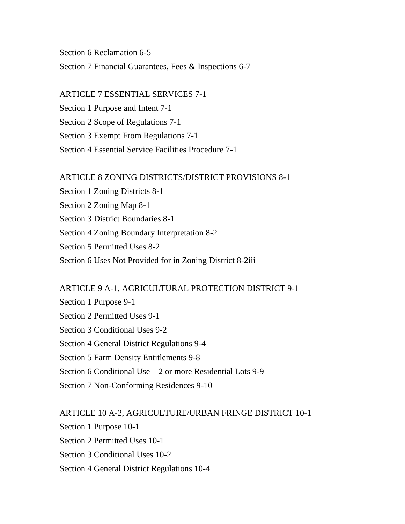Section 6 Reclamation 6-5 Section 7 Financial Guarantees, Fees & Inspections 6-7

ARTICLE 7 ESSENTIAL SERVICES 7-1 Section 1 Purpose and Intent 7-1 Section 2 Scope of Regulations 7-1 Section 3 Exempt From Regulations 7-1 Section 4 Essential Service Facilities Procedure 7-1

ARTICLE 8 ZONING DISTRICTS/DISTRICT PROVISIONS 8-1 Section 1 Zoning Districts 8-1 Section 2 Zoning Map 8-1 Section 3 District Boundaries 8-1 Section 4 Zoning Boundary Interpretation 8-2 Section 5 Permitted Uses 8-2 Section 6 Uses Not Provided for in Zoning District 8-2iii

#### ARTICLE 9 A-1, AGRICULTURAL PROTECTION DISTRICT 9-1

Section 1 Purpose 9-1 Section 2 Permitted Uses 9-1 Section 3 Conditional Uses 9-2 Section 4 General District Regulations 9-4 Section 5 Farm Density Entitlements 9-8 Section 6 Conditional Use – 2 or more Residential Lots 9-9 Section 7 Non-Conforming Residences 9-10

ARTICLE 10 A-2, AGRICULTURE/URBAN FRINGE DISTRICT 10-1 Section 1 Purpose 10-1 Section 2 Permitted Uses 10-1 Section 3 Conditional Uses 10-2 Section 4 General District Regulations 10-4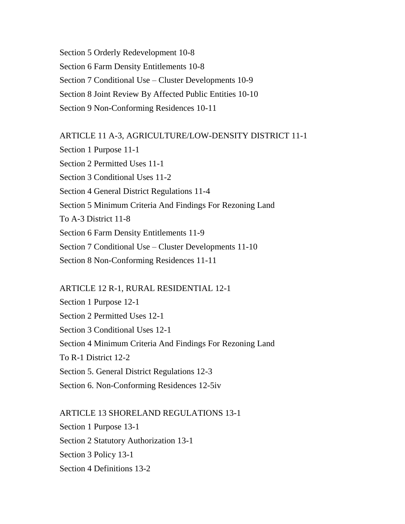Section 5 Orderly Redevelopment 10-8 Section 6 Farm Density Entitlements 10-8 Section 7 Conditional Use – Cluster Developments 10-9 Section 8 Joint Review By Affected Public Entities 10-10 Section 9 Non-Conforming Residences 10-11

ARTICLE 11 A-3, AGRICULTURE/LOW-DENSITY DISTRICT 11-1 Section 1 Purpose 11-1 Section 2 Permitted Uses 11-1 Section 3 Conditional Uses 11-2 Section 4 General District Regulations 11-4 Section 5 Minimum Criteria And Findings For Rezoning Land To A-3 District 11-8 Section 6 Farm Density Entitlements 11-9

Section 7 Conditional Use – Cluster Developments 11-10

Section 8 Non-Conforming Residences 11-11

ARTICLE 12 R-1, RURAL RESIDENTIAL 12-1

Section 1 Purpose 12-1 Section 2 Permitted Uses 12-1 Section 3 Conditional Uses 12-1 Section 4 Minimum Criteria And Findings For Rezoning Land To R-1 District 12-2 Section 5. General District Regulations 12-3 Section 6. Non-Conforming Residences 12-5iv

ARTICLE 13 SHORELAND REGULATIONS 13-1 Section 1 Purpose 13-1 Section 2 Statutory Authorization 13-1 Section 3 Policy 13-1 Section 4 Definitions 13-2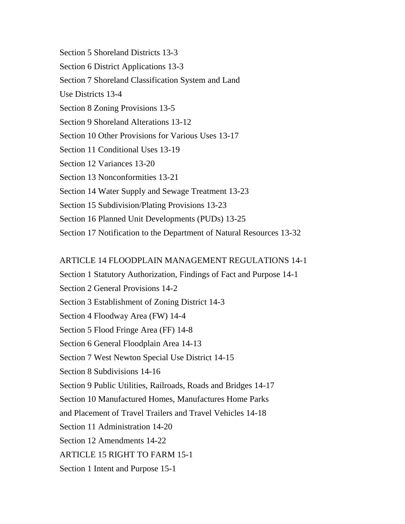Section 5 Shoreland Districts 13-3 Section 6 District Applications 13-3 Section 7 Shoreland Classification System and Land Use Districts 13-4 Section 8 Zoning Provisions 13-5 Section 9 Shoreland Alterations 13-12 Section 10 Other Provisions for Various Uses 13-17 Section 11 Conditional Uses 13-19 Section 12 Variances 13-20 Section 13 Nonconformities 13-21 Section 14 Water Supply and Sewage Treatment 13-23 Section 15 Subdivision/Plating Provisions 13-23 Section 16 Planned Unit Developments (PUDs) 13-25 Section 17 Notification to the Department of Natural Resources 13-32

### ARTICLE 14 FLOODPLAIN MANAGEMENT REGULATIONS 14-1

- Section 1 Statutory Authorization, Findings of Fact and Purpose 14-1
- Section 2 General Provisions 14-2
- Section 3 Establishment of Zoning District 14-3
- Section 4 Floodway Area (FW) 14-4
- Section 5 Flood Fringe Area (FF) 14-8
- Section 6 General Floodplain Area 14-13
- Section 7 West Newton Special Use District 14-15
- Section 8 Subdivisions 14-16
- Section 9 Public Utilities, Railroads, Roads and Bridges 14-17
- Section 10 Manufactured Homes, Manufactures Home Parks
- and Placement of Travel Trailers and Travel Vehicles 14-18
- Section 11 Administration 14-20
- Section 12 Amendments 14-22
- ARTICLE 15 RIGHT TO FARM 15-1
- Section 1 Intent and Purpose 15-1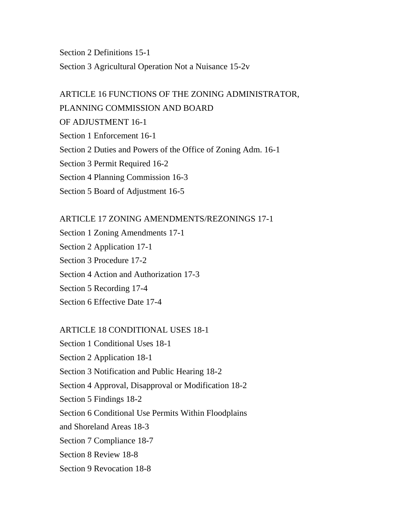Section 2 Definitions 15-1 Section 3 Agricultural Operation Not a Nuisance 15-2v

## ARTICLE 16 FUNCTIONS OF THE ZONING ADMINISTRATOR, PLANNING COMMISSION AND BOARD OF ADJUSTMENT 16-1 Section 1 Enforcement 16-1 Section 2 Duties and Powers of the Office of Zoning Adm. 16-1 Section 3 Permit Required 16-2 Section 4 Planning Commission 16-3 Section 5 Board of Adjustment 16-5

#### ARTICLE 17 ZONING AMENDMENTS/REZONINGS 17-1

Section 1 Zoning Amendments 17-1 Section 2 Application 17-1 Section 3 Procedure 17-2 Section 4 Action and Authorization 17-3 Section 5 Recording 17-4 Section 6 Effective Date 17-4

#### ARTICLE 18 CONDITIONAL USES 18-1

Section 9 Revocation 18-8

Section 1 Conditional Uses 18-1 Section 2 Application 18-1 Section 3 Notification and Public Hearing 18-2 Section 4 Approval, Disapproval or Modification 18-2 Section 5 Findings 18-2 Section 6 Conditional Use Permits Within Floodplains and Shoreland Areas 18-3 Section 7 Compliance 18-7 Section 8 Review 18-8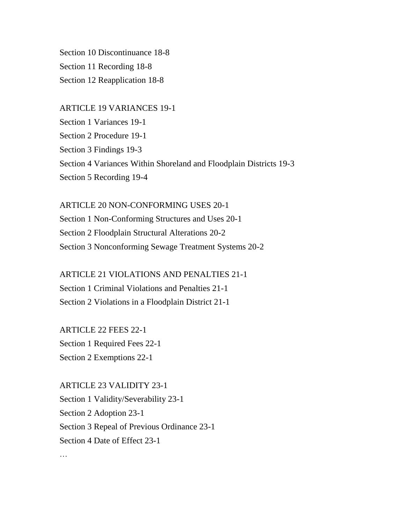Section 10 Discontinuance 18-8 Section 11 Recording 18-8 Section 12 Reapplication 18-8

ARTICLE 19 VARIANCES 19-1 Section 1 Variances 19-1 Section 2 Procedure 19-1 Section 3 Findings 19-3 Section 4 Variances Within Shoreland and Floodplain Districts 19-3 Section 5 Recording 19-4

ARTICLE 20 NON-CONFORMING USES 20-1 Section 1 Non-Conforming Structures and Uses 20-1 Section 2 Floodplain Structural Alterations 20-2 Section 3 Nonconforming Sewage Treatment Systems 20-2

ARTICLE 21 VIOLATIONS AND PENALTIES 21-1 Section 1 Criminal Violations and Penalties 21-1 Section 2 Violations in a Floodplain District 21-1

ARTICLE 22 FEES 22-1 Section 1 Required Fees 22-1 Section 2 Exemptions 22-1

…

ARTICLE 23 VALIDITY 23-1 Section 1 Validity/Severability 23-1 Section 2 Adoption 23-1 Section 3 Repeal of Previous Ordinance 23-1 Section 4 Date of Effect 23-1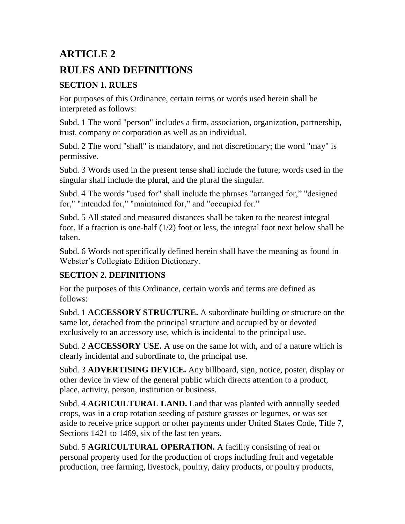# **ARTICLE 2 RULES AND DEFINITIONS**

## **SECTION 1. RULES**

For purposes of this Ordinance, certain terms or words used herein shall be interpreted as follows:

Subd. 1 The word "person" includes a firm, association, organization, partnership, trust, company or corporation as well as an individual.

Subd. 2 The word "shall" is mandatory, and not discretionary; the word "may" is permissive.

Subd. 3 Words used in the present tense shall include the future; words used in the singular shall include the plural, and the plural the singular.

Subd. 4 The words "used for" shall include the phrases "arranged for," "designed for," "intended for," "maintained for," and "occupied for."

Subd. 5 All stated and measured distances shall be taken to the nearest integral foot. If a fraction is one-half (1/2) foot or less, the integral foot next below shall be taken.

Subd. 6 Words not specifically defined herein shall have the meaning as found in Webster's Collegiate Edition Dictionary.

## **SECTION 2. DEFINITIONS**

For the purposes of this Ordinance, certain words and terms are defined as follows:

Subd. 1 **ACCESSORY STRUCTURE.** A subordinate building or structure on the same lot, detached from the principal structure and occupied by or devoted exclusively to an accessory use, which is incidental to the principal use.

Subd. 2 **ACCESSORY USE.** A use on the same lot with, and of a nature which is clearly incidental and subordinate to, the principal use.

Subd. 3 **ADVERTISING DEVICE.** Any billboard, sign, notice, poster, display or other device in view of the general public which directs attention to a product, place, activity, person, institution or business.

Subd. 4 **AGRICULTURAL LAND.** Land that was planted with annually seeded crops, was in a crop rotation seeding of pasture grasses or legumes, or was set aside to receive price support or other payments under United States Code, Title 7, Sections 1421 to 1469, six of the last ten years.

Subd. 5 **AGRICULTURAL OPERATION.** A facility consisting of real or personal property used for the production of crops including fruit and vegetable production, tree farming, livestock, poultry, dairy products, or poultry products,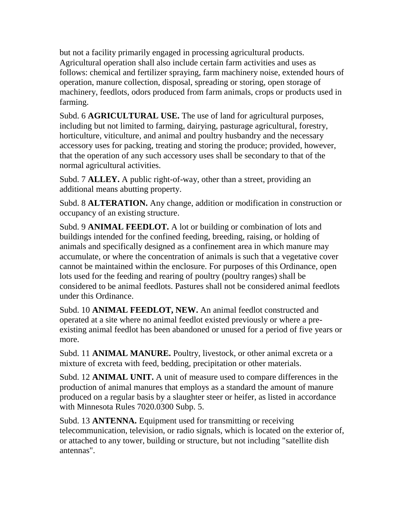but not a facility primarily engaged in processing agricultural products. Agricultural operation shall also include certain farm activities and uses as follows: chemical and fertilizer spraying, farm machinery noise, extended hours of operation, manure collection, disposal, spreading or storing, open storage of machinery, feedlots, odors produced from farm animals, crops or products used in farming.

Subd. 6 **AGRICULTURAL USE.** The use of land for agricultural purposes, including but not limited to farming, dairying, pasturage agricultural, forestry, horticulture, viticulture, and animal and poultry husbandry and the necessary accessory uses for packing, treating and storing the produce; provided, however, that the operation of any such accessory uses shall be secondary to that of the normal agricultural activities.

Subd. 7 **ALLEY.** A public right-of-way, other than a street, providing an additional means abutting property.

Subd. 8 **ALTERATION.** Any change, addition or modification in construction or occupancy of an existing structure.

Subd. 9 **ANIMAL FEEDLOT.** A lot or building or combination of lots and buildings intended for the confined feeding, breeding, raising, or holding of animals and specifically designed as a confinement area in which manure may accumulate, or where the concentration of animals is such that a vegetative cover cannot be maintained within the enclosure. For purposes of this Ordinance, open lots used for the feeding and rearing of poultry (poultry ranges) shall be considered to be animal feedlots. Pastures shall not be considered animal feedlots under this Ordinance.

Subd. 10 **ANIMAL FEEDLOT, NEW.** An animal feedlot constructed and operated at a site where no animal feedlot existed previously or where a preexisting animal feedlot has been abandoned or unused for a period of five years or more.

Subd. 11 **ANIMAL MANURE.** Poultry, livestock, or other animal excreta or a mixture of excreta with feed, bedding, precipitation or other materials.

Subd. 12 **ANIMAL UNIT.** A unit of measure used to compare differences in the production of animal manures that employs as a standard the amount of manure produced on a regular basis by a slaughter steer or heifer, as listed in accordance with Minnesota Rules 7020.0300 Subp. 5.

Subd. 13 **ANTENNA.** Equipment used for transmitting or receiving telecommunication, television, or radio signals, which is located on the exterior of, or attached to any tower, building or structure, but not including "satellite dish antennas".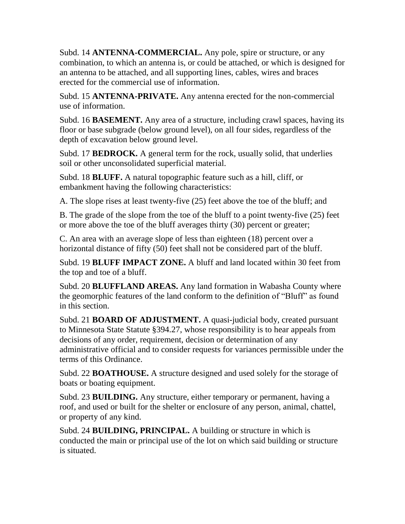Subd. 14 **ANTENNA-COMMERCIAL.** Any pole, spire or structure, or any combination, to which an antenna is, or could be attached, or which is designed for an antenna to be attached, and all supporting lines, cables, wires and braces erected for the commercial use of information.

Subd. 15 **ANTENNA-PRIVATE.** Any antenna erected for the non-commercial use of information.

Subd. 16 **BASEMENT.** Any area of a structure, including crawl spaces, having its floor or base subgrade (below ground level), on all four sides, regardless of the depth of excavation below ground level.

Subd. 17 **BEDROCK.** A general term for the rock, usually solid, that underlies soil or other unconsolidated superficial material.

Subd. 18 **BLUFF.** A natural topographic feature such as a hill, cliff, or embankment having the following characteristics:

A. The slope rises at least twenty-five (25) feet above the toe of the bluff; and

B. The grade of the slope from the toe of the bluff to a point twenty-five (25) feet or more above the toe of the bluff averages thirty (30) percent or greater;

C. An area with an average slope of less than eighteen (18) percent over a horizontal distance of fifty (50) feet shall not be considered part of the bluff.

Subd. 19 **BLUFF IMPACT ZONE.** A bluff and land located within 30 feet from the top and toe of a bluff.

Subd. 20 **BLUFFLAND AREAS.** Any land formation in Wabasha County where the geomorphic features of the land conform to the definition of "Bluff" as found in this section.

Subd. 21 **BOARD OF ADJUSTMENT.** A quasi-judicial body, created pursuant to Minnesota State Statute §394.27, whose responsibility is to hear appeals from decisions of any order, requirement, decision or determination of any administrative official and to consider requests for variances permissible under the terms of this Ordinance.

Subd. 22 **BOATHOUSE.** A structure designed and used solely for the storage of boats or boating equipment.

Subd. 23 **BUILDING.** Any structure, either temporary or permanent, having a roof, and used or built for the shelter or enclosure of any person, animal, chattel, or property of any kind.

Subd. 24 **BUILDING, PRINCIPAL.** A building or structure in which is conducted the main or principal use of the lot on which said building or structure is situated.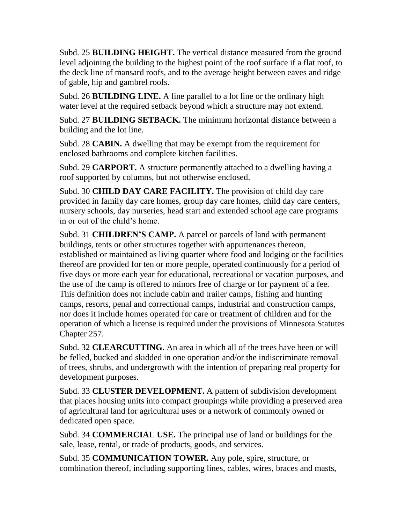Subd. 25 **BUILDING HEIGHT.** The vertical distance measured from the ground level adjoining the building to the highest point of the roof surface if a flat roof, to the deck line of mansard roofs, and to the average height between eaves and ridge of gable, hip and gambrel roofs.

Subd. 26 **BUILDING LINE.** A line parallel to a lot line or the ordinary high water level at the required setback beyond which a structure may not extend.

Subd. 27 **BUILDING SETBACK.** The minimum horizontal distance between a building and the lot line.

Subd. 28 **CABIN.** A dwelling that may be exempt from the requirement for enclosed bathrooms and complete kitchen facilities.

Subd. 29 **CARPORT.** A structure permanently attached to a dwelling having a roof supported by columns, but not otherwise enclosed.

Subd. 30 **CHILD DAY CARE FACILITY.** The provision of child day care provided in family day care homes, group day care homes, child day care centers, nursery schools, day nurseries, head start and extended school age care programs in or out of the child's home.

Subd. 31 **CHILDREN'S CAMP.** A parcel or parcels of land with permanent buildings, tents or other structures together with appurtenances thereon, established or maintained as living quarter where food and lodging or the facilities thereof are provided for ten or more people, operated continuously for a period of five days or more each year for educational, recreational or vacation purposes, and the use of the camp is offered to minors free of charge or for payment of a fee. This definition does not include cabin and trailer camps, fishing and hunting camps, resorts, penal and correctional camps, industrial and construction camps, nor does it include homes operated for care or treatment of children and for the operation of which a license is required under the provisions of Minnesota Statutes Chapter 257.

Subd. 32 **CLEARCUTTING.** An area in which all of the trees have been or will be felled, bucked and skidded in one operation and/or the indiscriminate removal of trees, shrubs, and undergrowth with the intention of preparing real property for development purposes.

Subd. 33 **CLUSTER DEVELOPMENT.** A pattern of subdivision development that places housing units into compact groupings while providing a preserved area of agricultural land for agricultural uses or a network of commonly owned or dedicated open space.

Subd. 34 **COMMERCIAL USE.** The principal use of land or buildings for the sale, lease, rental, or trade of products, goods, and services.

Subd. 35 **COMMUNICATION TOWER.** Any pole, spire, structure, or combination thereof, including supporting lines, cables, wires, braces and masts,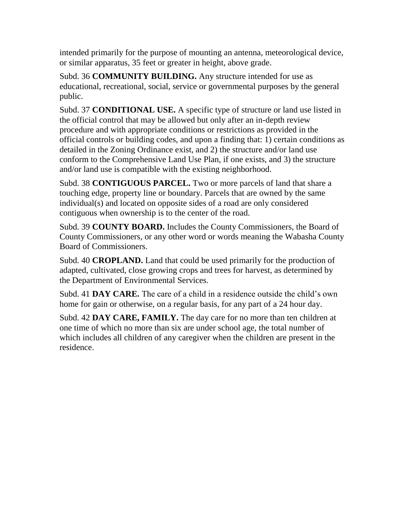intended primarily for the purpose of mounting an antenna, meteorological device, or similar apparatus, 35 feet or greater in height, above grade.

Subd. 36 **COMMUNITY BUILDING.** Any structure intended for use as educational, recreational, social, service or governmental purposes by the general public.

Subd. 37 **CONDITIONAL USE.** A specific type of structure or land use listed in the official control that may be allowed but only after an in-depth review procedure and with appropriate conditions or restrictions as provided in the official controls or building codes, and upon a finding that: 1) certain conditions as detailed in the Zoning Ordinance exist, and 2) the structure and/or land use conform to the Comprehensive Land Use Plan, if one exists, and 3) the structure and/or land use is compatible with the existing neighborhood.

Subd. 38 **CONTIGUOUS PARCEL.** Two or more parcels of land that share a touching edge, property line or boundary. Parcels that are owned by the same individual(s) and located on opposite sides of a road are only considered contiguous when ownership is to the center of the road.

Subd. 39 **COUNTY BOARD.** Includes the County Commissioners, the Board of County Commissioners, or any other word or words meaning the Wabasha County Board of Commissioners.

Subd. 40 **CROPLAND.** Land that could be used primarily for the production of adapted, cultivated, close growing crops and trees for harvest, as determined by the Department of Environmental Services.

Subd. 41 **DAY CARE.** The care of a child in a residence outside the child's own home for gain or otherwise, on a regular basis, for any part of a 24 hour day.

Subd. 42 **DAY CARE, FAMILY.** The day care for no more than ten children at one time of which no more than six are under school age, the total number of which includes all children of any caregiver when the children are present in the residence.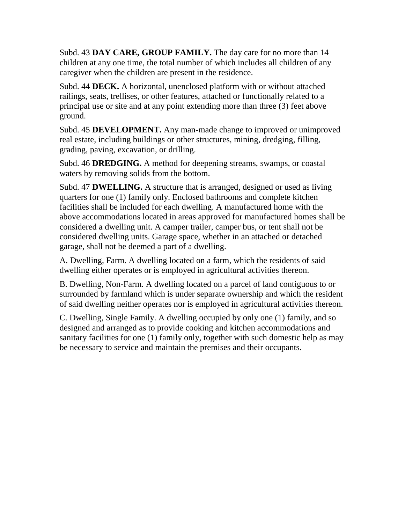Subd. 43 **DAY CARE, GROUP FAMILY.** The day care for no more than 14 children at any one time, the total number of which includes all children of any caregiver when the children are present in the residence.

Subd. 44 **DECK.** A horizontal, unenclosed platform with or without attached railings, seats, trellises, or other features, attached or functionally related to a principal use or site and at any point extending more than three (3) feet above ground.

Subd. 45 **DEVELOPMENT.** Any man-made change to improved or unimproved real estate, including buildings or other structures, mining, dredging, filling, grading, paving, excavation, or drilling.

Subd. 46 **DREDGING.** A method for deepening streams, swamps, or coastal waters by removing solids from the bottom.

Subd. 47 **DWELLING.** A structure that is arranged, designed or used as living quarters for one (1) family only. Enclosed bathrooms and complete kitchen facilities shall be included for each dwelling. A manufactured home with the above accommodations located in areas approved for manufactured homes shall be considered a dwelling unit. A camper trailer, camper bus, or tent shall not be considered dwelling units. Garage space, whether in an attached or detached garage, shall not be deemed a part of a dwelling.

A. Dwelling, Farm. A dwelling located on a farm, which the residents of said dwelling either operates or is employed in agricultural activities thereon.

B. Dwelling, Non-Farm. A dwelling located on a parcel of land contiguous to or surrounded by farmland which is under separate ownership and which the resident of said dwelling neither operates nor is employed in agricultural activities thereon.

C. Dwelling, Single Family. A dwelling occupied by only one (1) family, and so designed and arranged as to provide cooking and kitchen accommodations and sanitary facilities for one (1) family only, together with such domestic help as may be necessary to service and maintain the premises and their occupants.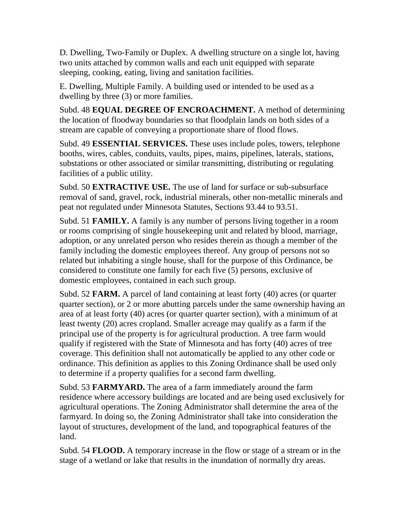D. Dwelling, Two-Family or Duplex. A dwelling structure on a single lot, having two units attached by common walls and each unit equipped with separate sleeping, cooking, eating, living and sanitation facilities.

E. Dwelling, Multiple Family. A building used or intended to be used as a dwelling by three (3) or more families.

Subd. 48 **EQUAL DEGREE OF ENCROACHMENT.** A method of determining the location of floodway boundaries so that floodplain lands on both sides of a stream are capable of conveying a proportionate share of flood flows.

Subd. 49 **ESSENTIAL SERVICES.** These uses include poles, towers, telephone booths, wires, cables, conduits, vaults, pipes, mains, pipelines, laterals, stations, substations or other associated or similar transmitting, distributing or regulating facilities of a public utility.

Subd. 50 **EXTRACTIVE USE.** The use of land for surface or sub-subsurface removal of sand, gravel, rock, industrial minerals, other non-metallic minerals and peat not regulated under Minnesota Statutes, Sections 93.44 to 93.51.

Subd. 51 **FAMILY.** A family is any number of persons living together in a room or rooms comprising of single housekeeping unit and related by blood, marriage, adoption, or any unrelated person who resides therein as though a member of the family including the domestic employees thereof. Any group of persons not so related but inhabiting a single house, shall for the purpose of this Ordinance, be considered to constitute one family for each five (5) persons, exclusive of domestic employees, contained in each such group.

Subd. 52 **FARM.** A parcel of land containing at least forty (40) acres (or quarter quarter section), or 2 or more abutting parcels under the same ownership having an area of at least forty (40) acres (or quarter quarter section), with a minimum of at least twenty (20) acres cropland. Smaller acreage may qualify as a farm if the principal use of the property is for agricultural production. A tree farm would qualify if registered with the State of Minnesota and has forty (40) acres of tree coverage. This definition shall not automatically be applied to any other code or ordinance. This definition as applies to this Zoning Ordinance shall be used only to determine if a property qualifies for a second farm dwelling.

Subd. 53 **FARMYARD.** The area of a farm immediately around the farm residence where accessory buildings are located and are being used exclusively for agricultural operations. The Zoning Administrator shall determine the area of the farmyard. In doing so, the Zoning Administrator shall take into consideration the layout of structures, development of the land, and topographical features of the land.

Subd. 54 **FLOOD.** A temporary increase in the flow or stage of a stream or in the stage of a wetland or lake that results in the inundation of normally dry areas.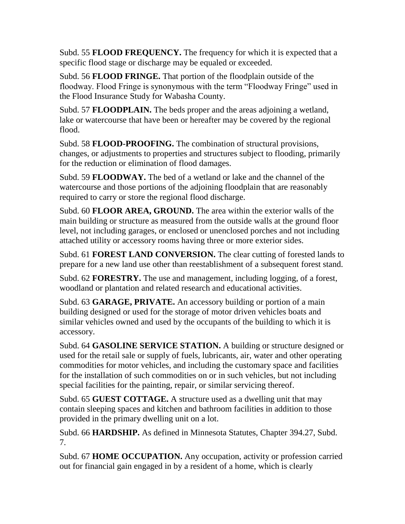Subd. 55 **FLOOD FREQUENCY.** The frequency for which it is expected that a specific flood stage or discharge may be equaled or exceeded.

Subd. 56 **FLOOD FRINGE.** That portion of the floodplain outside of the floodway. Flood Fringe is synonymous with the term "Floodway Fringe" used in the Flood Insurance Study for Wabasha County.

Subd. 57 **FLOODPLAIN.** The beds proper and the areas adjoining a wetland, lake or watercourse that have been or hereafter may be covered by the regional flood.

Subd. 58 **FLOOD-PROOFING.** The combination of structural provisions, changes, or adjustments to properties and structures subject to flooding, primarily for the reduction or elimination of flood damages.

Subd. 59 **FLOODWAY.** The bed of a wetland or lake and the channel of the watercourse and those portions of the adjoining floodplain that are reasonably required to carry or store the regional flood discharge.

Subd. 60 **FLOOR AREA, GROUND.** The area within the exterior walls of the main building or structure as measured from the outside walls at the ground floor level, not including garages, or enclosed or unenclosed porches and not including attached utility or accessory rooms having three or more exterior sides.

Subd. 61 **FOREST LAND CONVERSION.** The clear cutting of forested lands to prepare for a new land use other than reestablishment of a subsequent forest stand.

Subd. 62 **FORESTRY.** The use and management, including logging, of a forest, woodland or plantation and related research and educational activities.

Subd. 63 **GARAGE, PRIVATE.** An accessory building or portion of a main building designed or used for the storage of motor driven vehicles boats and similar vehicles owned and used by the occupants of the building to which it is accessory.

Subd. 64 **GASOLINE SERVICE STATION.** A building or structure designed or used for the retail sale or supply of fuels, lubricants, air, water and other operating commodities for motor vehicles, and including the customary space and facilities for the installation of such commodities on or in such vehicles, but not including special facilities for the painting, repair, or similar servicing thereof.

Subd. 65 **GUEST COTTAGE.** A structure used as a dwelling unit that may contain sleeping spaces and kitchen and bathroom facilities in addition to those provided in the primary dwelling unit on a lot.

Subd. 66 **HARDSHIP.** As defined in Minnesota Statutes, Chapter 394.27, Subd. 7.

Subd. 67 **HOME OCCUPATION.** Any occupation, activity or profession carried out for financial gain engaged in by a resident of a home, which is clearly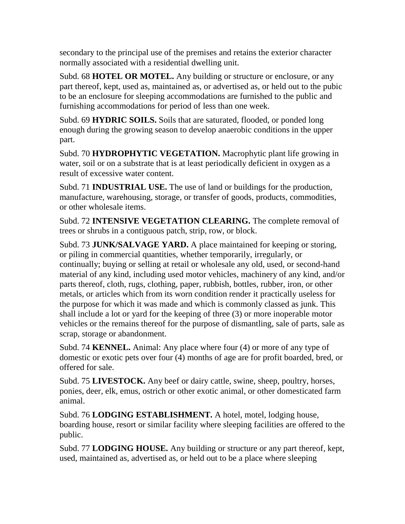secondary to the principal use of the premises and retains the exterior character normally associated with a residential dwelling unit.

Subd. 68 **HOTEL OR MOTEL.** Any building or structure or enclosure, or any part thereof, kept, used as, maintained as, or advertised as, or held out to the pubic to be an enclosure for sleeping accommodations are furnished to the public and furnishing accommodations for period of less than one week.

Subd. 69 **HYDRIC SOILS.** Soils that are saturated, flooded, or ponded long enough during the growing season to develop anaerobic conditions in the upper part.

Subd. 70 **HYDROPHYTIC VEGETATION.** Macrophytic plant life growing in water, soil or on a substrate that is at least periodically deficient in oxygen as a result of excessive water content.

Subd. 71 **INDUSTRIAL USE.** The use of land or buildings for the production, manufacture, warehousing, storage, or transfer of goods, products, commodities, or other wholesale items.

Subd. 72 **INTENSIVE VEGETATION CLEARING.** The complete removal of trees or shrubs in a contiguous patch, strip, row, or block.

Subd. 73 **JUNK/SALVAGE YARD.** A place maintained for keeping or storing, or piling in commercial quantities, whether temporarily, irregularly, or continually; buying or selling at retail or wholesale any old, used, or second-hand material of any kind, including used motor vehicles, machinery of any kind, and/or parts thereof, cloth, rugs, clothing, paper, rubbish, bottles, rubber, iron, or other metals, or articles which from its worn condition render it practically useless for the purpose for which it was made and which is commonly classed as junk. This shall include a lot or yard for the keeping of three (3) or more inoperable motor vehicles or the remains thereof for the purpose of dismantling, sale of parts, sale as scrap, storage or abandonment.

Subd. 74 **KENNEL.** Animal: Any place where four (4) or more of any type of domestic or exotic pets over four (4) months of age are for profit boarded, bred, or offered for sale.

Subd. 75 **LIVESTOCK.** Any beef or dairy cattle, swine, sheep, poultry, horses, ponies, deer, elk, emus, ostrich or other exotic animal, or other domesticated farm animal.

Subd. 76 **LODGING ESTABLISHMENT.** A hotel, motel, lodging house, boarding house, resort or similar facility where sleeping facilities are offered to the public.

Subd. 77 **LODGING HOUSE.** Any building or structure or any part thereof, kept, used, maintained as, advertised as, or held out to be a place where sleeping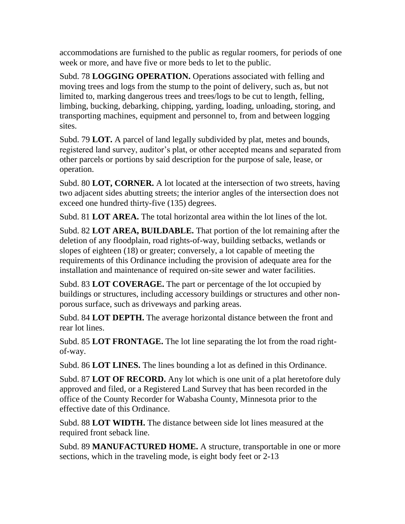accommodations are furnished to the public as regular roomers, for periods of one week or more, and have five or more beds to let to the public.

Subd. 78 **LOGGING OPERATION.** Operations associated with felling and moving trees and logs from the stump to the point of delivery, such as, but not limited to, marking dangerous trees and trees/logs to be cut to length, felling, limbing, bucking, debarking, chipping, yarding, loading, unloading, storing, and transporting machines, equipment and personnel to, from and between logging sites.

Subd. 79 **LOT.** A parcel of land legally subdivided by plat, metes and bounds, registered land survey, auditor's plat, or other accepted means and separated from other parcels or portions by said description for the purpose of sale, lease, or operation.

Subd. 80 **LOT, CORNER.** A lot located at the intersection of two streets, having two adjacent sides abutting streets; the interior angles of the intersection does not exceed one hundred thirty-five (135) degrees.

Subd. 81 **LOT AREA.** The total horizontal area within the lot lines of the lot.

Subd. 82 **LOT AREA, BUILDABLE.** That portion of the lot remaining after the deletion of any floodplain, road rights-of-way, building setbacks, wetlands or slopes of eighteen (18) or greater; conversely, a lot capable of meeting the requirements of this Ordinance including the provision of adequate area for the installation and maintenance of required on-site sewer and water facilities.

Subd. 83 **LOT COVERAGE.** The part or percentage of the lot occupied by buildings or structures, including accessory buildings or structures and other nonporous surface, such as driveways and parking areas.

Subd. 84 **LOT DEPTH.** The average horizontal distance between the front and rear lot lines.

Subd. 85 **LOT FRONTAGE.** The lot line separating the lot from the road rightof-way.

Subd. 86 **LOT LINES.** The lines bounding a lot as defined in this Ordinance.

Subd. 87 **LOT OF RECORD.** Any lot which is one unit of a plat heretofore duly approved and filed, or a Registered Land Survey that has been recorded in the office of the County Recorder for Wabasha County, Minnesota prior to the effective date of this Ordinance.

Subd. 88 **LOT WIDTH.** The distance between side lot lines measured at the required front seback line.

Subd. 89 **MANUFACTURED HOME.** A structure, transportable in one or more sections, which in the traveling mode, is eight body feet or 2-13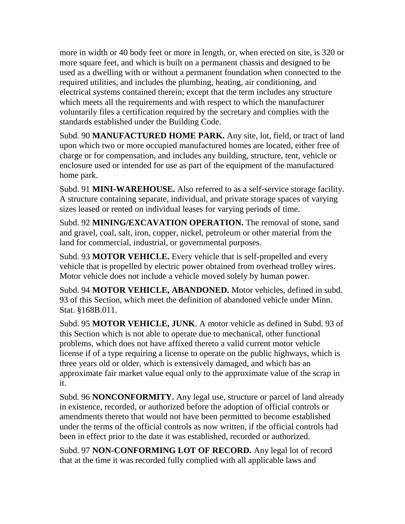more in width or 40 body feet or more in length, or, when erected on site, is 320 or more square feet, and which is built on a permanent chassis and designed to be used as a dwelling with or without a permanent foundation when connected to the required utilities, and includes the plumbing, heating, air conditioning, and electrical systems contained therein; except that the term includes any structure which meets all the requirements and with respect to which the manufacturer voluntarily files a certification required by the secretary and complies with the standards established under the Building Code.

Subd. 90 **MANUFACTURED HOME PARK.** Any site, lot, field, or tract of land upon which two or more occupied manufactured homes are located, either free of charge or for compensation, and includes any building, structure, tent, vehicle or enclosure used or intended for use as part of the equipment of the manufactured home park.

Subd. 91 **MINI-WAREHOUSE.** Also referred to as a self-service storage facility. A structure containing separate, individual, and private storage spaces of varying sizes leased or rented on individual leases for varying periods of time.

Subd. 92 **MINING/EXCAVATION OPERATION.** The removal of stone, sand and gravel, coal, salt, iron, copper, nickel, petroleum or other material from the land for commercial, industrial, or governmental purposes.

Subd. 93 **MOTOR VEHICLE.** Every vehicle that is self-propelled and every vehicle that is propelled by electric power obtained from overhead trolley wires. Motor vehicle does not include a vehicle moved solely by human power.

Subd. 94 **MOTOR VEHICLE, ABANDONED.** Motor vehicles, defined in subd. 93 of this Section, which meet the definition of abandoned vehicle under Minn. Stat. §168B.011.

Subd. 95 **MOTOR VEHICLE, JUNK**. A motor vehicle as defined in Subd. 93 of this Section which is not able to operate due to mechanical, other functional problems, which does not have affixed thereto a valid current motor vehicle license if of a type requiring a license to operate on the public highways, which is three years old or older, which is extensively damaged, and which has an approximate fair market value equal only to the approximate value of the scrap in it.

Subd. 96 **NONCONFORMITY.** Any legal use, structure or parcel of land already in existence, recorded, or authorized before the adoption of official controls or amendments thereto that would not have been permitted to become established under the terms of the official controls as now written, if the official controls had been in effect prior to the date it was established, recorded or authorized.

Subd. 97 **NON-CONFORMING LOT OF RECORD.** Any legal lot of record that at the time it was recorded fully complied with all applicable laws and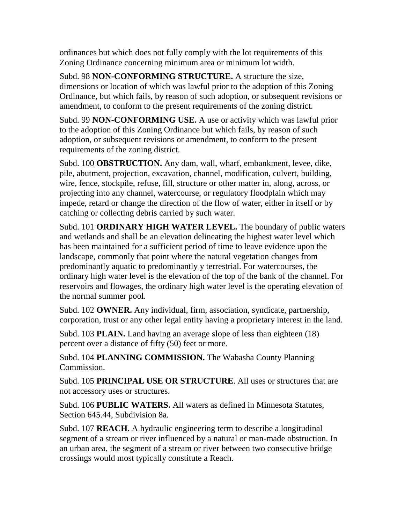ordinances but which does not fully comply with the lot requirements of this Zoning Ordinance concerning minimum area or minimum lot width.

Subd. 98 **NON-CONFORMING STRUCTURE.** A structure the size, dimensions or location of which was lawful prior to the adoption of this Zoning Ordinance, but which fails, by reason of such adoption, or subsequent revisions or amendment, to conform to the present requirements of the zoning district.

Subd. 99 **NON-CONFORMING USE.** A use or activity which was lawful prior to the adoption of this Zoning Ordinance but which fails, by reason of such adoption, or subsequent revisions or amendment, to conform to the present requirements of the zoning district.

Subd. 100 **OBSTRUCTION.** Any dam, wall, wharf, embankment, levee, dike, pile, abutment, projection, excavation, channel, modification, culvert, building, wire, fence, stockpile, refuse, fill, structure or other matter in, along, across, or projecting into any channel, watercourse, or regulatory floodplain which may impede, retard or change the direction of the flow of water, either in itself or by catching or collecting debris carried by such water.

Subd. 101 **ORDINARY HIGH WATER LEVEL.** The boundary of public waters and wetlands and shall be an elevation delineating the highest water level which has been maintained for a sufficient period of time to leave evidence upon the landscape, commonly that point where the natural vegetation changes from predominantly aquatic to predominantly y terrestrial. For watercourses, the ordinary high water level is the elevation of the top of the bank of the channel. For reservoirs and flowages, the ordinary high water level is the operating elevation of the normal summer pool.

Subd. 102 **OWNER.** Any individual, firm, association, syndicate, partnership, corporation, trust or any other legal entity having a proprietary interest in the land.

Subd. 103 **PLAIN.** Land having an average slope of less than eighteen (18) percent over a distance of fifty (50) feet or more.

Subd. 104 **PLANNING COMMISSION.** The Wabasha County Planning Commission.

Subd. 105 **PRINCIPAL USE OR STRUCTURE**. All uses or structures that are not accessory uses or structures.

Subd. 106 **PUBLIC WATERS.** All waters as defined in Minnesota Statutes, Section 645.44, Subdivision 8a.

Subd. 107 **REACH.** A hydraulic engineering term to describe a longitudinal segment of a stream or river influenced by a natural or man-made obstruction. In an urban area, the segment of a stream or river between two consecutive bridge crossings would most typically constitute a Reach.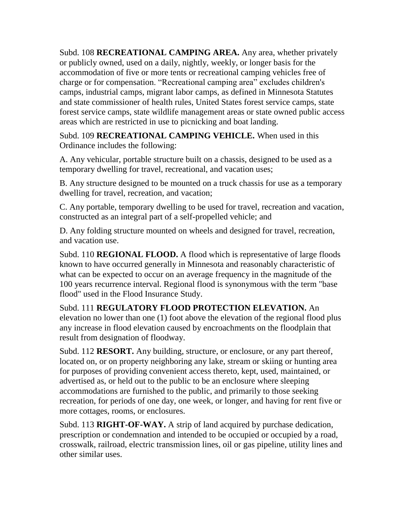Subd. 108 **RECREATIONAL CAMPING AREA.** Any area, whether privately or publicly owned, used on a daily, nightly, weekly, or longer basis for the accommodation of five or more tents or recreational camping vehicles free of charge or for compensation. "Recreational camping area" excludes children's camps, industrial camps, migrant labor camps, as defined in Minnesota Statutes and state commissioner of health rules, United States forest service camps, state forest service camps, state wildlife management areas or state owned public access areas which are restricted in use to picnicking and boat landing.

Subd. 109 **RECREATIONAL CAMPING VEHICLE.** When used in this Ordinance includes the following:

A. Any vehicular, portable structure built on a chassis, designed to be used as a temporary dwelling for travel, recreational, and vacation uses;

B. Any structure designed to be mounted on a truck chassis for use as a temporary dwelling for travel, recreation, and vacation;

C. Any portable, temporary dwelling to be used for travel, recreation and vacation, constructed as an integral part of a self-propelled vehicle; and

D. Any folding structure mounted on wheels and designed for travel, recreation, and vacation use.

Subd. 110 **REGIONAL FLOOD.** A flood which is representative of large floods known to have occurred generally in Minnesota and reasonably characteristic of what can be expected to occur on an average frequency in the magnitude of the 100 years recurrence interval. Regional flood is synonymous with the term "base flood" used in the Flood Insurance Study.

Subd. 111 **REGULATORY FLOOD PROTECTION ELEVATION.** An elevation no lower than one (1) foot above the elevation of the regional flood plus any increase in flood elevation caused by encroachments on the floodplain that result from designation of floodway.

Subd. 112 **RESORT.** Any building, structure, or enclosure, or any part thereof, located on, or on property neighboring any lake, stream or skiing or hunting area for purposes of providing convenient access thereto, kept, used, maintained, or advertised as, or held out to the public to be an enclosure where sleeping accommodations are furnished to the public, and primarily to those seeking recreation, for periods of one day, one week, or longer, and having for rent five or more cottages, rooms, or enclosures.

Subd. 113 **RIGHT-OF-WAY.** A strip of land acquired by purchase dedication, prescription or condemnation and intended to be occupied or occupied by a road, crosswalk, railroad, electric transmission lines, oil or gas pipeline, utility lines and other similar uses.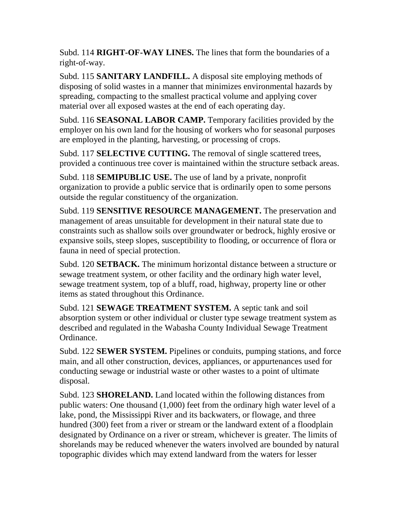Subd. 114 **RIGHT-OF-WAY LINES.** The lines that form the boundaries of a right-of-way.

Subd. 115 **SANITARY LANDFILL.** A disposal site employing methods of disposing of solid wastes in a manner that minimizes environmental hazards by spreading, compacting to the smallest practical volume and applying cover material over all exposed wastes at the end of each operating day.

Subd. 116 **SEASONAL LABOR CAMP.** Temporary facilities provided by the employer on his own land for the housing of workers who for seasonal purposes are employed in the planting, harvesting, or processing of crops.

Subd. 117 **SELECTIVE CUTTING.** The removal of single scattered trees, provided a continuous tree cover is maintained within the structure setback areas.

Subd. 118 **SEMIPUBLIC USE.** The use of land by a private, nonprofit organization to provide a public service that is ordinarily open to some persons outside the regular constituency of the organization.

Subd. 119 **SENSITIVE RESOURCE MANAGEMENT.** The preservation and management of areas unsuitable for development in their natural state due to constraints such as shallow soils over groundwater or bedrock, highly erosive or expansive soils, steep slopes, susceptibility to flooding, or occurrence of flora or fauna in need of special protection.

Subd. 120 **SETBACK.** The minimum horizontal distance between a structure or sewage treatment system, or other facility and the ordinary high water level, sewage treatment system, top of a bluff, road, highway, property line or other items as stated throughout this Ordinance.

Subd. 121 **SEWAGE TREATMENT SYSTEM.** A septic tank and soil absorption system or other individual or cluster type sewage treatment system as described and regulated in the Wabasha County Individual Sewage Treatment Ordinance.

Subd. 122 **SEWER SYSTEM.** Pipelines or conduits, pumping stations, and force main, and all other construction, devices, appliances, or appurtenances used for conducting sewage or industrial waste or other wastes to a point of ultimate disposal.

Subd. 123 **SHORELAND.** Land located within the following distances from public waters: One thousand (1,000) feet from the ordinary high water level of a lake, pond, the Mississippi River and its backwaters, or flowage, and three hundred (300) feet from a river or stream or the landward extent of a floodplain designated by Ordinance on a river or stream, whichever is greater. The limits of shorelands may be reduced whenever the waters involved are bounded by natural topographic divides which may extend landward from the waters for lesser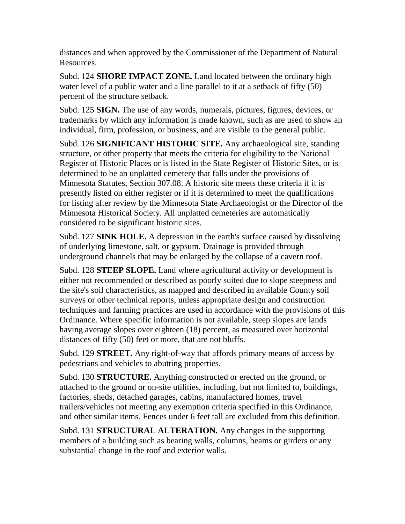distances and when approved by the Commissioner of the Department of Natural Resources.

Subd. 124 **SHORE IMPACT ZONE.** Land located between the ordinary high water level of a public water and a line parallel to it at a setback of fifty (50) percent of the structure setback.

Subd. 125 **SIGN.** The use of any words, numerals, pictures, figures, devices, or trademarks by which any information is made known, such as are used to show an individual, firm, profession, or business, and are visible to the general public.

Subd. 126 **SIGNIFICANT HISTORIC SITE.** Any archaeological site, standing structure, or other property that meets the criteria for eligibility to the National Register of Historic Places or is listed in the State Register of Historic Sites, or is determined to be an unplatted cemetery that falls under the provisions of Minnesota Statutes, Section 307.08. A historic site meets these criteria if it is presently listed on either register or if it is determined to meet the qualifications for listing after review by the Minnesota State Archaeologist or the Director of the Minnesota Historical Society. All unplatted cemeteries are automatically considered to be significant historic sites.

Subd. 127 **SINK HOLE.** A depression in the earth's surface caused by dissolving of underlying limestone, salt, or gypsum. Drainage is provided through underground channels that may be enlarged by the collapse of a cavern roof.

Subd. 128 **STEEP SLOPE.** Land where agricultural activity or development is either not recommended or described as poorly suited due to slope steepness and the site's soil characteristics, as mapped and described in available County soil surveys or other technical reports, unless appropriate design and construction techniques and farming practices are used in accordance with the provisions of this Ordinance. Where specific information is not available, steep slopes are lands having average slopes over eighteen (18) percent, as measured over horizontal distances of fifty (50) feet or more, that are not bluffs.

Subd. 129 **STREET.** Any right-of-way that affords primary means of access by pedestrians and vehicles to abutting properties.

Subd. 130 **STRUCTURE.** Anything constructed or erected on the ground, or attached to the ground or on-site utilities, including, but not limited to, buildings, factories, sheds, detached garages, cabins, manufactured homes, travel trailers/vehicles not meeting any exemption criteria specified in this Ordinance, and other similar items*.* Fences under 6 feet tall are excluded from this definition.

Subd. 131 **STRUCTURAL ALTERATION.** Any changes in the supporting members of a building such as bearing walls, columns, beams or girders or any substantial change in the roof and exterior walls.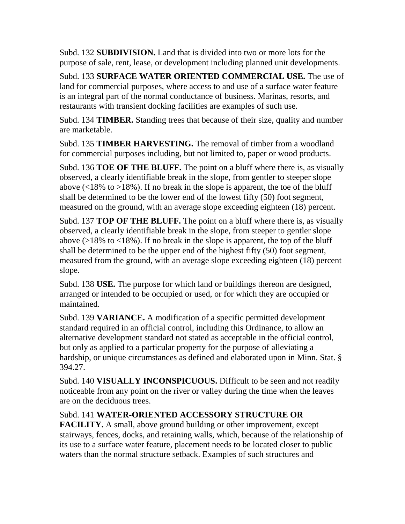Subd. 132 **SUBDIVISION.** Land that is divided into two or more lots for the purpose of sale, rent, lease, or development including planned unit developments.

Subd. 133 **SURFACE WATER ORIENTED COMMERCIAL USE.** The use of land for commercial purposes, where access to and use of a surface water feature is an integral part of the normal conductance of business. Marinas, resorts, and restaurants with transient docking facilities are examples of such use.

Subd. 134 **TIMBER.** Standing trees that because of their size, quality and number are marketable.

Subd. 135 **TIMBER HARVESTING.** The removal of timber from a woodland for commercial purposes including, but not limited to, paper or wood products.

Subd. 136 **TOE OF THE BLUFF.** The point on a bluff where there is, as visually observed, a clearly identifiable break in the slope, from gentler to steeper slope above  $\langle$  (218% to  $>$ 18%). If no break in the slope is apparent, the toe of the bluff shall be determined to be the lower end of the lowest fifty (50) foot segment, measured on the ground, with an average slope exceeding eighteen (18) percent.

Subd. 137 **TOP OF THE BLUFF.** The point on a bluff where there is, as visually observed, a clearly identifiable break in the slope, from steeper to gentler slope above ( $>18\%$  to  $<18\%$ ). If no break in the slope is apparent, the top of the bluff shall be determined to be the upper end of the highest fifty (50) foot segment, measured from the ground, with an average slope exceeding eighteen (18) percent slope.

Subd. 138 **USE.** The purpose for which land or buildings thereon are designed, arranged or intended to be occupied or used, or for which they are occupied or maintained.

Subd. 139 **VARIANCE.** A modification of a specific permitted development standard required in an official control, including this Ordinance, to allow an alternative development standard not stated as acceptable in the official control, but only as applied to a particular property for the purpose of alleviating a hardship, or unique circumstances as defined and elaborated upon in Minn. Stat. § 394.27.

Subd. 140 **VISUALLY INCONSPICUOUS.** Difficult to be seen and not readily noticeable from any point on the river or valley during the time when the leaves are on the deciduous trees.

## Subd. 141 **WATER-ORIENTED ACCESSORY STRUCTURE OR**

**FACILITY.** A small, above ground building or other improvement, except stairways, fences, docks, and retaining walls, which, because of the relationship of its use to a surface water feature, placement needs to be located closer to public waters than the normal structure setback. Examples of such structures and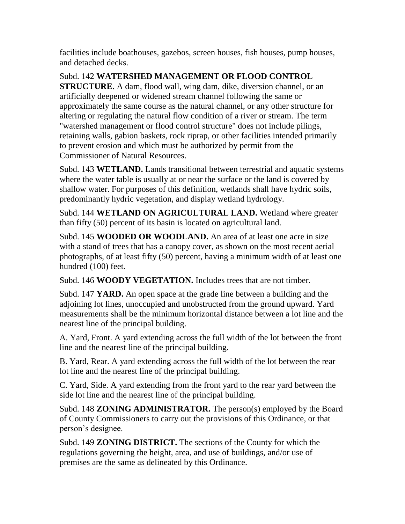facilities include boathouses, gazebos, screen houses, fish houses, pump houses, and detached decks.

Subd. 142 **WATERSHED MANAGEMENT OR FLOOD CONTROL STRUCTURE.** A dam, flood wall, wing dam, dike, diversion channel, or an artificially deepened or widened stream channel following the same or approximately the same course as the natural channel, or any other structure for altering or regulating the natural flow condition of a river or stream. The term "watershed management or flood control structure" does not include pilings, retaining walls, gabion baskets, rock riprap, or other facilities intended primarily to prevent erosion and which must be authorized by permit from the Commissioner of Natural Resources.

Subd. 143 **WETLAND.** Lands transitional between terrestrial and aquatic systems where the water table is usually at or near the surface or the land is covered by shallow water. For purposes of this definition, wetlands shall have hydric soils, predominantly hydric vegetation, and display wetland hydrology.

Subd. 144 **WETLAND ON AGRICULTURAL LAND.** Wetland where greater than fifty (50) percent of its basin is located on agricultural land.

Subd. 145 **WOODED OR WOODLAND.** An area of at least one acre in size with a stand of trees that has a canopy cover, as shown on the most recent aerial photographs, of at least fifty (50) percent, having a minimum width of at least one hundred (100) feet.

Subd. 146 **WOODY VEGETATION.** Includes trees that are not timber.

Subd. 147 **YARD.** An open space at the grade line between a building and the adjoining lot lines, unoccupied and unobstructed from the ground upward. Yard measurements shall be the minimum horizontal distance between a lot line and the nearest line of the principal building.

A. Yard, Front. A yard extending across the full width of the lot between the front line and the nearest line of the principal building.

B. Yard, Rear. A yard extending across the full width of the lot between the rear lot line and the nearest line of the principal building.

C. Yard, Side. A yard extending from the front yard to the rear yard between the side lot line and the nearest line of the principal building.

Subd. 148 **ZONING ADMINISTRATOR.** The person(s) employed by the Board of County Commissioners to carry out the provisions of this Ordinance, or that person's designee.

Subd. 149 **ZONING DISTRICT.** The sections of the County for which the regulations governing the height, area, and use of buildings, and/or use of premises are the same as delineated by this Ordinance.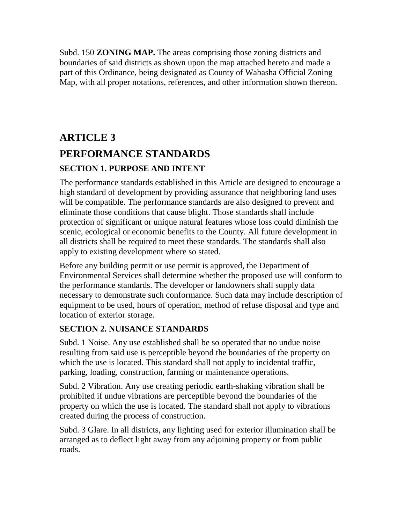Subd. 150 **ZONING MAP.** The areas comprising those zoning districts and boundaries of said districts as shown upon the map attached hereto and made a part of this Ordinance, being designated as County of Wabasha Official Zoning Map, with all proper notations, references, and other information shown thereon.

# **ARTICLE 3 PERFORMANCE STANDARDS SECTION 1. PURPOSE AND INTENT**

The performance standards established in this Article are designed to encourage a high standard of development by providing assurance that neighboring land uses will be compatible. The performance standards are also designed to prevent and eliminate those conditions that cause blight. Those standards shall include protection of significant or unique natural features whose loss could diminish the scenic, ecological or economic benefits to the County. All future development in all districts shall be required to meet these standards. The standards shall also apply to existing development where so stated.

Before any building permit or use permit is approved, the Department of Environmental Services shall determine whether the proposed use will conform to the performance standards. The developer or landowners shall supply data necessary to demonstrate such conformance. Such data may include description of equipment to be used, hours of operation, method of refuse disposal and type and location of exterior storage.

## **SECTION 2. NUISANCE STANDARDS**

Subd. 1 Noise. Any use established shall be so operated that no undue noise resulting from said use is perceptible beyond the boundaries of the property on which the use is located. This standard shall not apply to incidental traffic, parking, loading, construction, farming or maintenance operations.

Subd. 2 Vibration. Any use creating periodic earth-shaking vibration shall be prohibited if undue vibrations are perceptible beyond the boundaries of the property on which the use is located. The standard shall not apply to vibrations created during the process of construction.

Subd. 3 Glare. In all districts, any lighting used for exterior illumination shall be arranged as to deflect light away from any adjoining property or from public roads.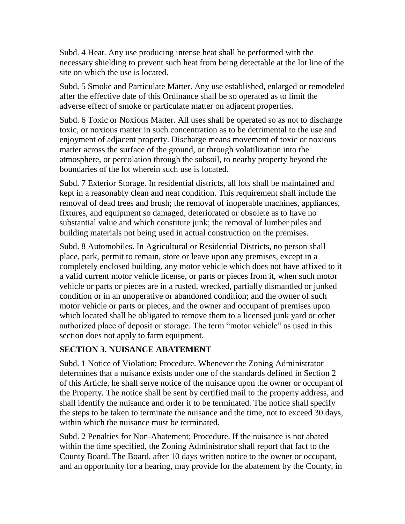Subd. 4 Heat. Any use producing intense heat shall be performed with the necessary shielding to prevent such heat from being detectable at the lot line of the site on which the use is located.

Subd. 5 Smoke and Particulate Matter. Any use established, enlarged or remodeled after the effective date of this Ordinance shall be so operated as to limit the adverse effect of smoke or particulate matter on adjacent properties.

Subd. 6 Toxic or Noxious Matter. All uses shall be operated so as not to discharge toxic, or noxious matter in such concentration as to be detrimental to the use and enjoyment of adjacent property. Discharge means movement of toxic or noxious matter across the surface of the ground, or through volatilization into the atmosphere, or percolation through the subsoil, to nearby property beyond the boundaries of the lot wherein such use is located.

Subd. 7 Exterior Storage. In residential districts, all lots shall be maintained and kept in a reasonably clean and neat condition. This requirement shall include the removal of dead trees and brush; the removal of inoperable machines, appliances, fixtures, and equipment so damaged, deteriorated or obsolete as to have no substantial value and which constitute junk; the removal of lumber piles and building materials not being used in actual construction on the premises.

Subd. 8 Automobiles. In Agricultural or Residential Districts, no person shall place, park, permit to remain, store or leave upon any premises, except in a completely enclosed building, any motor vehicle which does not have affixed to it a valid current motor vehicle license, or parts or pieces from it, when such motor vehicle or parts or pieces are in a rusted, wrecked, partially dismantled or junked condition or in an unoperative or abandoned condition; and the owner of such motor vehicle or parts or pieces, and the owner and occupant of premises upon which located shall be obligated to remove them to a licensed junk yard or other authorized place of deposit or storage. The term "motor vehicle" as used in this section does not apply to farm equipment.

## **SECTION 3. NUISANCE ABATEMENT**

Subd. 1 Notice of Violation; Procedure. Whenever the Zoning Administrator determines that a nuisance exists under one of the standards defined in Section 2 of this Article, he shall serve notice of the nuisance upon the owner or occupant of the Property. The notice shall be sent by certified mail to the property address, and shall identify the nuisance and order it to be terminated. The notice shall specify the steps to be taken to terminate the nuisance and the time, not to exceed 30 days, within which the nuisance must be terminated.

Subd. 2 Penalties for Non-Abatement; Procedure. If the nuisance is not abated within the time specified, the Zoning Administrator shall report that fact to the County Board. The Board, after 10 days written notice to the owner or occupant, and an opportunity for a hearing, may provide for the abatement by the County, in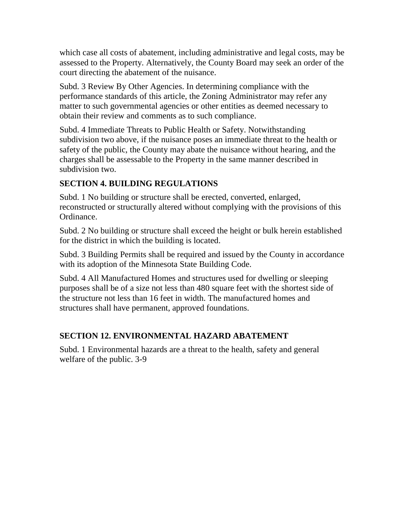which case all costs of abatement, including administrative and legal costs, may be assessed to the Property. Alternatively, the County Board may seek an order of the court directing the abatement of the nuisance.

Subd. 3 Review By Other Agencies. In determining compliance with the performance standards of this article, the Zoning Administrator may refer any matter to such governmental agencies or other entities as deemed necessary to obtain their review and comments as to such compliance.

Subd. 4 Immediate Threats to Public Health or Safety. Notwithstanding subdivision two above, if the nuisance poses an immediate threat to the health or safety of the public, the County may abate the nuisance without hearing, and the charges shall be assessable to the Property in the same manner described in subdivision two.

## **SECTION 4. BUILDING REGULATIONS**

Subd. 1 No building or structure shall be erected, converted, enlarged, reconstructed or structurally altered without complying with the provisions of this Ordinance.

Subd. 2 No building or structure shall exceed the height or bulk herein established for the district in which the building is located.

Subd. 3 Building Permits shall be required and issued by the County in accordance with its adoption of the Minnesota State Building Code.

Subd. 4 All Manufactured Homes and structures used for dwelling or sleeping purposes shall be of a size not less than 480 square feet with the shortest side of the structure not less than 16 feet in width. The manufactured homes and structures shall have permanent, approved foundations.

## **SECTION 12. ENVIRONMENTAL HAZARD ABATEMENT**

Subd. 1 Environmental hazards are a threat to the health, safety and general welfare of the public. 3-9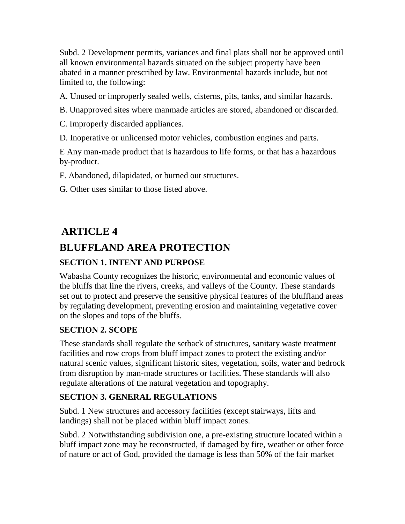Subd. 2 Development permits, variances and final plats shall not be approved until all known environmental hazards situated on the subject property have been abated in a manner prescribed by law. Environmental hazards include, but not limited to, the following:

A. Unused or improperly sealed wells, cisterns, pits, tanks, and similar hazards.

B. Unapproved sites where manmade articles are stored, abandoned or discarded.

C. Improperly discarded appliances.

D. Inoperative or unlicensed motor vehicles, combustion engines and parts.

E Any man-made product that is hazardous to life forms, or that has a hazardous by-product.

F. Abandoned, dilapidated, or burned out structures.

G. Other uses similar to those listed above.

## **ARTICLE 4**

## **BLUFFLAND AREA PROTECTION**

## **SECTION 1. INTENT AND PURPOSE**

Wabasha County recognizes the historic, environmental and economic values of the bluffs that line the rivers, creeks, and valleys of the County. These standards set out to protect and preserve the sensitive physical features of the bluffland areas by regulating development, preventing erosion and maintaining vegetative cover on the slopes and tops of the bluffs.

## **SECTION 2. SCOPE**

These standards shall regulate the setback of structures, sanitary waste treatment facilities and row crops from bluff impact zones to protect the existing and/or natural scenic values, significant historic sites, vegetation, soils, water and bedrock from disruption by man-made structures or facilities. These standards will also regulate alterations of the natural vegetation and topography.

## **SECTION 3. GENERAL REGULATIONS**

Subd. 1 New structures and accessory facilities (except stairways, lifts and landings) shall not be placed within bluff impact zones.

Subd. 2 Notwithstanding subdivision one, a pre-existing structure located within a bluff impact zone may be reconstructed, if damaged by fire, weather or other force of nature or act of God, provided the damage is less than 50% of the fair market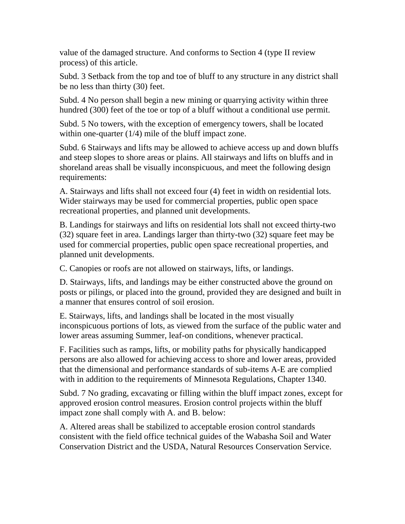value of the damaged structure. And conforms to Section 4 (type II review process) of this article.

Subd. 3 Setback from the top and toe of bluff to any structure in any district shall be no less than thirty (30) feet.

Subd. 4 No person shall begin a new mining or quarrying activity within three hundred (300) feet of the toe or top of a bluff without a conditional use permit.

Subd. 5 No towers, with the exception of emergency towers, shall be located within one-quarter (1/4) mile of the bluff impact zone.

Subd. 6 Stairways and lifts may be allowed to achieve access up and down bluffs and steep slopes to shore areas or plains. All stairways and lifts on bluffs and in shoreland areas shall be visually inconspicuous, and meet the following design requirements:

A. Stairways and lifts shall not exceed four (4) feet in width on residential lots. Wider stairways may be used for commercial properties, public open space recreational properties, and planned unit developments.

B. Landings for stairways and lifts on residential lots shall not exceed thirty-two (32) square feet in area. Landings larger than thirty-two (32) square feet may be used for commercial properties, public open space recreational properties, and planned unit developments.

C. Canopies or roofs are not allowed on stairways, lifts, or landings.

D. Stairways, lifts, and landings may be either constructed above the ground on posts or pilings, or placed into the ground, provided they are designed and built in a manner that ensures control of soil erosion.

E. Stairways, lifts, and landings shall be located in the most visually inconspicuous portions of lots, as viewed from the surface of the public water and lower areas assuming Summer, leaf-on conditions, whenever practical.

F. Facilities such as ramps, lifts, or mobility paths for physically handicapped persons are also allowed for achieving access to shore and lower areas, provided that the dimensional and performance standards of sub-items A-E are complied with in addition to the requirements of Minnesota Regulations, Chapter 1340.

Subd. 7 No grading, excavating or filling within the bluff impact zones, except for approved erosion control measures. Erosion control projects within the bluff impact zone shall comply with A. and B. below:

A. Altered areas shall be stabilized to acceptable erosion control standards consistent with the field office technical guides of the Wabasha Soil and Water Conservation District and the USDA, Natural Resources Conservation Service.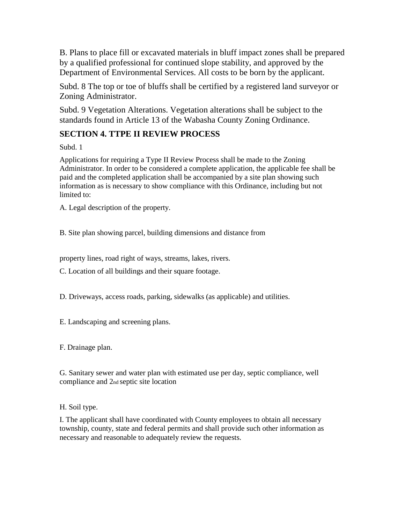B. Plans to place fill or excavated materials in bluff impact zones shall be prepared by a qualified professional for continued slope stability, and approved by the Department of Environmental Services. All costs to be born by the applicant.

Subd. 8 The top or toe of bluffs shall be certified by a registered land surveyor or Zoning Administrator.

Subd. 9 Vegetation Alterations. Vegetation alterations shall be subject to the standards found in Article 13 of the Wabasha County Zoning Ordinance.

## **SECTION 4. TTPE II REVIEW PROCESS**

Subd. 1

Applications for requiring a Type II Review Process shall be made to the Zoning Administrator. In order to be considered a complete application, the applicable fee shall be paid and the completed application shall be accompanied by a site plan showing such information as is necessary to show compliance with this Ordinance, including but not limited to:

A. Legal description of the property.

B. Site plan showing parcel, building dimensions and distance from

property lines, road right of ways, streams, lakes, rivers.

C. Location of all buildings and their square footage.

D. Driveways, access roads, parking, sidewalks (as applicable) and utilities.

E. Landscaping and screening plans.

F. Drainage plan.

G. Sanitary sewer and water plan with estimated use per day, septic compliance, well compliance and 2nd septic site location

H. Soil type.

I. The applicant shall have coordinated with County employees to obtain all necessary township, county, state and federal permits and shall provide such other information as necessary and reasonable to adequately review the requests.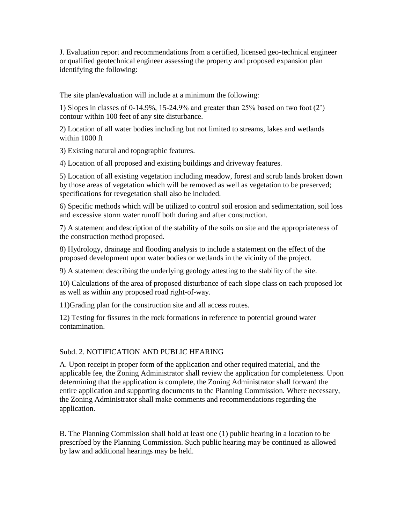J. Evaluation report and recommendations from a certified, licensed geo-technical engineer or qualified geotechnical engineer assessing the property and proposed expansion plan identifying the following:

The site plan/evaluation will include at a minimum the following:

1) Slopes in classes of 0-14.9%, 15-24.9% and greater than 25% based on two foot (2') contour within 100 feet of any site disturbance.

2) Location of all water bodies including but not limited to streams, lakes and wetlands within 1000 ft

3) Existing natural and topographic features.

4) Location of all proposed and existing buildings and driveway features.

5) Location of all existing vegetation including meadow, forest and scrub lands broken down by those areas of vegetation which will be removed as well as vegetation to be preserved; specifications for revegetation shall also be included.

6) Specific methods which will be utilized to control soil erosion and sedimentation, soil loss and excessive storm water runoff both during and after construction.

7) A statement and description of the stability of the soils on site and the appropriateness of the construction method proposed.

8) Hydrology, drainage and flooding analysis to include a statement on the effect of the proposed development upon water bodies or wetlands in the vicinity of the project.

9) A statement describing the underlying geology attesting to the stability of the site.

10) Calculations of the area of proposed disturbance of each slope class on each proposed lot as well as within any proposed road right-of-way.

11)Grading plan for the construction site and all access routes.

12) Testing for fissures in the rock formations in reference to potential ground water contamination.

#### Subd. 2. NOTIFICATION AND PUBLIC HEARING

A. Upon receipt in proper form of the application and other required material, and the applicable fee, the Zoning Administrator shall review the application for completeness. Upon determining that the application is complete, the Zoning Administrator shall forward the entire application and supporting documents to the Planning Commission. Where necessary, the Zoning Administrator shall make comments and recommendations regarding the application.

B. The Planning Commission shall hold at least one (1) public hearing in a location to be prescribed by the Planning Commission. Such public hearing may be continued as allowed by law and additional hearings may be held.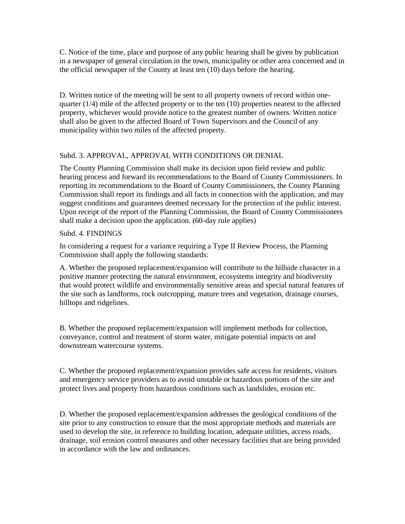C. Notice of the time, place and purpose of any public hearing shall be given by publication in a newspaper of general circulation in the town, municipality or other area concerned and in the official newspaper of the County at least ten (10) days before the hearing.

D. Written notice of the meeting will be sent to all property owners of record within onequarter (1/4) mile of the affected property or to the ten (10) properties nearest to the affected property, whichever would provide notice to the greatest number of owners. Written notice shall also be given to the affected Board of Town Supervisors and the Council of any municipality within two miles of the affected property.

#### Subd. 3. APPROVAL, APPROVAL WITH CONDITIONS OR DENIAL

The County Planning Commission shall make its decision upon field review and public hearing process and forward its recommendations to the Board of County Commissioners. In reporting its recommendations to the Board of County Commissioners, the County Planning Commission shall report its findings and all facts in connection with the application, and may suggest conditions and guarantees deemed necessary for the protection of the public interest. Upon receipt of the report of the Planning Commission, the Board of County Commissioners shall make a decision upon the application. (60-day rule applies)

#### Subd. 4. FINDINGS

In considering a request for a variance requiring a Type II Review Process, the Planning Commission shall apply the following standards:

A. Whether the proposed replacement/expansion will contribute to the hillside character in a positive manner protecting the natural environment, ecosystems integrity and biodiversity that would protect wildlife and environmentally sensitive areas and special natural features of the site such as landforms, rock outcropping, mature trees and vegetation, drainage courses, hilltops and ridgelines.

B. Whether the proposed replacement/expansion will implement methods for collection, conveyance, control and treatment of storm water, mitigate potential impacts on and downstream watercourse systems.

C. Whether the proposed replacement/expansion provides safe access for residents, visitors and emergency service providers as to avoid unstable or hazardous portions of the site and protect lives and property from hazardous conditions such as landslides, erosion etc.

D. Whether the proposed replacement/expansion addresses the geological conditions of the site prior to any construction to ensure that the most appropriate methods and materials are used to develop the site, in reference to building location, adequate utilities, access roads, drainage, soil erosion control measures and other necessary facilities that are being provided in accordance with the law and ordinances.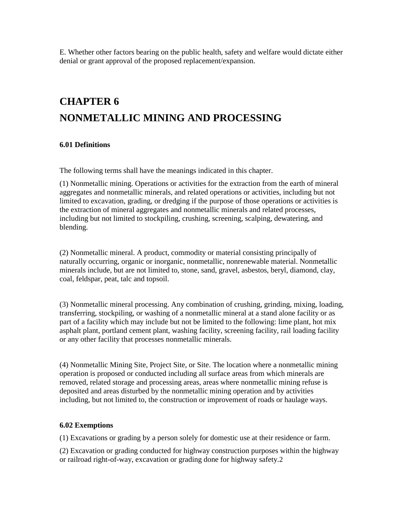E. Whether other factors bearing on the public health, safety and welfare would dictate either denial or grant approval of the proposed replacement/expansion.

# **CHAPTER 6 NONMETALLIC MINING AND PROCESSING**

#### **6.01 Definitions**

The following terms shall have the meanings indicated in this chapter.

(1) Nonmetallic mining. Operations or activities for the extraction from the earth of mineral aggregates and nonmetallic minerals, and related operations or activities, including but not limited to excavation, grading, or dredging if the purpose of those operations or activities is the extraction of mineral aggregates and nonmetallic minerals and related processes, including but not limited to stockpiling, crushing, screening, scalping, dewatering, and blending.

(2) Nonmetallic mineral. A product, commodity or material consisting principally of naturally occurring, organic or inorganic, nonmetallic, nonrenewable material. Nonmetallic minerals include, but are not limited to, stone, sand, gravel, asbestos, beryl, diamond, clay, coal, feldspar, peat, talc and topsoil.

(3) Nonmetallic mineral processing. Any combination of crushing, grinding, mixing, loading, transferring, stockpiling, or washing of a nonmetallic mineral at a stand alone facility or as part of a facility which may include but not be limited to the following: lime plant, hot mix asphalt plant, portland cement plant, washing facility, screening facility, rail loading facility or any other facility that processes nonmetallic minerals.

(4) Nonmetallic Mining Site, Project Site, or Site. The location where a nonmetallic mining operation is proposed or conducted including all surface areas from which minerals are removed, related storage and processing areas, areas where nonmetallic mining refuse is deposited and areas disturbed by the nonmetallic mining operation and by activities including, but not limited to, the construction or improvement of roads or haulage ways.

#### **6.02 Exemptions**

(1) Excavations or grading by a person solely for domestic use at their residence or farm.

(2) Excavation or grading conducted for highway construction purposes within the highway or railroad right-of-way, excavation or grading done for highway safety.2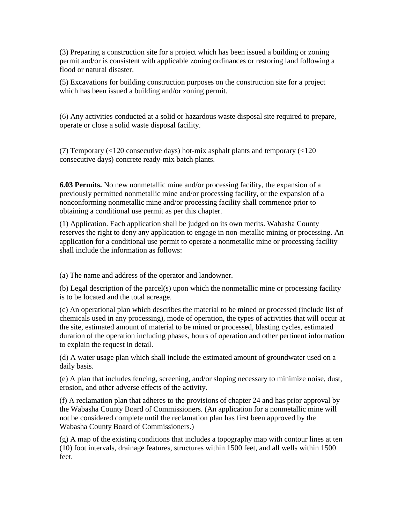(3) Preparing a construction site for a project which has been issued a building or zoning permit and/or is consistent with applicable zoning ordinances or restoring land following a flood or natural disaster.

(5) Excavations for building construction purposes on the construction site for a project which has been issued a building and/or zoning permit.

(6) Any activities conducted at a solid or hazardous waste disposal site required to prepare, operate or close a solid waste disposal facility.

(7) Temporary (<120 consecutive days) hot-mix asphalt plants and temporary (<120 consecutive days) concrete ready-mix batch plants.

**6.03 Permits.** No new nonmetallic mine and/or processing facility, the expansion of a previously permitted nonmetallic mine and/or processing facility, or the expansion of a nonconforming nonmetallic mine and/or processing facility shall commence prior to obtaining a conditional use permit as per this chapter.

(1) Application. Each application shall be judged on its own merits. Wabasha County reserves the right to deny any application to engage in non-metallic mining or processing. An application for a conditional use permit to operate a nonmetallic mine or processing facility shall include the information as follows:

(a) The name and address of the operator and landowner.

(b) Legal description of the parcel(s) upon which the nonmetallic mine or processing facility is to be located and the total acreage.

(c) An operational plan which describes the material to be mined or processed (include list of chemicals used in any processing), mode of operation, the types of activities that will occur at the site, estimated amount of material to be mined or processed, blasting cycles, estimated duration of the operation including phases, hours of operation and other pertinent information to explain the request in detail.

(d) A water usage plan which shall include the estimated amount of groundwater used on a daily basis.

(e) A plan that includes fencing, screening, and/or sloping necessary to minimize noise, dust, erosion, and other adverse effects of the activity.

(f) A reclamation plan that adheres to the provisions of chapter 24 and has prior approval by the Wabasha County Board of Commissioners. (An application for a nonmetallic mine will not be considered complete until the reclamation plan has first been approved by the Wabasha County Board of Commissioners.)

 $(g)$  A map of the existing conditions that includes a topography map with contour lines at ten (10) foot intervals, drainage features, structures within 1500 feet, and all wells within 1500 feet.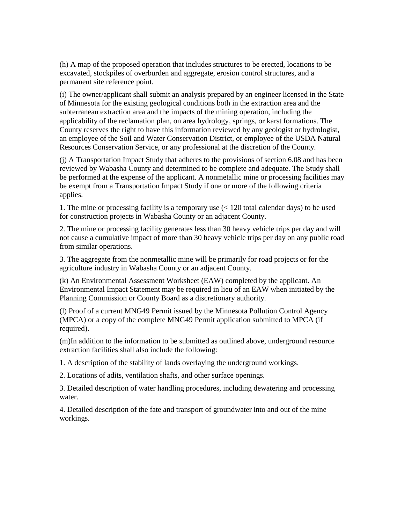(h) A map of the proposed operation that includes structures to be erected, locations to be excavated, stockpiles of overburden and aggregate, erosion control structures, and a permanent site reference point.

(i) The owner/applicant shall submit an analysis prepared by an engineer licensed in the State of Minnesota for the existing geological conditions both in the extraction area and the subterranean extraction area and the impacts of the mining operation, including the applicability of the reclamation plan, on area hydrology, springs, or karst formations. The County reserves the right to have this information reviewed by any geologist or hydrologist, an employee of the Soil and Water Conservation District, or employee of the USDA Natural Resources Conservation Service, or any professional at the discretion of the County.

(j) A Transportation Impact Study that adheres to the provisions of section 6.08 and has been reviewed by Wabasha County and determined to be complete and adequate. The Study shall be performed at the expense of the applicant. A nonmetallic mine or processing facilities may be exempt from a Transportation Impact Study if one or more of the following criteria applies.

1. The mine or processing facility is a temporary use (< 120 total calendar days) to be used for construction projects in Wabasha County or an adjacent County.

2. The mine or processing facility generates less than 30 heavy vehicle trips per day and will not cause a cumulative impact of more than 30 heavy vehicle trips per day on any public road from similar operations.

3. The aggregate from the nonmetallic mine will be primarily for road projects or for the agriculture industry in Wabasha County or an adjacent County.

(k) An Environmental Assessment Worksheet (EAW) completed by the applicant. An Environmental Impact Statement may be required in lieu of an EAW when initiated by the Planning Commission or County Board as a discretionary authority.

(l) Proof of a current MNG49 Permit issued by the Minnesota Pollution Control Agency (MPCA) or a copy of the complete MNG49 Permit application submitted to MPCA (if required).

(m)In addition to the information to be submitted as outlined above, underground resource extraction facilities shall also include the following:

1. A description of the stability of lands overlaying the underground workings.

2. Locations of adits, ventilation shafts, and other surface openings.

3. Detailed description of water handling procedures, including dewatering and processing water.

4. Detailed description of the fate and transport of groundwater into and out of the mine workings.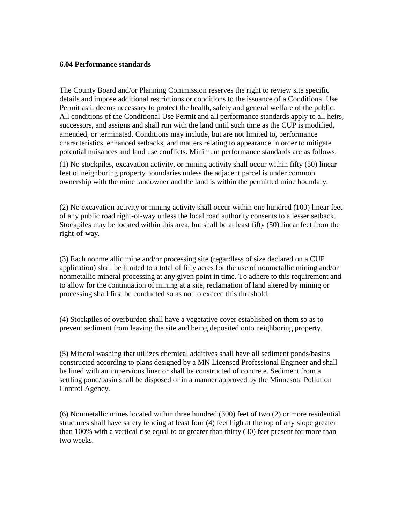#### **6.04 Performance standards**

The County Board and/or Planning Commission reserves the right to review site specific details and impose additional restrictions or conditions to the issuance of a Conditional Use Permit as it deems necessary to protect the health, safety and general welfare of the public. All conditions of the Conditional Use Permit and all performance standards apply to all heirs, successors, and assigns and shall run with the land until such time as the CUP is modified, amended, or terminated. Conditions may include, but are not limited to, performance characteristics, enhanced setbacks, and matters relating to appearance in order to mitigate potential nuisances and land use conflicts. Minimum performance standards are as follows:

(1) No stockpiles, excavation activity, or mining activity shall occur within fifty (50) linear feet of neighboring property boundaries unless the adjacent parcel is under common ownership with the mine landowner and the land is within the permitted mine boundary.

(2) No excavation activity or mining activity shall occur within one hundred (100) linear feet of any public road right-of-way unless the local road authority consents to a lesser setback. Stockpiles may be located within this area, but shall be at least fifty (50) linear feet from the right-of-way.

(3) Each nonmetallic mine and/or processing site (regardless of size declared on a CUP application) shall be limited to a total of fifty acres for the use of nonmetallic mining and/or nonmetallic mineral processing at any given point in time. To adhere to this requirement and to allow for the continuation of mining at a site, reclamation of land altered by mining or processing shall first be conducted so as not to exceed this threshold.

(4) Stockpiles of overburden shall have a vegetative cover established on them so as to prevent sediment from leaving the site and being deposited onto neighboring property.

(5) Mineral washing that utilizes chemical additives shall have all sediment ponds/basins constructed according to plans designed by a MN Licensed Professional Engineer and shall be lined with an impervious liner or shall be constructed of concrete. Sediment from a settling pond/basin shall be disposed of in a manner approved by the Minnesota Pollution Control Agency.

(6) Nonmetallic mines located within three hundred (300) feet of two (2) or more residential structures shall have safety fencing at least four (4) feet high at the top of any slope greater than 100% with a vertical rise equal to or greater than thirty (30) feet present for more than two weeks.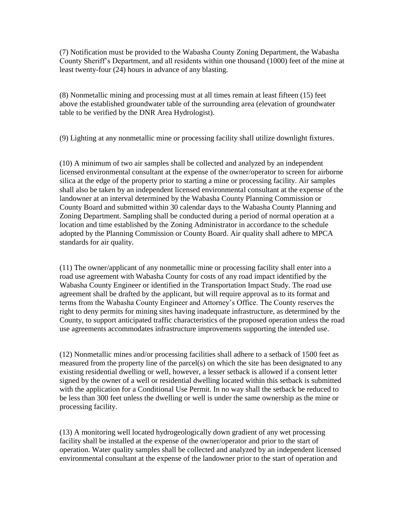(7) Notification must be provided to the Wabasha County Zoning Department, the Wabasha County Sheriff's Department, and all residents within one thousand (1000) feet of the mine at least twenty-four (24) hours in advance of any blasting.

(8) Nonmetallic mining and processing must at all times remain at least fifteen (15) feet above the established groundwater table of the surrounding area (elevation of groundwater table to be verified by the DNR Area Hydrologist).

(9) Lighting at any nonmetallic mine or processing facility shall utilize downlight fixtures.

(10) A minimum of two air samples shall be collected and analyzed by an independent licensed environmental consultant at the expense of the owner/operator to screen for airborne silica at the edge of the property prior to starting a mine or processing facility. Air samples shall also be taken by an independent licensed environmental consultant at the expense of the landowner at an interval determined by the Wabasha County Planning Commission or County Board and submitted within 30 calendar days to the Wabasha County Planning and Zoning Department. Sampling shall be conducted during a period of normal operation at a location and time established by the Zoning Administrator in accordance to the schedule adopted by the Planning Commission or County Board. Air quality shall adhere to MPCA standards for air quality.

(11) The owner/applicant of any nonmetallic mine or processing facility shall enter into a road use agreement with Wabasha County for costs of any road impact identified by the Wabasha County Engineer or identified in the Transportation Impact Study. The road use agreement shall be drafted by the applicant, but will require approval as to its format and terms from the Wabasha County Engineer and Attorney's Office. The County reserves the right to deny permits for mining sites having inadequate infrastructure, as determined by the County, to support anticipated traffic characteristics of the proposed operation unless the road use agreements accommodates infrastructure improvements supporting the intended use.

(12) Nonmetallic mines and/or processing facilities shall adhere to a setback of 1500 feet as measured from the property line of the parcel(s) on which the site has been designated to any existing residential dwelling or well, however, a lesser setback is allowed if a consent letter signed by the owner of a well or residential dwelling located within this setback is submitted with the application for a Conditional Use Permit. In no way shall the setback be reduced to be less than 300 feet unless the dwelling or well is under the same ownership as the mine or processing facility.

(13) A monitoring well located hydrogeologically down gradient of any wet processing facility shall be installed at the expense of the owner/operator and prior to the start of operation. Water quality samples shall be collected and analyzed by an independent licensed environmental consultant at the expense of the landowner prior to the start of operation and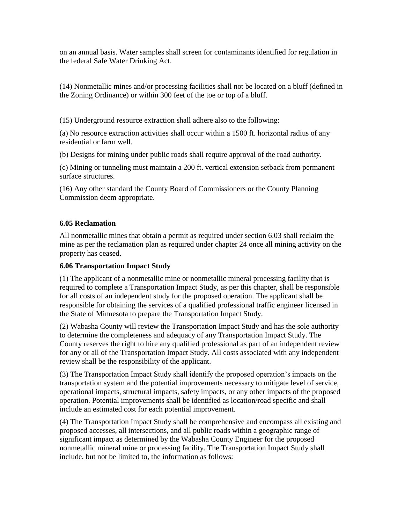on an annual basis. Water samples shall screen for contaminants identified for regulation in the federal Safe Water Drinking Act.

(14) Nonmetallic mines and/or processing facilities shall not be located on a bluff (defined in the Zoning Ordinance) or within 300 feet of the toe or top of a bluff.

(15) Underground resource extraction shall adhere also to the following:

(a) No resource extraction activities shall occur within a 1500 ft. horizontal radius of any residential or farm well.

(b) Designs for mining under public roads shall require approval of the road authority.

(c) Mining or tunneling must maintain a 200 ft. vertical extension setback from permanent surface structures.

(16) Any other standard the County Board of Commissioners or the County Planning Commission deem appropriate.

#### **6.05 Reclamation**

All nonmetallic mines that obtain a permit as required under section 6.03 shall reclaim the mine as per the reclamation plan as required under chapter 24 once all mining activity on the property has ceased.

#### **6.06 Transportation Impact Study**

(1) The applicant of a nonmetallic mine or nonmetallic mineral processing facility that is required to complete a Transportation Impact Study, as per this chapter, shall be responsible for all costs of an independent study for the proposed operation. The applicant shall be responsible for obtaining the services of a qualified professional traffic engineer licensed in the State of Minnesota to prepare the Transportation Impact Study.

(2) Wabasha County will review the Transportation Impact Study and has the sole authority to determine the completeness and adequacy of any Transportation Impact Study. The County reserves the right to hire any qualified professional as part of an independent review for any or all of the Transportation Impact Study. All costs associated with any independent review shall be the responsibility of the applicant.

(3) The Transportation Impact Study shall identify the proposed operation's impacts on the transportation system and the potential improvements necessary to mitigate level of service, operational impacts, structural impacts, safety impacts, or any other impacts of the proposed operation. Potential improvements shall be identified as location/road specific and shall include an estimated cost for each potential improvement.

(4) The Transportation Impact Study shall be comprehensive and encompass all existing and proposed accesses, all intersections, and all public roads within a geographic range of significant impact as determined by the Wabasha County Engineer for the proposed nonmetallic mineral mine or processing facility. The Transportation Impact Study shall include, but not be limited to, the information as follows: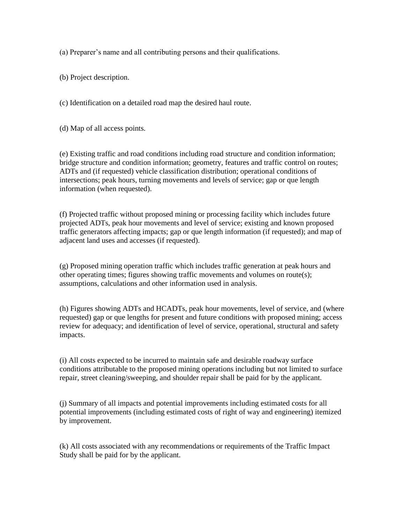(a) Preparer's name and all contributing persons and their qualifications.

(b) Project description.

(c) Identification on a detailed road map the desired haul route.

(d) Map of all access points.

(e) Existing traffic and road conditions including road structure and condition information; bridge structure and condition information; geometry, features and traffic control on routes; ADTs and (if requested) vehicle classification distribution; operational conditions of intersections; peak hours, turning movements and levels of service; gap or que length information (when requested).

(f) Projected traffic without proposed mining or processing facility which includes future projected ADTs, peak hour movements and level of service; existing and known proposed traffic generators affecting impacts; gap or que length information (if requested); and map of adjacent land uses and accesses (if requested).

(g) Proposed mining operation traffic which includes traffic generation at peak hours and other operating times; figures showing traffic movements and volumes on route(s); assumptions, calculations and other information used in analysis.

(h) Figures showing ADTs and HCADTs, peak hour movements, level of service, and (where requested) gap or que lengths for present and future conditions with proposed mining; access review for adequacy; and identification of level of service, operational, structural and safety impacts.

(i) All costs expected to be incurred to maintain safe and desirable roadway surface conditions attributable to the proposed mining operations including but not limited to surface repair, street cleaning/sweeping, and shoulder repair shall be paid for by the applicant.

(j) Summary of all impacts and potential improvements including estimated costs for all potential improvements (including estimated costs of right of way and engineering) itemized by improvement.

(k) All costs associated with any recommendations or requirements of the Traffic Impact Study shall be paid for by the applicant.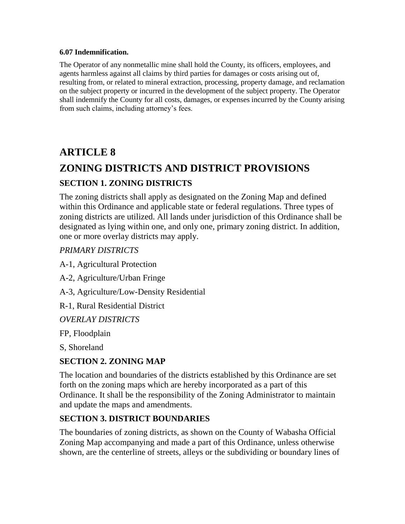#### **6.07 Indemnification.**

The Operator of any nonmetallic mine shall hold the County, its officers, employees, and agents harmless against all claims by third parties for damages or costs arising out of, resulting from, or related to mineral extraction, processing, property damage, and reclamation on the subject property or incurred in the development of the subject property. The Operator shall indemnify the County for all costs, damages, or expenses incurred by the County arising from such claims, including attorney's fees.

## **ARTICLE 8**

# **ZONING DISTRICTS AND DISTRICT PROVISIONS**

### **SECTION 1. ZONING DISTRICTS**

The zoning districts shall apply as designated on the Zoning Map and defined within this Ordinance and applicable state or federal regulations. Three types of zoning districts are utilized. All lands under jurisdiction of this Ordinance shall be designated as lying within one, and only one, primary zoning district. In addition, one or more overlay districts may apply.

#### *PRIMARY DISTRICTS*

A-1, Agricultural Protection

A-2, Agriculture/Urban Fringe

A-3, Agriculture/Low-Density Residential

R-1, Rural Residential District

*OVERLAY DISTRICTS* 

FP, Floodplain

S, Shoreland

### **SECTION 2. ZONING MAP**

The location and boundaries of the districts established by this Ordinance are set forth on the zoning maps which are hereby incorporated as a part of this Ordinance. It shall be the responsibility of the Zoning Administrator to maintain and update the maps and amendments.

### **SECTION 3. DISTRICT BOUNDARIES**

The boundaries of zoning districts, as shown on the County of Wabasha Official Zoning Map accompanying and made a part of this Ordinance, unless otherwise shown, are the centerline of streets, alleys or the subdividing or boundary lines of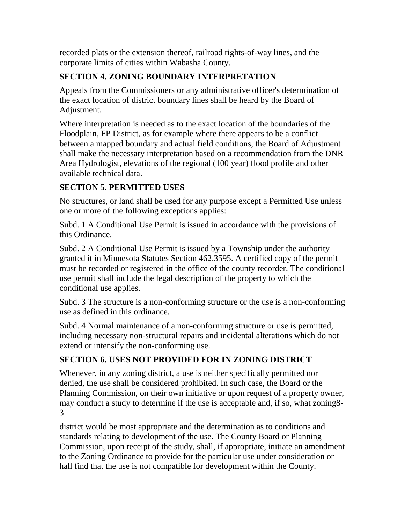recorded plats or the extension thereof, railroad rights-of-way lines, and the corporate limits of cities within Wabasha County.

### **SECTION 4. ZONING BOUNDARY INTERPRETATION**

Appeals from the Commissioners or any administrative officer's determination of the exact location of district boundary lines shall be heard by the Board of Adjustment.

Where interpretation is needed as to the exact location of the boundaries of the Floodplain, FP District, as for example where there appears to be a conflict between a mapped boundary and actual field conditions, the Board of Adjustment shall make the necessary interpretation based on a recommendation from the DNR Area Hydrologist, elevations of the regional (100 year) flood profile and other available technical data.

### **SECTION 5. PERMITTED USES**

No structures, or land shall be used for any purpose except a Permitted Use unless one or more of the following exceptions applies:

Subd. 1 A Conditional Use Permit is issued in accordance with the provisions of this Ordinance.

Subd. 2 A Conditional Use Permit is issued by a Township under the authority granted it in Minnesota Statutes Section 462.3595. A certified copy of the permit must be recorded or registered in the office of the county recorder. The conditional use permit shall include the legal description of the property to which the conditional use applies.

Subd. 3 The structure is a non-conforming structure or the use is a non-conforming use as defined in this ordinance.

Subd. 4 Normal maintenance of a non-conforming structure or use is permitted, including necessary non-structural repairs and incidental alterations which do not extend or intensify the non-conforming use.

### **SECTION 6. USES NOT PROVIDED FOR IN ZONING DISTRICT**

Whenever, in any zoning district, a use is neither specifically permitted nor denied, the use shall be considered prohibited. In such case, the Board or the Planning Commission, on their own initiative or upon request of a property owner, may conduct a study to determine if the use is acceptable and, if so, what zoning8- 3

district would be most appropriate and the determination as to conditions and standards relating to development of the use. The County Board or Planning Commission, upon receipt of the study, shall, if appropriate, initiate an amendment to the Zoning Ordinance to provide for the particular use under consideration or hall find that the use is not compatible for development within the County.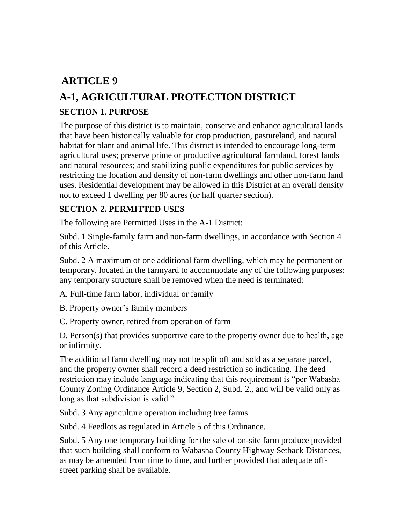## **ARTICLE 9**

# **A-1, AGRICULTURAL PROTECTION DISTRICT**

### **SECTION 1. PURPOSE**

The purpose of this district is to maintain, conserve and enhance agricultural lands that have been historically valuable for crop production, pastureland, and natural habitat for plant and animal life. This district is intended to encourage long-term agricultural uses; preserve prime or productive agricultural farmland, forest lands and natural resources; and stabilizing public expenditures for public services by restricting the location and density of non-farm dwellings and other non-farm land uses. Residential development may be allowed in this District at an overall density not to exceed 1 dwelling per 80 acres (or half quarter section).

#### **SECTION 2. PERMITTED USES**

The following are Permitted Uses in the A-1 District:

Subd. 1 Single-family farm and non-farm dwellings, in accordance with Section 4 of this Article.

Subd. 2 A maximum of one additional farm dwelling, which may be permanent or temporary, located in the farmyard to accommodate any of the following purposes; any temporary structure shall be removed when the need is terminated:

A. Full-time farm labor, individual or family

B. Property owner's family members

C. Property owner, retired from operation of farm

D. Person(s) that provides supportive care to the property owner due to health, age or infirmity.

The additional farm dwelling may not be split off and sold as a separate parcel, and the property owner shall record a deed restriction so indicating. The deed restriction may include language indicating that this requirement is "per Wabasha County Zoning Ordinance Article 9, Section 2, Subd. 2., and will be valid only as long as that subdivision is valid."

Subd. 3 Any agriculture operation including tree farms.

Subd. 4 Feedlots as regulated in Article 5 of this Ordinance.

Subd. 5 Any one temporary building for the sale of on-site farm produce provided that such building shall conform to Wabasha County Highway Setback Distances, as may be amended from time to time, and further provided that adequate offstreet parking shall be available.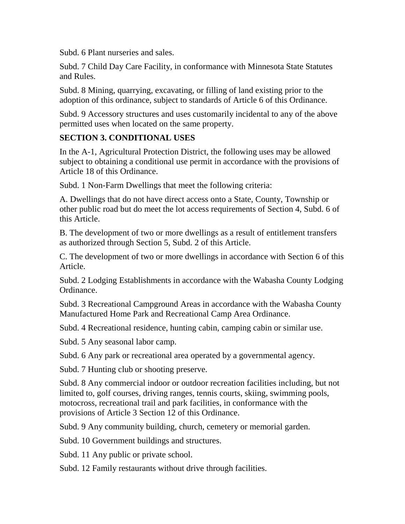Subd. 6 Plant nurseries and sales.

Subd. 7 Child Day Care Facility, in conformance with Minnesota State Statutes and Rules.

Subd. 8 Mining, quarrying, excavating, or filling of land existing prior to the adoption of this ordinance, subject to standards of Article 6 of this Ordinance.

Subd. 9 Accessory structures and uses customarily incidental to any of the above permitted uses when located on the same property.

### **SECTION 3. CONDITIONAL USES**

In the A-1, Agricultural Protection District, the following uses may be allowed subject to obtaining a conditional use permit in accordance with the provisions of Article 18 of this Ordinance.

Subd. 1 Non-Farm Dwellings that meet the following criteria:

A. Dwellings that do not have direct access onto a State, County, Township or other public road but do meet the lot access requirements of Section 4, Subd. 6 of this Article.

B. The development of two or more dwellings as a result of entitlement transfers as authorized through Section 5, Subd. 2 of this Article.

C. The development of two or more dwellings in accordance with Section 6 of this Article.

Subd. 2 Lodging Establishments in accordance with the Wabasha County Lodging Ordinance.

Subd. 3 Recreational Campground Areas in accordance with the Wabasha County Manufactured Home Park and Recreational Camp Area Ordinance.

Subd. 4 Recreational residence, hunting cabin, camping cabin or similar use.

Subd. 5 Any seasonal labor camp.

Subd. 6 Any park or recreational area operated by a governmental agency.

Subd. 7 Hunting club or shooting preserve.

Subd. 8 Any commercial indoor or outdoor recreation facilities including, but not limited to, golf courses, driving ranges, tennis courts, skiing, swimming pools, motocross, recreational trail and park facilities, in conformance with the provisions of Article 3 Section 12 of this Ordinance.

Subd. 9 Any community building, church, cemetery or memorial garden.

Subd. 10 Government buildings and structures.

Subd. 11 Any public or private school.

Subd. 12 Family restaurants without drive through facilities.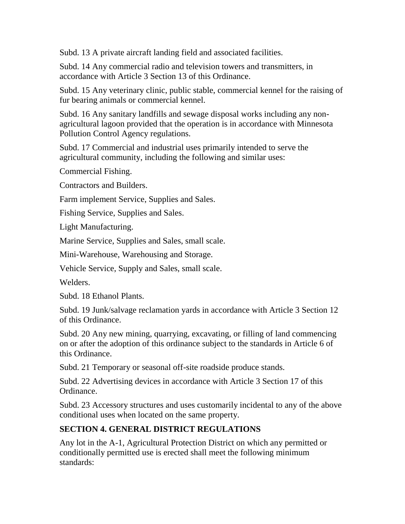Subd. 13 A private aircraft landing field and associated facilities.

Subd. 14 Any commercial radio and television towers and transmitters, in accordance with Article 3 Section 13 of this Ordinance.

Subd. 15 Any veterinary clinic, public stable, commercial kennel for the raising of fur bearing animals or commercial kennel.

Subd. 16 Any sanitary landfills and sewage disposal works including any nonagricultural lagoon provided that the operation is in accordance with Minnesota Pollution Control Agency regulations.

Subd. 17 Commercial and industrial uses primarily intended to serve the agricultural community, including the following and similar uses:

Commercial Fishing.

Contractors and Builders.

Farm implement Service, Supplies and Sales.

Fishing Service, Supplies and Sales.

Light Manufacturing.

Marine Service, Supplies and Sales, small scale.

Mini-Warehouse, Warehousing and Storage.

Vehicle Service, Supply and Sales, small scale.

Welders.

Subd. 18 Ethanol Plants.

Subd. 19 Junk/salvage reclamation yards in accordance with Article 3 Section 12 of this Ordinance.

Subd. 20 Any new mining, quarrying, excavating, or filling of land commencing on or after the adoption of this ordinance subject to the standards in Article 6 of this Ordinance.

Subd. 21 Temporary or seasonal off-site roadside produce stands.

Subd. 22 Advertising devices in accordance with Article 3 Section 17 of this Ordinance.

Subd. 23 Accessory structures and uses customarily incidental to any of the above conditional uses when located on the same property.

### **SECTION 4. GENERAL DISTRICT REGULATIONS**

Any lot in the A-1, Agricultural Protection District on which any permitted or conditionally permitted use is erected shall meet the following minimum standards: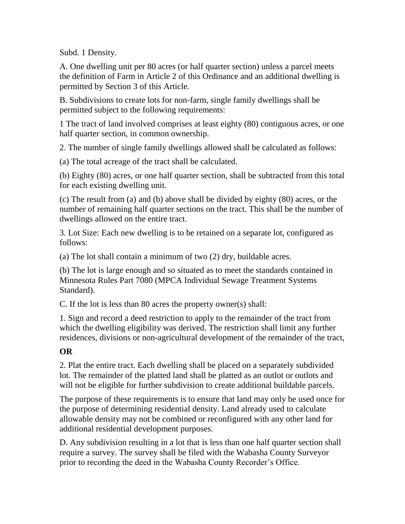Subd. 1 Density.

A. One dwelling unit per 80 acres (or half quarter section) unless a parcel meets the definition of Farm in Article 2 of this Ordinance and an additional dwelling is permitted by Section 3 of this Article.

B. Subdivisions to create lots for non-farm, single family dwellings shall be permitted subject to the following requirements:

1 The tract of land involved comprises at least eighty (80) contiguous acres, or one half quarter section, in common ownership.

2. The number of single family dwellings allowed shall be calculated as follows:

(a) The total acreage of the tract shall be calculated.

(b) Eighty (80) acres, or one half quarter section, shall be subtracted from this total for each existing dwelling unit.

(c) The result from (a) and (b) above shall be divided by eighty (80) acres, or the number of remaining half quarter sections on the tract. This shall be the number of dwellings allowed on the entire tract.

3. Lot Size: Each new dwelling is to be retained on a separate lot, configured as follows:

(a) The lot shall contain a minimum of two (2) dry, buildable acres.

(b) The lot is large enough and so situated as to meet the standards contained in Minnesota Rules Part 7080 (MPCA Individual Sewage Treatment Systems Standard).

C. If the lot is less than 80 acres the property owner(s) shall:

1. Sign and record a deed restriction to apply to the remainder of the tract from which the dwelling eligibility was derived. The restriction shall limit any further residences, divisions or non-agricultural development of the remainder of the tract,

### **OR**

2. Plat the entire tract. Each dwelling shall be placed on a separately subdivided lot. The remainder of the platted land shall be platted as an outlot or outlots and will not be eligible for further subdivision to create additional buildable parcels.

The purpose of these requirements is to ensure that land may only be used once for the purpose of determining residential density. Land already used to calculate allowable density may not be combined or reconfigured with any other land for additional residential development purposes.

D. Any subdivision resulting in a lot that is less than one half quarter section shall require a survey. The survey shall be filed with the Wabasha County Surveyor prior to recording the deed in the Wabasha County Recorder's Office.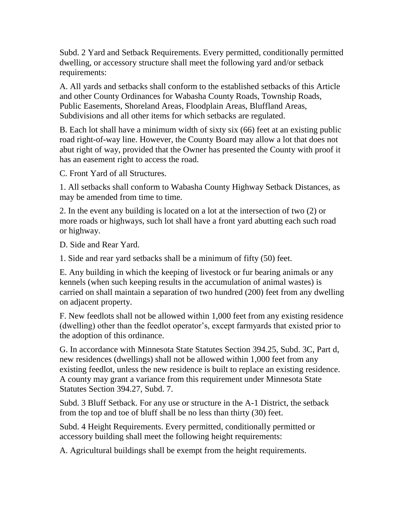Subd. 2 Yard and Setback Requirements. Every permitted, conditionally permitted dwelling, or accessory structure shall meet the following yard and/or setback requirements:

A. All yards and setbacks shall conform to the established setbacks of this Article and other County Ordinances for Wabasha County Roads, Township Roads, Public Easements, Shoreland Areas, Floodplain Areas, Bluffland Areas, Subdivisions and all other items for which setbacks are regulated.

B. Each lot shall have a minimum width of sixty six (66) feet at an existing public road right-of-way line. However, the County Board may allow a lot that does not abut right of way, provided that the Owner has presented the County with proof it has an easement right to access the road.

C. Front Yard of all Structures.

1. All setbacks shall conform to Wabasha County Highway Setback Distances, as may be amended from time to time.

2. In the event any building is located on a lot at the intersection of two (2) or more roads or highways, such lot shall have a front yard abutting each such road or highway.

D. Side and Rear Yard.

1. Side and rear yard setbacks shall be a minimum of fifty (50) feet.

E. Any building in which the keeping of livestock or fur bearing animals or any kennels (when such keeping results in the accumulation of animal wastes) is carried on shall maintain a separation of two hundred (200) feet from any dwelling on adjacent property.

F. New feedlots shall not be allowed within 1,000 feet from any existing residence (dwelling) other than the feedlot operator's, except farmyards that existed prior to the adoption of this ordinance.

G. In accordance with Minnesota State Statutes Section 394.25, Subd. 3C, Part d, new residences (dwellings) shall not be allowed within 1,000 feet from any existing feedlot, unless the new residence is built to replace an existing residence. A county may grant a variance from this requirement under Minnesota State Statutes Section 394.27, Subd. 7.

Subd. 3 Bluff Setback. For any use or structure in the A-1 District, the setback from the top and toe of bluff shall be no less than thirty (30) feet.

Subd. 4 Height Requirements. Every permitted, conditionally permitted or accessory building shall meet the following height requirements:

A. Agricultural buildings shall be exempt from the height requirements.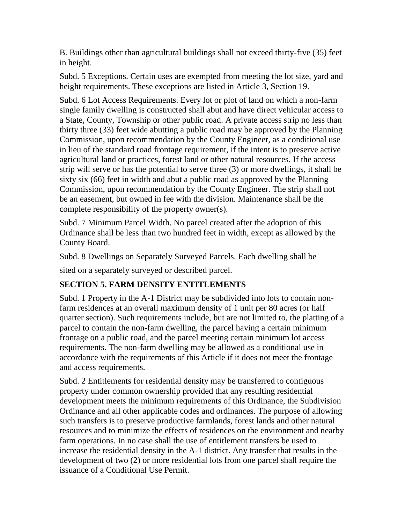B. Buildings other than agricultural buildings shall not exceed thirty-five (35) feet in height.

Subd. 5 Exceptions. Certain uses are exempted from meeting the lot size, yard and height requirements. These exceptions are listed in Article 3, Section 19.

Subd. 6 Lot Access Requirements. Every lot or plot of land on which a non-farm single family dwelling is constructed shall abut and have direct vehicular access to a State, County, Township or other public road. A private access strip no less than thirty three (33) feet wide abutting a public road may be approved by the Planning Commission, upon recommendation by the County Engineer, as a conditional use in lieu of the standard road frontage requirement, if the intent is to preserve active agricultural land or practices, forest land or other natural resources. If the access strip will serve or has the potential to serve three (3) or more dwellings, it shall be sixty six (66) feet in width and abut a public road as approved by the Planning Commission, upon recommendation by the County Engineer. The strip shall not be an easement, but owned in fee with the division. Maintenance shall be the complete responsibility of the property owner(s).

Subd. 7 Minimum Parcel Width. No parcel created after the adoption of this Ordinance shall be less than two hundred feet in width, except as allowed by the County Board.

Subd. 8 Dwellings on Separately Surveyed Parcels. Each dwelling shall be

sited on a separately surveyed or described parcel.

### **SECTION 5. FARM DENSITY ENTITLEMENTS**

Subd. 1 Property in the A-1 District may be subdivided into lots to contain nonfarm residences at an overall maximum density of 1 unit per 80 acres (or half quarter section). Such requirements include, but are not limited to, the platting of a parcel to contain the non-farm dwelling, the parcel having a certain minimum frontage on a public road, and the parcel meeting certain minimum lot access requirements. The non-farm dwelling may be allowed as a conditional use in accordance with the requirements of this Article if it does not meet the frontage and access requirements.

Subd. 2 Entitlements for residential density may be transferred to contiguous property under common ownership provided that any resulting residential development meets the minimum requirements of this Ordinance, the Subdivision Ordinance and all other applicable codes and ordinances. The purpose of allowing such transfers is to preserve productive farmlands, forest lands and other natural resources and to minimize the effects of residences on the environment and nearby farm operations. In no case shall the use of entitlement transfers be used to increase the residential density in the A-1 district. Any transfer that results in the development of two (2) or more residential lots from one parcel shall require the issuance of a Conditional Use Permit.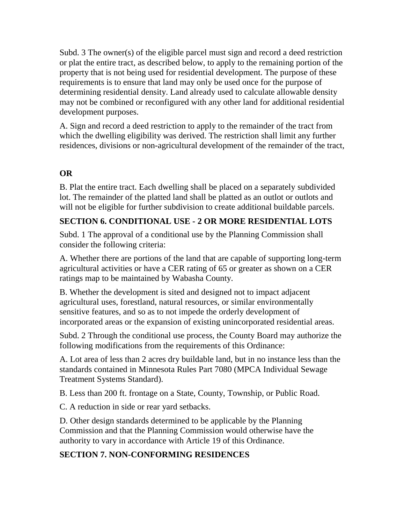Subd. 3 The owner(s) of the eligible parcel must sign and record a deed restriction or plat the entire tract, as described below, to apply to the remaining portion of the property that is not being used for residential development. The purpose of these requirements is to ensure that land may only be used once for the purpose of determining residential density. Land already used to calculate allowable density may not be combined or reconfigured with any other land for additional residential development purposes.

A. Sign and record a deed restriction to apply to the remainder of the tract from which the dwelling eligibility was derived. The restriction shall limit any further residences, divisions or non-agricultural development of the remainder of the tract,

### **OR**

B. Plat the entire tract. Each dwelling shall be placed on a separately subdivided lot. The remainder of the platted land shall be platted as an outlot or outlots and will not be eligible for further subdivision to create additional buildable parcels.

### **SECTION 6. CONDITIONAL USE - 2 OR MORE RESIDENTIAL LOTS**

Subd. 1 The approval of a conditional use by the Planning Commission shall consider the following criteria:

A. Whether there are portions of the land that are capable of supporting long-term agricultural activities or have a CER rating of 65 or greater as shown on a CER ratings map to be maintained by Wabasha County.

B. Whether the development is sited and designed not to impact adjacent agricultural uses, forestland, natural resources, or similar environmentally sensitive features, and so as to not impede the orderly development of incorporated areas or the expansion of existing unincorporated residential areas.

Subd. 2 Through the conditional use process, the County Board may authorize the following modifications from the requirements of this Ordinance:

A. Lot area of less than 2 acres dry buildable land, but in no instance less than the standards contained in Minnesota Rules Part 7080 (MPCA Individual Sewage Treatment Systems Standard).

B. Less than 200 ft. frontage on a State, County, Township, or Public Road.

C. A reduction in side or rear yard setbacks.

D. Other design standards determined to be applicable by the Planning Commission and that the Planning Commission would otherwise have the authority to vary in accordance with Article 19 of this Ordinance.

### **SECTION 7. NON-CONFORMING RESIDENCES**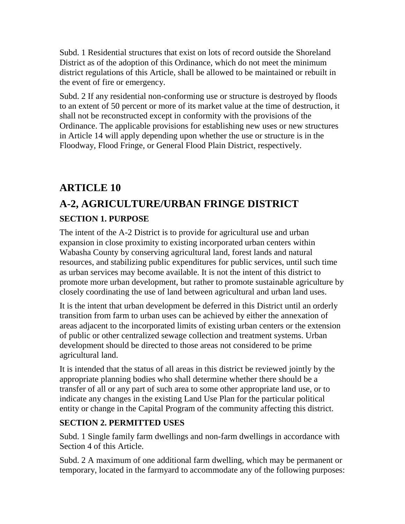Subd. 1 Residential structures that exist on lots of record outside the Shoreland District as of the adoption of this Ordinance, which do not meet the minimum district regulations of this Article, shall be allowed to be maintained or rebuilt in the event of fire or emergency.

Subd. 2 If any residential non-conforming use or structure is destroyed by floods to an extent of 50 percent or more of its market value at the time of destruction, it shall not be reconstructed except in conformity with the provisions of the Ordinance. The applicable provisions for establishing new uses or new structures in Article 14 will apply depending upon whether the use or structure is in the Floodway, Flood Fringe, or General Flood Plain District, respectively.

# **ARTICLE 10 A-2, AGRICULTURE/URBAN FRINGE DISTRICT SECTION 1. PURPOSE**

The intent of the A-2 District is to provide for agricultural use and urban expansion in close proximity to existing incorporated urban centers within Wabasha County by conserving agricultural land, forest lands and natural resources, and stabilizing public expenditures for public services, until such time as urban services may become available. It is not the intent of this district to promote more urban development, but rather to promote sustainable agriculture by closely coordinating the use of land between agricultural and urban land uses.

It is the intent that urban development be deferred in this District until an orderly transition from farm to urban uses can be achieved by either the annexation of areas adjacent to the incorporated limits of existing urban centers or the extension of public or other centralized sewage collection and treatment systems. Urban development should be directed to those areas not considered to be prime agricultural land.

It is intended that the status of all areas in this district be reviewed jointly by the appropriate planning bodies who shall determine whether there should be a transfer of all or any part of such area to some other appropriate land use, or to indicate any changes in the existing Land Use Plan for the particular political entity or change in the Capital Program of the community affecting this district.

### **SECTION 2. PERMITTED USES**

Subd. 1 Single family farm dwellings and non-farm dwellings in accordance with Section 4 of this Article.

Subd. 2 A maximum of one additional farm dwelling, which may be permanent or temporary, located in the farmyard to accommodate any of the following purposes: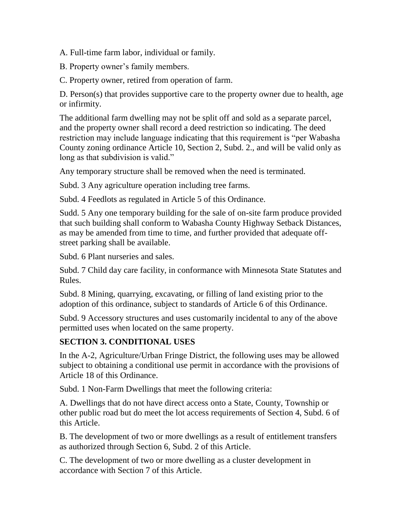A. Full-time farm labor, individual or family.

B. Property owner's family members.

C. Property owner, retired from operation of farm.

D. Person(s) that provides supportive care to the property owner due to health, age or infirmity.

The additional farm dwelling may not be split off and sold as a separate parcel, and the property owner shall record a deed restriction so indicating. The deed restriction may include language indicating that this requirement is "per Wabasha County zoning ordinance Article 10, Section 2, Subd. 2., and will be valid only as long as that subdivision is valid."

Any temporary structure shall be removed when the need is terminated.

Subd. 3 Any agriculture operation including tree farms.

Subd. 4 Feedlots as regulated in Article 5 of this Ordinance.

Sudd. 5 Any one temporary building for the sale of on-site farm produce provided that such building shall conform to Wabasha County Highway Setback Distances, as may be amended from time to time, and further provided that adequate offstreet parking shall be available.

Subd. 6 Plant nurseries and sales.

Subd. 7 Child day care facility, in conformance with Minnesota State Statutes and Rules.

Subd. 8 Mining, quarrying, excavating, or filling of land existing prior to the adoption of this ordinance, subject to standards of Article 6 of this Ordinance.

Subd. 9 Accessory structures and uses customarily incidental to any of the above permitted uses when located on the same property.

### **SECTION 3. CONDITIONAL USES**

In the A-2, Agriculture/Urban Fringe District, the following uses may be allowed subject to obtaining a conditional use permit in accordance with the provisions of Article 18 of this Ordinance.

Subd. 1 Non-Farm Dwellings that meet the following criteria:

A. Dwellings that do not have direct access onto a State, County, Township or other public road but do meet the lot access requirements of Section 4, Subd. 6 of this Article.

B. The development of two or more dwellings as a result of entitlement transfers as authorized through Section 6, Subd. 2 of this Article.

C. The development of two or more dwelling as a cluster development in accordance with Section 7 of this Article.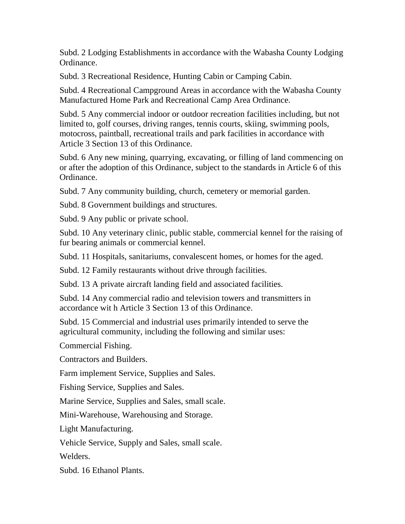Subd. 2 Lodging Establishments in accordance with the Wabasha County Lodging Ordinance.

Subd. 3 Recreational Residence, Hunting Cabin or Camping Cabin.

Subd. 4 Recreational Campground Areas in accordance with the Wabasha County Manufactured Home Park and Recreational Camp Area Ordinance.

Subd. 5 Any commercial indoor or outdoor recreation facilities including, but not limited to, golf courses, driving ranges, tennis courts, skiing, swimming pools, motocross, paintball, recreational trails and park facilities in accordance with Article 3 Section 13 of this Ordinance.

Subd. 6 Any new mining, quarrying, excavating, or filling of land commencing on or after the adoption of this Ordinance, subject to the standards in Article 6 of this Ordinance.

Subd. 7 Any community building, church, cemetery or memorial garden.

Subd. 8 Government buildings and structures.

Subd. 9 Any public or private school.

Subd. 10 Any veterinary clinic, public stable, commercial kennel for the raising of fur bearing animals or commercial kennel.

Subd. 11 Hospitals, sanitariums, convalescent homes, or homes for the aged.

Subd. 12 Family restaurants without drive through facilities.

Subd. 13 A private aircraft landing field and associated facilities.

Subd. 14 Any commercial radio and television towers and transmitters in accordance wit h Article 3 Section 13 of this Ordinance.

Subd. 15 Commercial and industrial uses primarily intended to serve the agricultural community, including the following and similar uses:

Commercial Fishing.

Contractors and Builders.

Farm implement Service, Supplies and Sales.

Fishing Service, Supplies and Sales.

Marine Service, Supplies and Sales, small scale.

Mini-Warehouse, Warehousing and Storage.

Light Manufacturing.

Vehicle Service, Supply and Sales, small scale.

Welders.

Subd. 16 Ethanol Plants.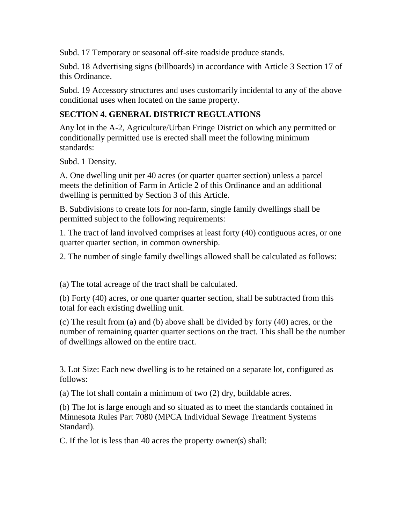Subd. 17 Temporary or seasonal off-site roadside produce stands.

Subd. 18 Advertising signs (billboards) in accordance with Article 3 Section 17 of this Ordinance.

Subd. 19 Accessory structures and uses customarily incidental to any of the above conditional uses when located on the same property.

#### **SECTION 4. GENERAL DISTRICT REGULATIONS**

Any lot in the A-2, Agriculture/Urban Fringe District on which any permitted or conditionally permitted use is erected shall meet the following minimum standards:

Subd. 1 Density.

A. One dwelling unit per 40 acres (or quarter quarter section) unless a parcel meets the definition of Farm in Article 2 of this Ordinance and an additional dwelling is permitted by Section 3 of this Article.

B. Subdivisions to create lots for non-farm, single family dwellings shall be permitted subject to the following requirements:

1. The tract of land involved comprises at least forty (40) contiguous acres, or one quarter quarter section, in common ownership.

2. The number of single family dwellings allowed shall be calculated as follows:

(a) The total acreage of the tract shall be calculated.

(b) Forty (40) acres, or one quarter quarter section, shall be subtracted from this total for each existing dwelling unit.

(c) The result from (a) and (b) above shall be divided by forty (40) acres, or the number of remaining quarter quarter sections on the tract. This shall be the number of dwellings allowed on the entire tract.

3. Lot Size: Each new dwelling is to be retained on a separate lot, configured as follows:

(a) The lot shall contain a minimum of two (2) dry, buildable acres.

(b) The lot is large enough and so situated as to meet the standards contained in Minnesota Rules Part 7080 (MPCA Individual Sewage Treatment Systems Standard).

C. If the lot is less than 40 acres the property owner(s) shall: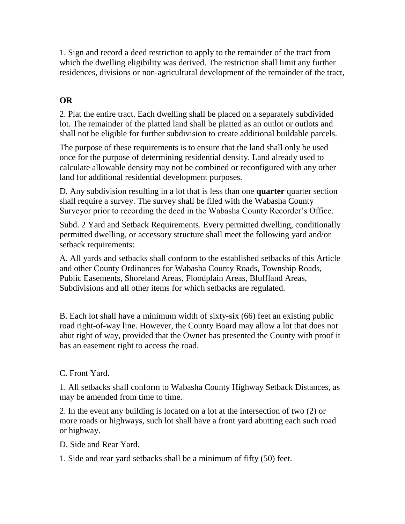1. Sign and record a deed restriction to apply to the remainder of the tract from which the dwelling eligibility was derived. The restriction shall limit any further residences, divisions or non-agricultural development of the remainder of the tract,

### **OR**

2. Plat the entire tract. Each dwelling shall be placed on a separately subdivided lot. The remainder of the platted land shall be platted as an outlot or outlots and shall not be eligible for further subdivision to create additional buildable parcels.

The purpose of these requirements is to ensure that the land shall only be used once for the purpose of determining residential density. Land already used to calculate allowable density may not be combined or reconfigured with any other land for additional residential development purposes.

D. Any subdivision resulting in a lot that is less than one **quarter** quarter section shall require a survey. The survey shall be filed with the Wabasha County Surveyor prior to recording the deed in the Wabasha County Recorder's Office.

Subd. 2 Yard and Setback Requirements. Every permitted dwelling, conditionally permitted dwelling, or accessory structure shall meet the following yard and/or setback requirements:

A. All yards and setbacks shall conform to the established setbacks of this Article and other County Ordinances for Wabasha County Roads, Township Roads, Public Easements, Shoreland Areas, Floodplain Areas, Bluffland Areas, Subdivisions and all other items for which setbacks are regulated.

B. Each lot shall have a minimum width of sixty-six (66) feet an existing public road right-of-way line. However, the County Board may allow a lot that does not abut right of way, provided that the Owner has presented the County with proof it has an easement right to access the road.

#### C. Front Yard.

1. All setbacks shall conform to Wabasha County Highway Setback Distances, as may be amended from time to time.

2. In the event any building is located on a lot at the intersection of two (2) or more roads or highways, such lot shall have a front yard abutting each such road or highway.

D. Side and Rear Yard.

1. Side and rear yard setbacks shall be a minimum of fifty (50) feet.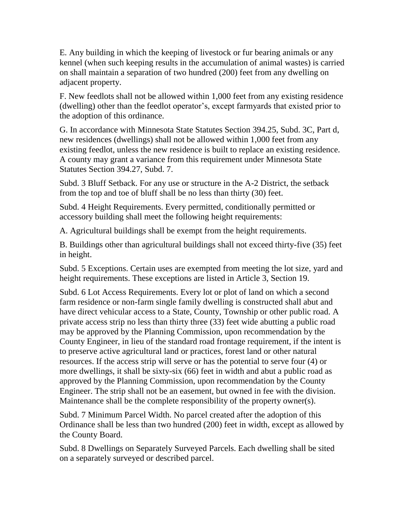E. Any building in which the keeping of livestock or fur bearing animals or any kennel (when such keeping results in the accumulation of animal wastes) is carried on shall maintain a separation of two hundred (200) feet from any dwelling on adjacent property.

F. New feedlots shall not be allowed within 1,000 feet from any existing residence (dwelling) other than the feedlot operator's, except farmyards that existed prior to the adoption of this ordinance.

G. In accordance with Minnesota State Statutes Section 394.25, Subd. 3C, Part d, new residences (dwellings) shall not be allowed within 1,000 feet from any existing feedlot, unless the new residence is built to replace an existing residence. A county may grant a variance from this requirement under Minnesota State Statutes Section 394.27, Subd. 7.

Subd. 3 Bluff Setback. For any use or structure in the A-2 District, the setback from the top and toe of bluff shall be no less than thirty (30) feet.

Subd. 4 Height Requirements. Every permitted, conditionally permitted or accessory building shall meet the following height requirements:

A. Agricultural buildings shall be exempt from the height requirements.

B. Buildings other than agricultural buildings shall not exceed thirty-five (35) feet in height.

Subd. 5 Exceptions. Certain uses are exempted from meeting the lot size, yard and height requirements. These exceptions are listed in Article 3, Section 19.

Subd. 6 Lot Access Requirements. Every lot or plot of land on which a second farm residence or non-farm single family dwelling is constructed shall abut and have direct vehicular access to a State, County, Township or other public road. A private access strip no less than thirty three (33) feet wide abutting a public road may be approved by the Planning Commission, upon recommendation by the County Engineer, in lieu of the standard road frontage requirement, if the intent is to preserve active agricultural land or practices, forest land or other natural resources. If the access strip will serve or has the potential to serve four (4) or more dwellings, it shall be sixty-six (66) feet in width and abut a public road as approved by the Planning Commission, upon recommendation by the County Engineer. The strip shall not be an easement, but owned in fee with the division. Maintenance shall be the complete responsibility of the property owner(s).

Subd. 7 Minimum Parcel Width. No parcel created after the adoption of this Ordinance shall be less than two hundred (200) feet in width, except as allowed by the County Board.

Subd. 8 Dwellings on Separately Surveyed Parcels. Each dwelling shall be sited on a separately surveyed or described parcel.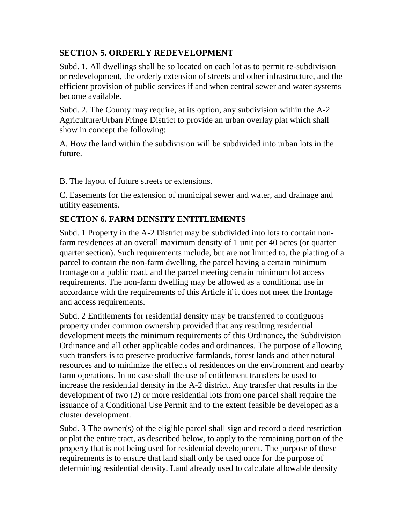### **SECTION 5. ORDERLY REDEVELOPMENT**

Subd. 1. All dwellings shall be so located on each lot as to permit re-subdivision or redevelopment, the orderly extension of streets and other infrastructure, and the efficient provision of public services if and when central sewer and water systems become available.

Subd. 2. The County may require, at its option, any subdivision within the A-2 Agriculture/Urban Fringe District to provide an urban overlay plat which shall show in concept the following:

A. How the land within the subdivision will be subdivided into urban lots in the future.

B. The layout of future streets or extensions.

C. Easements for the extension of municipal sewer and water, and drainage and utility easements.

### **SECTION 6. FARM DENSITY ENTITLEMENTS**

Subd. 1 Property in the A-2 District may be subdivided into lots to contain nonfarm residences at an overall maximum density of 1 unit per 40 acres (or quarter quarter section). Such requirements include, but are not limited to, the platting of a parcel to contain the non-farm dwelling, the parcel having a certain minimum frontage on a public road, and the parcel meeting certain minimum lot access requirements. The non-farm dwelling may be allowed as a conditional use in accordance with the requirements of this Article if it does not meet the frontage and access requirements.

Subd. 2 Entitlements for residential density may be transferred to contiguous property under common ownership provided that any resulting residential development meets the minimum requirements of this Ordinance, the Subdivision Ordinance and all other applicable codes and ordinances. The purpose of allowing such transfers is to preserve productive farmlands, forest lands and other natural resources and to minimize the effects of residences on the environment and nearby farm operations. In no case shall the use of entitlement transfers be used to increase the residential density in the A-2 district. Any transfer that results in the development of two (2) or more residential lots from one parcel shall require the issuance of a Conditional Use Permit and to the extent feasible be developed as a cluster development.

Subd. 3 The owner(s) of the eligible parcel shall sign and record a deed restriction or plat the entire tract, as described below, to apply to the remaining portion of the property that is not being used for residential development. The purpose of these requirements is to ensure that land shall only be used once for the purpose of determining residential density. Land already used to calculate allowable density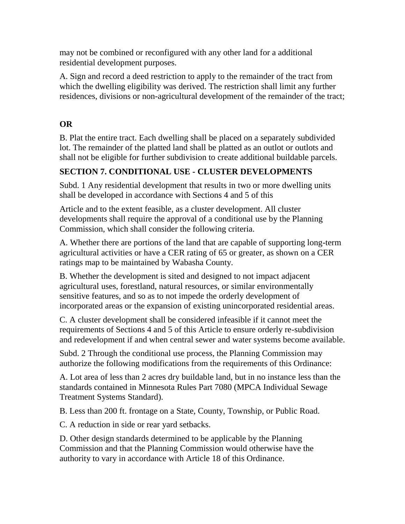may not be combined or reconfigured with any other land for a additional residential development purposes.

A. Sign and record a deed restriction to apply to the remainder of the tract from which the dwelling eligibility was derived. The restriction shall limit any further residences, divisions or non-agricultural development of the remainder of the tract;

### **OR**

B. Plat the entire tract. Each dwelling shall be placed on a separately subdivided lot. The remainder of the platted land shall be platted as an outlot or outlots and shall not be eligible for further subdivision to create additional buildable parcels.

### **SECTION 7. CONDITIONAL USE - CLUSTER DEVELOPMENTS**

Subd. 1 Any residential development that results in two or more dwelling units shall be developed in accordance with Sections 4 and 5 of this

Article and to the extent feasible, as a cluster development. All cluster developments shall require the approval of a conditional use by the Planning Commission, which shall consider the following criteria.

A. Whether there are portions of the land that are capable of supporting long-term agricultural activities or have a CER rating of 65 or greater, as shown on a CER ratings map to be maintained by Wabasha County.

B. Whether the development is sited and designed to not impact adjacent agricultural uses, forestland, natural resources, or similar environmentally sensitive features, and so as to not impede the orderly development of incorporated areas or the expansion of existing unincorporated residential areas.

C. A cluster development shall be considered infeasible if it cannot meet the requirements of Sections 4 and 5 of this Article to ensure orderly re-subdivision and redevelopment if and when central sewer and water systems become available.

Subd. 2 Through the conditional use process, the Planning Commission may authorize the following modifications from the requirements of this Ordinance:

A. Lot area of less than 2 acres dry buildable land, but in no instance less than the standards contained in Minnesota Rules Part 7080 (MPCA Individual Sewage Treatment Systems Standard).

B. Less than 200 ft. frontage on a State, County, Township, or Public Road.

C. A reduction in side or rear yard setbacks.

D. Other design standards determined to be applicable by the Planning Commission and that the Planning Commission would otherwise have the authority to vary in accordance with Article 18 of this Ordinance.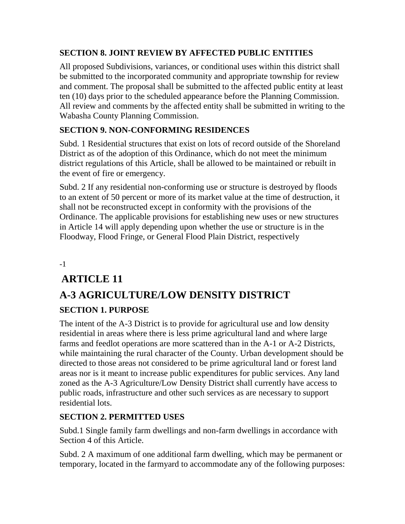### **SECTION 8. JOINT REVIEW BY AFFECTED PUBLIC ENTITIES**

All proposed Subdivisions, variances, or conditional uses within this district shall be submitted to the incorporated community and appropriate township for review and comment. The proposal shall be submitted to the affected public entity at least ten (10) days prior to the scheduled appearance before the Planning Commission. All review and comments by the affected entity shall be submitted in writing to the Wabasha County Planning Commission.

### **SECTION 9. NON-CONFORMING RESIDENCES**

Subd. 1 Residential structures that exist on lots of record outside of the Shoreland District as of the adoption of this Ordinance, which do not meet the minimum district regulations of this Article, shall be allowed to be maintained or rebuilt in the event of fire or emergency.

Subd. 2 If any residential non-conforming use or structure is destroyed by floods to an extent of 50 percent or more of its market value at the time of destruction, it shall not be reconstructed except in conformity with the provisions of the Ordinance. The applicable provisions for establishing new uses or new structures in Article 14 will apply depending upon whether the use or structure is in the Floodway, Flood Fringe, or General Flood Plain District, respectively

-1

## **ARTICLE 11**

## **A-3 AGRICULTURE/LOW DENSITY DISTRICT SECTION 1. PURPOSE**

The intent of the A-3 District is to provide for agricultural use and low density residential in areas where there is less prime agricultural land and where large farms and feedlot operations are more scattered than in the A-1 or A-2 Districts, while maintaining the rural character of the County. Urban development should be directed to those areas not considered to be prime agricultural land or forest land areas nor is it meant to increase public expenditures for public services. Any land zoned as the A-3 Agriculture/Low Density District shall currently have access to public roads, infrastructure and other such services as are necessary to support residential lots.

### **SECTION 2. PERMITTED USES**

Subd.1 Single family farm dwellings and non-farm dwellings in accordance with Section 4 of this Article.

Subd. 2 A maximum of one additional farm dwelling, which may be permanent or temporary, located in the farmyard to accommodate any of the following purposes: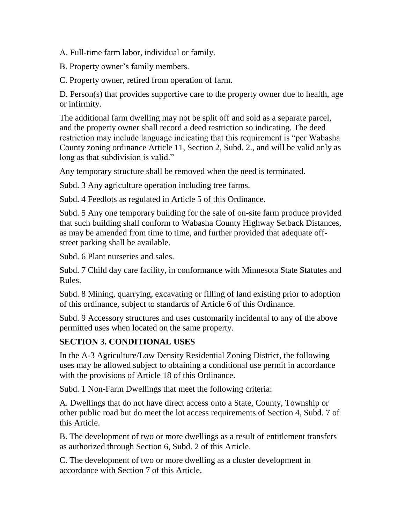A. Full-time farm labor, individual or family.

B. Property owner's family members.

C. Property owner, retired from operation of farm.

D. Person(s) that provides supportive care to the property owner due to health, age or infirmity.

The additional farm dwelling may not be split off and sold as a separate parcel, and the property owner shall record a deed restriction so indicating. The deed restriction may include language indicating that this requirement is "per Wabasha County zoning ordinance Article 11, Section 2, Subd. 2., and will be valid only as long as that subdivision is valid."

Any temporary structure shall be removed when the need is terminated.

Subd. 3 Any agriculture operation including tree farms.

Subd. 4 Feedlots as regulated in Article 5 of this Ordinance.

Subd. 5 Any one temporary building for the sale of on-site farm produce provided that such building shall conform to Wabasha County Highway Setback Distances, as may be amended from time to time, and further provided that adequate offstreet parking shall be available.

Subd. 6 Plant nurseries and sales.

Subd. 7 Child day care facility, in conformance with Minnesota State Statutes and Rules.

Subd. 8 Mining, quarrying, excavating or filling of land existing prior to adoption of this ordinance, subject to standards of Article 6 of this Ordinance.

Subd. 9 Accessory structures and uses customarily incidental to any of the above permitted uses when located on the same property.

### **SECTION 3. CONDITIONAL USES**

In the A-3 Agriculture/Low Density Residential Zoning District, the following uses may be allowed subject to obtaining a conditional use permit in accordance with the provisions of Article 18 of this Ordinance.

Subd. 1 Non-Farm Dwellings that meet the following criteria:

A. Dwellings that do not have direct access onto a State, County, Township or other public road but do meet the lot access requirements of Section 4, Subd. 7 of this Article.

B. The development of two or more dwellings as a result of entitlement transfers as authorized through Section 6, Subd. 2 of this Article.

C. The development of two or more dwelling as a cluster development in accordance with Section 7 of this Article.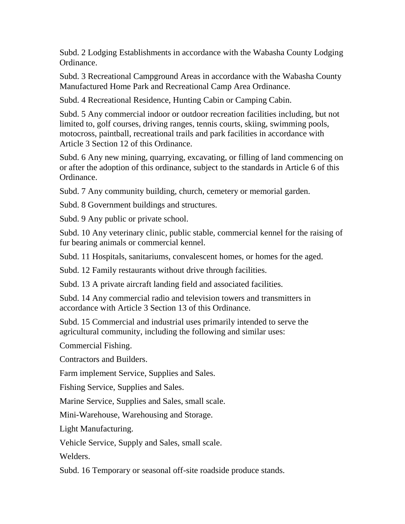Subd. 2 Lodging Establishments in accordance with the Wabasha County Lodging Ordinance.

Subd. 3 Recreational Campground Areas in accordance with the Wabasha County Manufactured Home Park and Recreational Camp Area Ordinance.

Subd. 4 Recreational Residence, Hunting Cabin or Camping Cabin.

Subd. 5 Any commercial indoor or outdoor recreation facilities including, but not limited to, golf courses, driving ranges, tennis courts, skiing, swimming pools, motocross, paintball, recreational trails and park facilities in accordance with Article 3 Section 12 of this Ordinance.

Subd. 6 Any new mining, quarrying, excavating, or filling of land commencing on or after the adoption of this ordinance, subject to the standards in Article 6 of this Ordinance.

Subd. 7 Any community building, church, cemetery or memorial garden.

Subd. 8 Government buildings and structures.

Subd. 9 Any public or private school.

Subd. 10 Any veterinary clinic, public stable, commercial kennel for the raising of fur bearing animals or commercial kennel.

Subd. 11 Hospitals, sanitariums, convalescent homes, or homes for the aged.

Subd. 12 Family restaurants without drive through facilities.

Subd. 13 A private aircraft landing field and associated facilities.

Subd. 14 Any commercial radio and television towers and transmitters in accordance with Article 3 Section 13 of this Ordinance.

Subd. 15 Commercial and industrial uses primarily intended to serve the agricultural community, including the following and similar uses:

Commercial Fishing.

Contractors and Builders.

Farm implement Service, Supplies and Sales.

Fishing Service, Supplies and Sales.

Marine Service, Supplies and Sales, small scale.

Mini-Warehouse, Warehousing and Storage.

Light Manufacturing.

Vehicle Service, Supply and Sales, small scale.

Welders.

Subd. 16 Temporary or seasonal off-site roadside produce stands.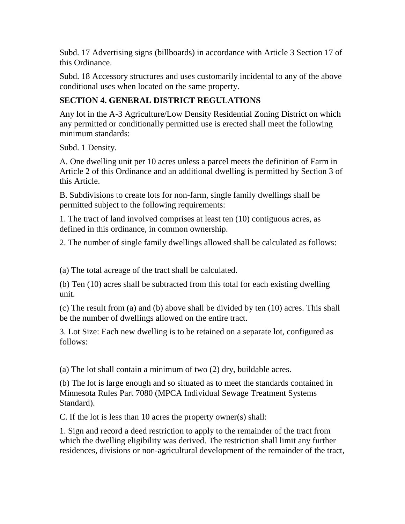Subd. 17 Advertising signs (billboards) in accordance with Article 3 Section 17 of this Ordinance.

Subd. 18 Accessory structures and uses customarily incidental to any of the above conditional uses when located on the same property.

### **SECTION 4. GENERAL DISTRICT REGULATIONS**

Any lot in the A-3 Agriculture/Low Density Residential Zoning District on which any permitted or conditionally permitted use is erected shall meet the following minimum standards:

Subd. 1 Density.

A. One dwelling unit per 10 acres unless a parcel meets the definition of Farm in Article 2 of this Ordinance and an additional dwelling is permitted by Section 3 of this Article.

B. Subdivisions to create lots for non-farm, single family dwellings shall be permitted subject to the following requirements:

1. The tract of land involved comprises at least ten (10) contiguous acres, as defined in this ordinance, in common ownership.

2. The number of single family dwellings allowed shall be calculated as follows:

(a) The total acreage of the tract shall be calculated.

(b) Ten (10) acres shall be subtracted from this total for each existing dwelling unit.

(c) The result from (a) and (b) above shall be divided by ten (10) acres. This shall be the number of dwellings allowed on the entire tract.

3. Lot Size: Each new dwelling is to be retained on a separate lot, configured as follows:

(a) The lot shall contain a minimum of two (2) dry, buildable acres.

(b) The lot is large enough and so situated as to meet the standards contained in Minnesota Rules Part 7080 (MPCA Individual Sewage Treatment Systems Standard).

C. If the lot is less than 10 acres the property owner(s) shall:

1. Sign and record a deed restriction to apply to the remainder of the tract from which the dwelling eligibility was derived. The restriction shall limit any further residences, divisions or non-agricultural development of the remainder of the tract,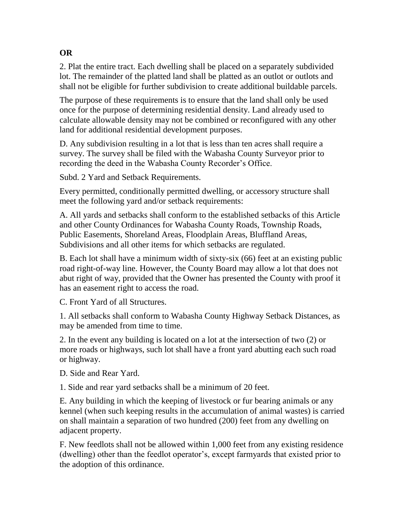#### 2. Plat the entire tract. Each dwelling shall be placed on a separately subdivided lot. The remainder of the platted land shall be platted as an outlot or outlots and shall not be eligible for further subdivision to create additional buildable parcels.

The purpose of these requirements is to ensure that the land shall only be used once for the purpose of determining residential density. Land already used to calculate allowable density may not be combined or reconfigured with any other land for additional residential development purposes.

D. Any subdivision resulting in a lot that is less than ten acres shall require a survey. The survey shall be filed with the Wabasha County Surveyor prior to recording the deed in the Wabasha County Recorder's Office.

Subd. 2 Yard and Setback Requirements.

Every permitted, conditionally permitted dwelling, or accessory structure shall meet the following yard and/or setback requirements:

A. All yards and setbacks shall conform to the established setbacks of this Article and other County Ordinances for Wabasha County Roads, Township Roads, Public Easements, Shoreland Areas, Floodplain Areas, Bluffland Areas, Subdivisions and all other items for which setbacks are regulated.

B. Each lot shall have a minimum width of sixty-six (66) feet at an existing public road right-of-way line. However, the County Board may allow a lot that does not abut right of way, provided that the Owner has presented the County with proof it has an easement right to access the road.

C. Front Yard of all Structures.

1. All setbacks shall conform to Wabasha County Highway Setback Distances, as may be amended from time to time.

2. In the event any building is located on a lot at the intersection of two (2) or more roads or highways, such lot shall have a front yard abutting each such road or highway.

D. Side and Rear Yard.

1. Side and rear yard setbacks shall be a minimum of 20 feet.

E. Any building in which the keeping of livestock or fur bearing animals or any kennel (when such keeping results in the accumulation of animal wastes) is carried on shall maintain a separation of two hundred (200) feet from any dwelling on adjacent property.

F. New feedlots shall not be allowed within 1,000 feet from any existing residence (dwelling) other than the feedlot operator's, except farmyards that existed prior to the adoption of this ordinance.

### **OR**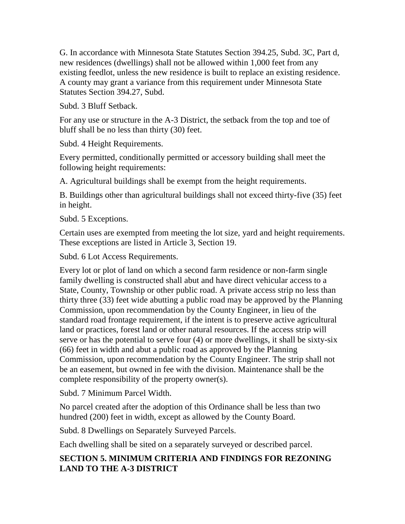G. In accordance with Minnesota State Statutes Section 394.25, Subd. 3C, Part d, new residences (dwellings) shall not be allowed within 1,000 feet from any existing feedlot, unless the new residence is built to replace an existing residence. A county may grant a variance from this requirement under Minnesota State Statutes Section 394.27, Subd.

Subd. 3 Bluff Setback.

For any use or structure in the A-3 District, the setback from the top and toe of bluff shall be no less than thirty (30) feet.

Subd. 4 Height Requirements.

Every permitted, conditionally permitted or accessory building shall meet the following height requirements:

A. Agricultural buildings shall be exempt from the height requirements.

B. Buildings other than agricultural buildings shall not exceed thirty-five (35) feet in height.

Subd. 5 Exceptions.

Certain uses are exempted from meeting the lot size, yard and height requirements. These exceptions are listed in Article 3, Section 19.

Subd. 6 Lot Access Requirements.

Every lot or plot of land on which a second farm residence or non-farm single family dwelling is constructed shall abut and have direct vehicular access to a State, County, Township or other public road. A private access strip no less than thirty three (33) feet wide abutting a public road may be approved by the Planning Commission, upon recommendation by the County Engineer, in lieu of the standard road frontage requirement, if the intent is to preserve active agricultural land or practices, forest land or other natural resources. If the access strip will serve or has the potential to serve four (4) or more dwellings, it shall be sixty-six (66) feet in width and abut a public road as approved by the Planning Commission, upon recommendation by the County Engineer. The strip shall not be an easement, but owned in fee with the division. Maintenance shall be the complete responsibility of the property owner(s).

Subd. 7 Minimum Parcel Width.

No parcel created after the adoption of this Ordinance shall be less than two hundred (200) feet in width, except as allowed by the County Board.

Subd. 8 Dwellings on Separately Surveyed Parcels.

Each dwelling shall be sited on a separately surveyed or described parcel.

### **SECTION 5. MINIMUM CRITERIA AND FINDINGS FOR REZONING LAND TO THE A-3 DISTRICT**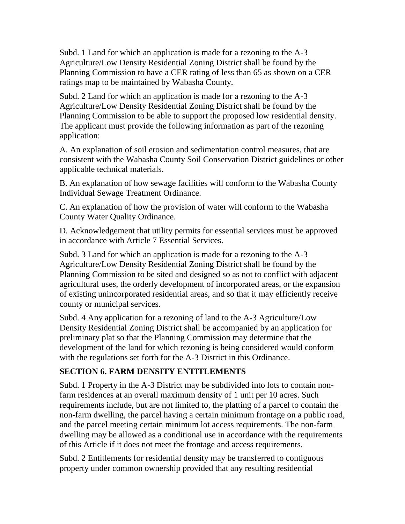Subd. 1 Land for which an application is made for a rezoning to the A-3 Agriculture/Low Density Residential Zoning District shall be found by the Planning Commission to have a CER rating of less than 65 as shown on a CER ratings map to be maintained by Wabasha County.

Subd. 2 Land for which an application is made for a rezoning to the A-3 Agriculture/Low Density Residential Zoning District shall be found by the Planning Commission to be able to support the proposed low residential density. The applicant must provide the following information as part of the rezoning application:

A. An explanation of soil erosion and sedimentation control measures, that are consistent with the Wabasha County Soil Conservation District guidelines or other applicable technical materials.

B. An explanation of how sewage facilities will conform to the Wabasha County Individual Sewage Treatment Ordinance.

C. An explanation of how the provision of water will conform to the Wabasha County Water Quality Ordinance.

D. Acknowledgement that utility permits for essential services must be approved in accordance with Article 7 Essential Services.

Subd. 3 Land for which an application is made for a rezoning to the A-3 Agriculture/Low Density Residential Zoning District shall be found by the Planning Commission to be sited and designed so as not to conflict with adjacent agricultural uses, the orderly development of incorporated areas, or the expansion of existing unincorporated residential areas, and so that it may efficiently receive county or municipal services.

Subd. 4 Any application for a rezoning of land to the A-3 Agriculture/Low Density Residential Zoning District shall be accompanied by an application for preliminary plat so that the Planning Commission may determine that the development of the land for which rezoning is being considered would conform with the regulations set forth for the A-3 District in this Ordinance.

### **SECTION 6. FARM DENSITY ENTITLEMENTS**

Subd. 1 Property in the A-3 District may be subdivided into lots to contain nonfarm residences at an overall maximum density of 1 unit per 10 acres. Such requirements include, but are not limited to, the platting of a parcel to contain the non-farm dwelling, the parcel having a certain minimum frontage on a public road, and the parcel meeting certain minimum lot access requirements. The non-farm dwelling may be allowed as a conditional use in accordance with the requirements of this Article if it does not meet the frontage and access requirements.

Subd. 2 Entitlements for residential density may be transferred to contiguous property under common ownership provided that any resulting residential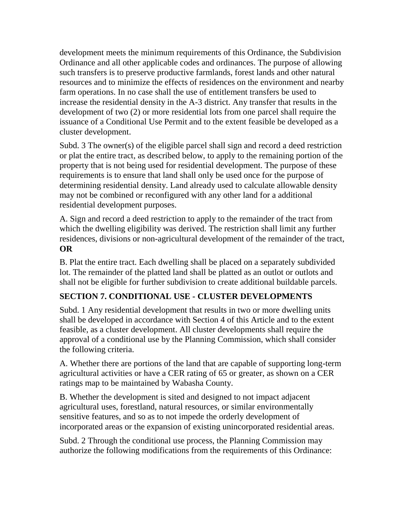development meets the minimum requirements of this Ordinance, the Subdivision Ordinance and all other applicable codes and ordinances. The purpose of allowing such transfers is to preserve productive farmlands, forest lands and other natural resources and to minimize the effects of residences on the environment and nearby farm operations. In no case shall the use of entitlement transfers be used to increase the residential density in the A-3 district. Any transfer that results in the development of two (2) or more residential lots from one parcel shall require the issuance of a Conditional Use Permit and to the extent feasible be developed as a cluster development.

Subd. 3 The owner(s) of the eligible parcel shall sign and record a deed restriction or plat the entire tract, as described below, to apply to the remaining portion of the property that is not being used for residential development. The purpose of these requirements is to ensure that land shall only be used once for the purpose of determining residential density. Land already used to calculate allowable density may not be combined or reconfigured with any other land for a additional residential development purposes.

A. Sign and record a deed restriction to apply to the remainder of the tract from which the dwelling eligibility was derived. The restriction shall limit any further residences, divisions or non-agricultural development of the remainder of the tract, **OR** 

B. Plat the entire tract. Each dwelling shall be placed on a separately subdivided lot. The remainder of the platted land shall be platted as an outlot or outlots and shall not be eligible for further subdivision to create additional buildable parcels.

### **SECTION 7. CONDITIONAL USE - CLUSTER DEVELOPMENTS**

Subd. 1 Any residential development that results in two or more dwelling units shall be developed in accordance with Section 4 of this Article and to the extent feasible, as a cluster development. All cluster developments shall require the approval of a conditional use by the Planning Commission, which shall consider the following criteria.

A. Whether there are portions of the land that are capable of supporting long-term agricultural activities or have a CER rating of 65 or greater, as shown on a CER ratings map to be maintained by Wabasha County.

B. Whether the development is sited and designed to not impact adjacent agricultural uses, forestland, natural resources, or similar environmentally sensitive features, and so as to not impede the orderly development of incorporated areas or the expansion of existing unincorporated residential areas.

Subd. 2 Through the conditional use process, the Planning Commission may authorize the following modifications from the requirements of this Ordinance: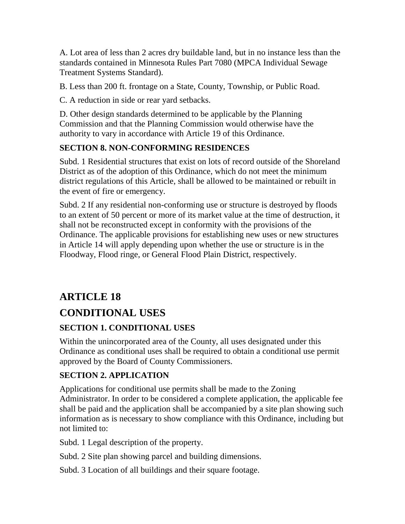A. Lot area of less than 2 acres dry buildable land, but in no instance less than the standards contained in Minnesota Rules Part 7080 (MPCA Individual Sewage Treatment Systems Standard).

B. Less than 200 ft. frontage on a State, County, Township, or Public Road.

C. A reduction in side or rear yard setbacks.

D. Other design standards determined to be applicable by the Planning Commission and that the Planning Commission would otherwise have the authority to vary in accordance with Article 19 of this Ordinance.

### **SECTION 8. NON-CONFORMING RESIDENCES**

Subd. 1 Residential structures that exist on lots of record outside of the Shoreland District as of the adoption of this Ordinance, which do not meet the minimum district regulations of this Article, shall be allowed to be maintained or rebuilt in the event of fire or emergency.

Subd. 2 If any residential non-conforming use or structure is destroyed by floods to an extent of 50 percent or more of its market value at the time of destruction, it shall not be reconstructed except in conformity with the provisions of the Ordinance. The applicable provisions for establishing new uses or new structures in Article 14 will apply depending upon whether the use or structure is in the Floodway, Flood ringe, or General Flood Plain District, respectively.

## **ARTICLE 18**

## **CONDITIONAL USES**

### **SECTION 1. CONDITIONAL USES**

Within the unincorporated area of the County, all uses designated under this Ordinance as conditional uses shall be required to obtain a conditional use permit approved by the Board of County Commissioners.

### **SECTION 2. APPLICATION**

Applications for conditional use permits shall be made to the Zoning Administrator. In order to be considered a complete application, the applicable fee shall be paid and the application shall be accompanied by a site plan showing such information as is necessary to show compliance with this Ordinance, including but not limited to:

Subd. 1 Legal description of the property.

Subd. 2 Site plan showing parcel and building dimensions.

Subd. 3 Location of all buildings and their square footage.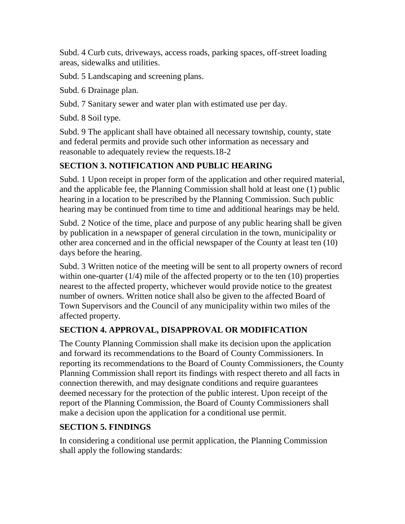Subd. 4 Curb cuts, driveways, access roads, parking spaces, off-street loading areas, sidewalks and utilities.

Subd. 5 Landscaping and screening plans.

Subd. 6 Drainage plan.

Subd. 7 Sanitary sewer and water plan with estimated use per day.

Subd. 8 Soil type.

Subd. 9 The applicant shall have obtained all necessary township, county, state and federal permits and provide such other information as necessary and reasonable to adequately review the requests.18-2

### **SECTION 3. NOTIFICATION AND PUBLIC HEARING**

Subd. 1 Upon receipt in proper form of the application and other required material, and the applicable fee, the Planning Commission shall hold at least one (1) public hearing in a location to be prescribed by the Planning Commission. Such public hearing may be continued from time to time and additional hearings may be held.

Subd. 2 Notice of the time, place and purpose of any public hearing shall be given by publication in a newspaper of general circulation in the town, municipality or other area concerned and in the official newspaper of the County at least ten (10) days before the hearing.

Subd. 3 Written notice of the meeting will be sent to all property owners of record within one-quarter  $(1/4)$  mile of the affected property or to the ten  $(10)$  properties nearest to the affected property, whichever would provide notice to the greatest number of owners. Written notice shall also be given to the affected Board of Town Supervisors and the Council of any municipality within two miles of the affected property.

### **SECTION 4. APPROVAL, DISAPPROVAL OR MODIFICATION**

The County Planning Commission shall make its decision upon the application and forward its recommendations to the Board of County Commissioners. In reporting its recommendations to the Board of County Commissioners, the County Planning Commission shall report its findings with respect thereto and all facts in connection therewith, and may designate conditions and require guarantees deemed necessary for the protection of the public interest. Upon receipt of the report of the Planning Commission, the Board of County Commissioners shall make a decision upon the application for a conditional use permit.

### **SECTION 5. FINDINGS**

In considering a conditional use permit application, the Planning Commission shall apply the following standards: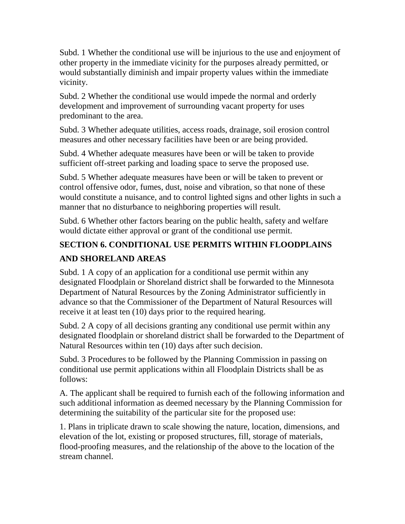Subd. 1 Whether the conditional use will be injurious to the use and enjoyment of other property in the immediate vicinity for the purposes already permitted, or would substantially diminish and impair property values within the immediate vicinity.

Subd. 2 Whether the conditional use would impede the normal and orderly development and improvement of surrounding vacant property for uses predominant to the area.

Subd. 3 Whether adequate utilities, access roads, drainage, soil erosion control measures and other necessary facilities have been or are being provided.

Subd. 4 Whether adequate measures have been or will be taken to provide sufficient off-street parking and loading space to serve the proposed use.

Subd. 5 Whether adequate measures have been or will be taken to prevent or control offensive odor, fumes, dust, noise and vibration, so that none of these would constitute a nuisance, and to control lighted signs and other lights in such a manner that no disturbance to neighboring properties will result.

Subd. 6 Whether other factors bearing on the public health, safety and welfare would dictate either approval or grant of the conditional use permit.

## **SECTION 6. CONDITIONAL USE PERMITS WITHIN FLOODPLAINS AND SHORELAND AREAS**

Subd. 1 A copy of an application for a conditional use permit within any designated Floodplain or Shoreland district shall be forwarded to the Minnesota Department of Natural Resources by the Zoning Administrator sufficiently in advance so that the Commissioner of the Department of Natural Resources will receive it at least ten (10) days prior to the required hearing.

Subd. 2 A copy of all decisions granting any conditional use permit within any designated floodplain or shoreland district shall be forwarded to the Department of Natural Resources within ten (10) days after such decision.

Subd. 3 Procedures to be followed by the Planning Commission in passing on conditional use permit applications within all Floodplain Districts shall be as follows:

A. The applicant shall be required to furnish each of the following information and such additional information as deemed necessary by the Planning Commission for determining the suitability of the particular site for the proposed use:

1. Plans in triplicate drawn to scale showing the nature, location, dimensions, and elevation of the lot, existing or proposed structures, fill, storage of materials, flood-proofing measures*,* and the relationship of the above to the location of the stream channel.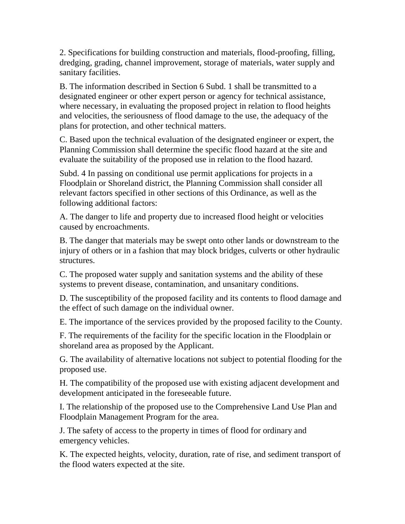2. Specifications for building construction and materials, flood-proofing, filling, dredging, grading, channel improvement, storage of materials, water supply and sanitary facilities.

B. The information described in Section 6 Subd. 1 shall be transmitted to a designated engineer or other expert person or agency for technical assistance, where necessary, in evaluating the proposed project in relation to flood heights and velocities, the seriousness of flood damage to the use, the adequacy of the plans for protection, and other technical matters.

C. Based upon the technical evaluation of the designated engineer or expert, the Planning Commission shall determine the specific flood hazard at the site and evaluate the suitability of the proposed use in relation to the flood hazard.

Subd. 4 In passing on conditional use permit applications for projects in a Floodplain or Shoreland district, the Planning Commission shall consider all relevant factors specified in other sections of this Ordinance, as well as the following additional factors:

A. The danger to life and property due to increased flood height or velocities caused by encroachments.

B. The danger that materials may be swept onto other lands or downstream to the injury of others or in a fashion that may block bridges, culverts or other hydraulic structures.

C. The proposed water supply and sanitation systems and the ability of these systems to prevent disease, contamination, and unsanitary conditions.

D. The susceptibility of the proposed facility and its contents to flood damage and the effect of such damage on the individual owner.

E. The importance of the services provided by the proposed facility to the County.

F. The requirements of the facility for the specific location in the Floodplain or shoreland area as proposed by the Applicant.

G. The availability of alternative locations not subject to potential flooding for the proposed use.

H. The compatibility of the proposed use with existing adjacent development and development anticipated in the foreseeable future.

I. The relationship of the proposed use to the Comprehensive Land Use Plan and Floodplain Management Program for the area.

J. The safety of access to the property in times of flood for ordinary and emergency vehicles.

K. The expected heights, velocity, duration, rate of rise, and sediment transport of the flood waters expected at the site.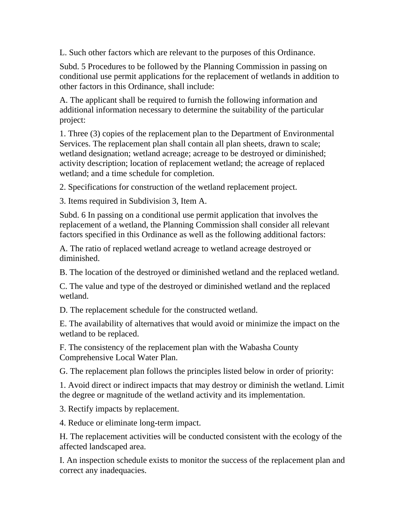L. Such other factors which are relevant to the purposes of this Ordinance.

Subd. 5 Procedures to be followed by the Planning Commission in passing on conditional use permit applications for the replacement of wetlands in addition to other factors in this Ordinance, shall include:

A. The applicant shall be required to furnish the following information and additional information necessary to determine the suitability of the particular project:

1. Three (3) copies of the replacement plan to the Department of Environmental Services. The replacement plan shall contain all plan sheets, drawn to scale; wetland designation; wetland acreage; acreage to be destroyed or diminished; activity description; location of replacement wetland; the acreage of replaced wetland; and a time schedule for completion.

2. Specifications for construction of the wetland replacement project.

3. Items required in Subdivision 3, Item A.

Subd. 6 In passing on a conditional use permit application that involves the replacement of a wetland, the Planning Commission shall consider all relevant factors specified in this Ordinance as well as the following additional factors:

A. The ratio of replaced wetland acreage to wetland acreage destroyed or diminished.

B. The location of the destroyed or diminished wetland and the replaced wetland.

C. The value and type of the destroyed or diminished wetland and the replaced wetland.

D. The replacement schedule for the constructed wetland.

E. The availability of alternatives that would avoid or minimize the impact on the wetland to be replaced.

F. The consistency of the replacement plan with the Wabasha County Comprehensive Local Water Plan.

G. The replacement plan follows the principles listed below in order of priority:

1. Avoid direct or indirect impacts that may destroy or diminish the wetland. Limit the degree or magnitude of the wetland activity and its implementation.

3. Rectify impacts by replacement.

4. Reduce or eliminate long-term impact.

H. The replacement activities will be conducted consistent with the ecology of the affected landscaped area.

I. An inspection schedule exists to monitor the success of the replacement plan and correct any inadequacies.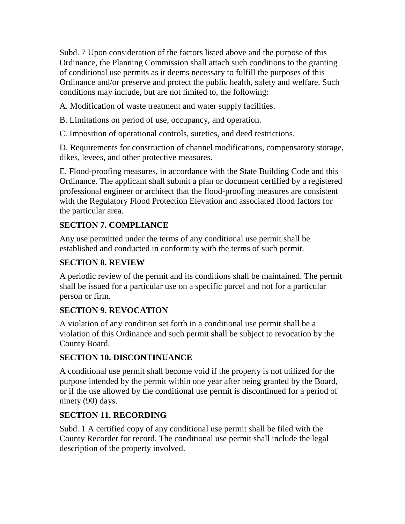Subd. 7 Upon consideration of the factors listed above and the purpose of this Ordinance, the Planning Commission shall attach such conditions to the granting of conditional use permits as it deems necessary to fulfill the purposes of this Ordinance and/or preserve and protect the public health, safety and welfare. Such conditions may include, but are not limited to, the following:

A. Modification of waste treatment and water supply facilities.

B. Limitations on period of use, occupancy, and operation.

C. Imposition of operational controls, sureties, and deed restrictions.

D. Requirements for construction of channel modifications, compensatory storage, dikes, levees, and other protective measures.

E. Flood-proofing measures, in accordance with the State Building Code and this Ordinance. The applicant shall submit a plan or document certified by a registered professional engineer or architect that the flood-proofing measures are consistent with the Regulatory Flood Protection Elevation and associated flood factors for the particular area.

### **SECTION 7. COMPLIANCE**

Any use permitted under the terms of any conditional use permit shall be established and conducted in conformity with the terms of such permit.

### **SECTION 8. REVIEW**

A periodic review of the permit and its conditions shall be maintained. The permit shall be issued for a particular use on a specific parcel and not for a particular person or firm.

### **SECTION 9. REVOCATION**

A violation of any condition set forth in a conditional use permit shall be a violation of this Ordinance and such permit shall be subject to revocation by the County Board.

### **SECTION 10. DISCONTINUANCE**

A conditional use permit shall become void if the property is not utilized for the purpose intended by the permit within one year after being granted by the Board, or if the use allowed by the conditional use permit is discontinued for a period of ninety (90) days.

### **SECTION 11. RECORDING**

Subd. 1 A certified copy of any conditional use permit shall be filed with the County Recorder for record. The conditional use permit shall include the legal description of the property involved.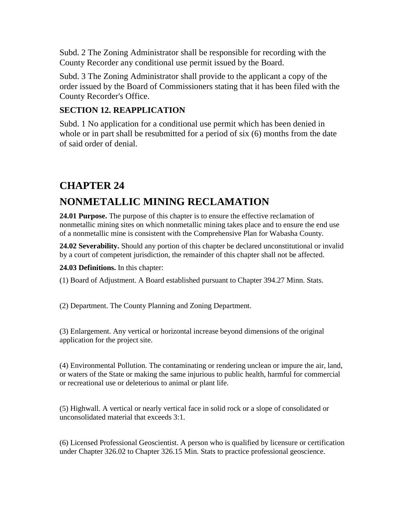Subd. 2 The Zoning Administrator shall be responsible for recording with the County Recorder any conditional use permit issued by the Board.

Subd. 3 The Zoning Administrator shall provide to the applicant a copy of the order issued by the Board of Commissioners stating that it has been filed with the County Recorder's Office.

#### **SECTION 12. REAPPLICATION**

Subd. 1 No application for a conditional use permit which has been denied in whole or in part shall be resubmitted for a period of six (6) months from the date of said order of denial.

## **CHAPTER 24**

## **NONMETALLIC MINING RECLAMATION**

**24.01 Purpose.** The purpose of this chapter is to ensure the effective reclamation of nonmetallic mining sites on which nonmetallic mining takes place and to ensure the end use of a nonmetallic mine is consistent with the Comprehensive Plan for Wabasha County.

**24.02 Severability.** Should any portion of this chapter be declared unconstitutional or invalid by a court of competent jurisdiction, the remainder of this chapter shall not be affected.

**24.03 Definitions.** In this chapter:

(1) Board of Adjustment. A Board established pursuant to Chapter 394.27 Minn. Stats.

(2) Department. The County Planning and Zoning Department.

(3) Enlargement. Any vertical or horizontal increase beyond dimensions of the original application for the project site.

(4) Environmental Pollution. The contaminating or rendering unclean or impure the air, land, or waters of the State or making the same injurious to public health, harmful for commercial or recreational use or deleterious to animal or plant life.

(5) Highwall. A vertical or nearly vertical face in solid rock or a slope of consolidated or unconsolidated material that exceeds 3:1.

(6) Licensed Professional Geoscientist. A person who is qualified by licensure or certification under Chapter 326.02 to Chapter 326.15 Min. Stats to practice professional geoscience.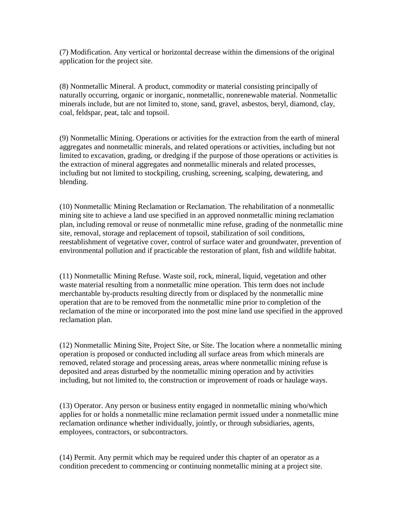(7) Modification. Any vertical or horizontal decrease within the dimensions of the original application for the project site.

(8) Nonmetallic Mineral. A product, commodity or material consisting principally of naturally occurring, organic or inorganic, nonmetallic, nonrenewable material. Nonmetallic minerals include, but are not limited to, stone, sand, gravel, asbestos, beryl, diamond, clay, coal, feldspar, peat, talc and topsoil.

(9) Nonmetallic Mining. Operations or activities for the extraction from the earth of mineral aggregates and nonmetallic minerals, and related operations or activities, including but not limited to excavation, grading, or dredging if the purpose of those operations or activities is the extraction of mineral aggregates and nonmetallic minerals and related processes, including but not limited to stockpiling, crushing, screening, scalping, dewatering, and blending.

(10) Nonmetallic Mining Reclamation or Reclamation. The rehabilitation of a nonmetallic mining site to achieve a land use specified in an approved nonmetallic mining reclamation plan, including removal or reuse of nonmetallic mine refuse, grading of the nonmetallic mine site, removal, storage and replacement of topsoil, stabilization of soil conditions, reestablishment of vegetative cover, control of surface water and groundwater, prevention of environmental pollution and if practicable the restoration of plant, fish and wildlife habitat.

(11) Nonmetallic Mining Refuse. Waste soil, rock, mineral, liquid, vegetation and other waste material resulting from a nonmetallic mine operation. This term does not include merchantable by-products resulting directly from or displaced by the nonmetallic mine operation that are to be removed from the nonmetallic mine prior to completion of the reclamation of the mine or incorporated into the post mine land use specified in the approved reclamation plan.

(12) Nonmetallic Mining Site, Project Site, or Site. The location where a nonmetallic mining operation is proposed or conducted including all surface areas from which minerals are removed, related storage and processing areas, areas where nonmetallic mining refuse is deposited and areas disturbed by the nonmetallic mining operation and by activities including, but not limited to, the construction or improvement of roads or haulage ways.

(13) Operator. Any person or business entity engaged in nonmetallic mining who/which applies for or holds a nonmetallic mine reclamation permit issued under a nonmetallic mine reclamation ordinance whether individually, jointly, or through subsidiaries, agents, employees, contractors, or subcontractors.

(14) Permit. Any permit which may be required under this chapter of an operator as a condition precedent to commencing or continuing nonmetallic mining at a project site.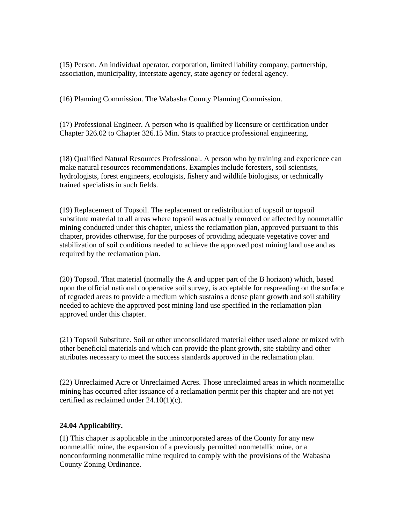(15) Person. An individual operator, corporation, limited liability company, partnership, association, municipality, interstate agency, state agency or federal agency.

(16) Planning Commission. The Wabasha County Planning Commission.

(17) Professional Engineer. A person who is qualified by licensure or certification under Chapter 326.02 to Chapter 326.15 Min. Stats to practice professional engineering.

(18) Qualified Natural Resources Professional. A person who by training and experience can make natural resources recommendations. Examples include foresters, soil scientists, hydrologists, forest engineers, ecologists, fishery and wildlife biologists, or technically trained specialists in such fields.

(19) Replacement of Topsoil. The replacement or redistribution of topsoil or topsoil substitute material to all areas where topsoil was actually removed or affected by nonmetallic mining conducted under this chapter, unless the reclamation plan, approved pursuant to this chapter, provides otherwise, for the purposes of providing adequate vegetative cover and stabilization of soil conditions needed to achieve the approved post mining land use and as required by the reclamation plan.

(20) Topsoil. That material (normally the A and upper part of the B horizon) which, based upon the official national cooperative soil survey, is acceptable for respreading on the surface of regraded areas to provide a medium which sustains a dense plant growth and soil stability needed to achieve the approved post mining land use specified in the reclamation plan approved under this chapter.

(21) Topsoil Substitute. Soil or other unconsolidated material either used alone or mixed with other beneficial materials and which can provide the plant growth, site stability and other attributes necessary to meet the success standards approved in the reclamation plan.

(22) Unreclaimed Acre or Unreclaimed Acres. Those unreclaimed areas in which nonmetallic mining has occurred after issuance of a reclamation permit per this chapter and are not yet certified as reclaimed under 24.10(1)(c).

## **24.04 Applicability.**

(1) This chapter is applicable in the unincorporated areas of the County for any new nonmetallic mine, the expansion of a previously permitted nonmetallic mine, or a nonconforming nonmetallic mine required to comply with the provisions of the Wabasha County Zoning Ordinance.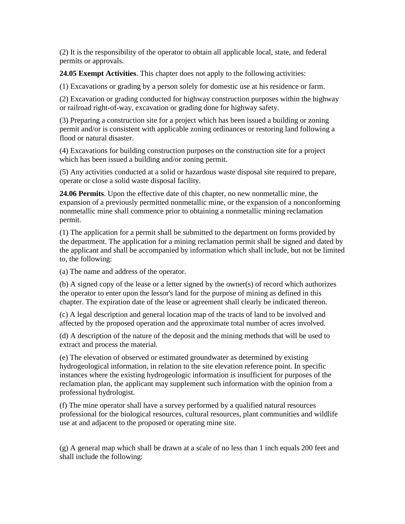(2) It is the responsibility of the operator to obtain all applicable local, state, and federal permits or approvals.

**24.05 Exempt Activities**. This chapter does not apply to the following activities:

(1) Excavations or grading by a person solely for domestic use at his residence or farm.

(2) Excavation or grading conducted for highway construction purposes within the highway or railroad right-of-way, excavation or grading done for highway safety.

(3) Preparing a construction site for a project which has been issued a building or zoning permit and/or is consistent with applicable zoning ordinances or restoring land following a flood or natural disaster.

(4) Excavations for building construction purposes on the construction site for a project which has been issued a building and/or zoning permit.

(5) Any activities conducted at a solid or hazardous waste disposal site required to prepare, operate or close a solid waste disposal facility.

**24.06 Permits**. Upon the effective date of this chapter, no new nonmetallic mine, the expansion of a previously permitted nonmetallic mine, or the expansion of a nonconforming nonmetallic mine shall commence prior to obtaining a nonmetallic mining reclamation permit.

(1) The application for a permit shall be submitted to the department on forms provided by the department. The application for a mining reclamation permit shall be signed and dated by the applicant and shall be accompanied by information which shall include, but not be limited to, the following:

(a) The name and address of the operator.

(b) A signed copy of the lease or a letter signed by the owner(s) of record which authorizes the operator to enter upon the lessor's land for the purpose of mining as defined in this chapter. The expiration date of the lease or agreement shall clearly be indicated thereon.

(c) A legal description and general location map of the tracts of land to be involved and affected by the proposed operation and the approximate total number of acres involved.

(d) A description of the nature of the deposit and the mining methods that will be used to extract and process the material.

(e) The elevation of observed or estimated groundwater as determined by existing hydrogeological information, in relation to the site elevation reference point. In specific instances where the existing hydrogeologic information is insufficient for purposes of the reclamation plan, the applicant may supplement such information with the opinion from a professional hydrologist.

(f) The mine operator shall have a survey performed by a qualified natural resources professional for the biological resources, cultural resources, plant communities and wildlife use at and adjacent to the proposed or operating mine site.

(g) A general map which shall be drawn at a scale of no less than 1 inch equals 200 feet and shall include the following: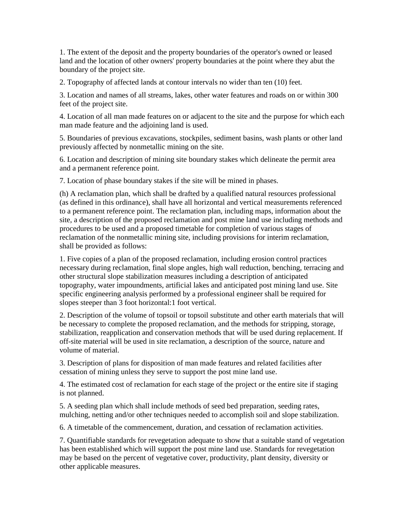1. The extent of the deposit and the property boundaries of the operator's owned or leased land and the location of other owners' property boundaries at the point where they abut the boundary of the project site.

2. Topography of affected lands at contour intervals no wider than ten (10) feet.

3. Location and names of all streams, lakes, other water features and roads on or within 300 feet of the project site.

4. Location of all man made features on or adjacent to the site and the purpose for which each man made feature and the adjoining land is used.

5. Boundaries of previous excavations, stockpiles, sediment basins, wash plants or other land previously affected by nonmetallic mining on the site.

6. Location and description of mining site boundary stakes which delineate the permit area and a permanent reference point.

7. Location of phase boundary stakes if the site will be mined in phases.

(h) A reclamation plan, which shall be drafted by a qualified natural resources professional (as defined in this ordinance), shall have all horizontal and vertical measurements referenced to a permanent reference point. The reclamation plan, including maps, information about the site, a description of the proposed reclamation and post mine land use including methods and procedures to be used and a proposed timetable for completion of various stages of reclamation of the nonmetallic mining site, including provisions for interim reclamation, shall be provided as follows:

1. Five copies of a plan of the proposed reclamation, including erosion control practices necessary during reclamation, final slope angles, high wall reduction, benching, terracing and other structural slope stabilization measures including a description of anticipated topography, water impoundments, artificial lakes and anticipated post mining land use. Site specific engineering analysis performed by a professional engineer shall be required for slopes steeper than 3 foot horizontal:1 foot vertical.

2. Description of the volume of topsoil or topsoil substitute and other earth materials that will be necessary to complete the proposed reclamation, and the methods for stripping, storage, stabilization, reapplication and conservation methods that will be used during replacement. If off-site material will be used in site reclamation, a description of the source, nature and volume of material.

3. Description of plans for disposition of man made features and related facilities after cessation of mining unless they serve to support the post mine land use.

4. The estimated cost of reclamation for each stage of the project or the entire site if staging is not planned.

5. A seeding plan which shall include methods of seed bed preparation, seeding rates, mulching, netting and/or other techniques needed to accomplish soil and slope stabilization.

6. A timetable of the commencement, duration, and cessation of reclamation activities.

7. Quantifiable standards for revegetation adequate to show that a suitable stand of vegetation has been established which will support the post mine land use. Standards for revegetation may be based on the percent of vegetative cover, productivity, plant density, diversity or other applicable measures.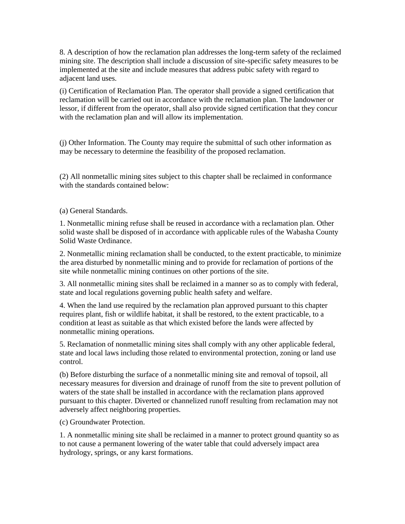8. A description of how the reclamation plan addresses the long-term safety of the reclaimed mining site. The description shall include a discussion of site-specific safety measures to be implemented at the site and include measures that address pubic safety with regard to adjacent land uses.

(i) Certification of Reclamation Plan. The operator shall provide a signed certification that reclamation will be carried out in accordance with the reclamation plan. The landowner or lessor, if different from the operator, shall also provide signed certification that they concur with the reclamation plan and will allow its implementation.

(j) Other Information. The County may require the submittal of such other information as may be necessary to determine the feasibility of the proposed reclamation.

(2) All nonmetallic mining sites subject to this chapter shall be reclaimed in conformance with the standards contained below:

(a) General Standards.

1. Nonmetallic mining refuse shall be reused in accordance with a reclamation plan. Other solid waste shall be disposed of in accordance with applicable rules of the Wabasha County Solid Waste Ordinance.

2. Nonmetallic mining reclamation shall be conducted, to the extent practicable, to minimize the area disturbed by nonmetallic mining and to provide for reclamation of portions of the site while nonmetallic mining continues on other portions of the site.

3. All nonmetallic mining sites shall be reclaimed in a manner so as to comply with federal, state and local regulations governing public health safety and welfare.

4. When the land use required by the reclamation plan approved pursuant to this chapter requires plant, fish or wildlife habitat, it shall be restored, to the extent practicable, to a condition at least as suitable as that which existed before the lands were affected by nonmetallic mining operations.

5. Reclamation of nonmetallic mining sites shall comply with any other applicable federal, state and local laws including those related to environmental protection, zoning or land use control.

(b) Before disturbing the surface of a nonmetallic mining site and removal of topsoil, all necessary measures for diversion and drainage of runoff from the site to prevent pollution of waters of the state shall be installed in accordance with the reclamation plans approved pursuant to this chapter. Diverted or channelized runoff resulting from reclamation may not adversely affect neighboring properties.

(c) Groundwater Protection.

1. A nonmetallic mining site shall be reclaimed in a manner to protect ground quantity so as to not cause a permanent lowering of the water table that could adversely impact area hydrology, springs, or any karst formations.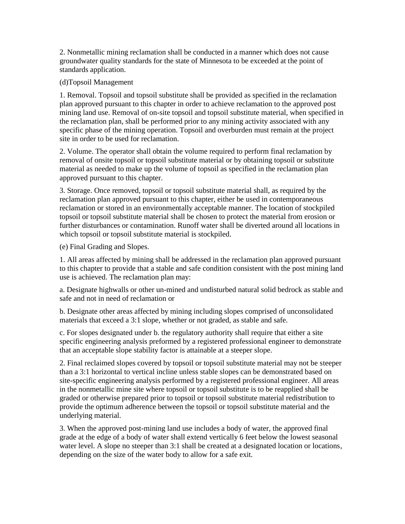2. Nonmetallic mining reclamation shall be conducted in a manner which does not cause groundwater quality standards for the state of Minnesota to be exceeded at the point of standards application.

(d)Topsoil Management

1. Removal. Topsoil and topsoil substitute shall be provided as specified in the reclamation plan approved pursuant to this chapter in order to achieve reclamation to the approved post mining land use. Removal of on-site topsoil and topsoil substitute material, when specified in the reclamation plan, shall be performed prior to any mining activity associated with any specific phase of the mining operation. Topsoil and overburden must remain at the project site in order to be used for reclamation.

2. Volume. The operator shall obtain the volume required to perform final reclamation by removal of onsite topsoil or topsoil substitute material or by obtaining topsoil or substitute material as needed to make up the volume of topsoil as specified in the reclamation plan approved pursuant to this chapter.

3. Storage. Once removed, topsoil or topsoil substitute material shall, as required by the reclamation plan approved pursuant to this chapter, either be used in contemporaneous reclamation or stored in an environmentally acceptable manner. The location of stockpiled topsoil or topsoil substitute material shall be chosen to protect the material from erosion or further disturbances or contamination. Runoff water shall be diverted around all locations in which topsoil or topsoil substitute material is stockpiled.

(e) Final Grading and Slopes.

1. All areas affected by mining shall be addressed in the reclamation plan approved pursuant to this chapter to provide that a stable and safe condition consistent with the post mining land use is achieved. The reclamation plan may:

a. Designate highwalls or other un-mined and undisturbed natural solid bedrock as stable and safe and not in need of reclamation or

b. Designate other areas affected by mining including slopes comprised of unconsolidated materials that exceed a 3:1 slope, whether or not graded, as stable and safe.

c. For slopes designated under b. the regulatory authority shall require that either a site specific engineering analysis preformed by a registered professional engineer to demonstrate that an acceptable slope stability factor is attainable at a steeper slope.

2. Final reclaimed slopes covered by topsoil or topsoil substitute material may not be steeper than a 3:1 horizontal to vertical incline unless stable slopes can be demonstrated based on site-specific engineering analysis performed by a registered professional engineer. All areas in the nonmetallic mine site where topsoil or topsoil substitute is to be reapplied shall be graded or otherwise prepared prior to topsoil or topsoil substitute material redistribution to provide the optimum adherence between the topsoil or topsoil substitute material and the underlying material.

3. When the approved post-mining land use includes a body of water, the approved final grade at the edge of a body of water shall extend vertically 6 feet below the lowest seasonal water level. A slope no steeper than 3:1 shall be created at a designated location or locations, depending on the size of the water body to allow for a safe exit.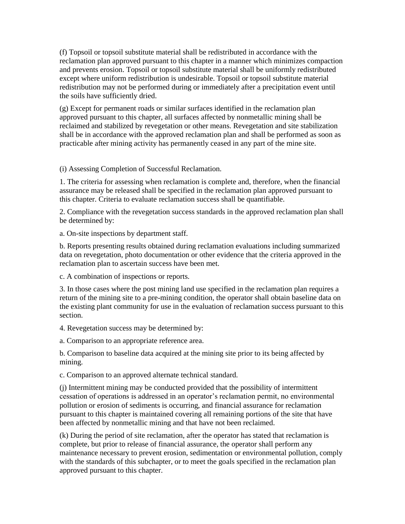(f) Topsoil or topsoil substitute material shall be redistributed in accordance with the reclamation plan approved pursuant to this chapter in a manner which minimizes compaction and prevents erosion. Topsoil or topsoil substitute material shall be uniformly redistributed except where uniform redistribution is undesirable. Topsoil or topsoil substitute material redistribution may not be performed during or immediately after a precipitation event until the soils have sufficiently dried.

(g) Except for permanent roads or similar surfaces identified in the reclamation plan approved pursuant to this chapter, all surfaces affected by nonmetallic mining shall be reclaimed and stabilized by revegetation or other means. Revegetation and site stabilization shall be in accordance with the approved reclamation plan and shall be performed as soon as practicable after mining activity has permanently ceased in any part of the mine site.

(i) Assessing Completion of Successful Reclamation.

1. The criteria for assessing when reclamation is complete and, therefore, when the financial assurance may be released shall be specified in the reclamation plan approved pursuant to this chapter. Criteria to evaluate reclamation success shall be quantifiable.

2. Compliance with the revegetation success standards in the approved reclamation plan shall be determined by:

a. On-site inspections by department staff.

b. Reports presenting results obtained during reclamation evaluations including summarized data on revegetation, photo documentation or other evidence that the criteria approved in the reclamation plan to ascertain success have been met.

c. A combination of inspections or reports.

3. In those cases where the post mining land use specified in the reclamation plan requires a return of the mining site to a pre-mining condition, the operator shall obtain baseline data on the existing plant community for use in the evaluation of reclamation success pursuant to this section.

4. Revegetation success may be determined by:

a. Comparison to an appropriate reference area.

b. Comparison to baseline data acquired at the mining site prior to its being affected by mining.

c. Comparison to an approved alternate technical standard.

(j) Intermittent mining may be conducted provided that the possibility of intermittent cessation of operations is addressed in an operator's reclamation permit, no environmental pollution or erosion of sediments is occurring, and financial assurance for reclamation pursuant to this chapter is maintained covering all remaining portions of the site that have been affected by nonmetallic mining and that have not been reclaimed.

(k) During the period of site reclamation, after the operator has stated that reclamation is complete, but prior to release of financial assurance, the operator shall perform any maintenance necessary to prevent erosion, sedimentation or environmental pollution, comply with the standards of this subchapter, or to meet the goals specified in the reclamation plan approved pursuant to this chapter.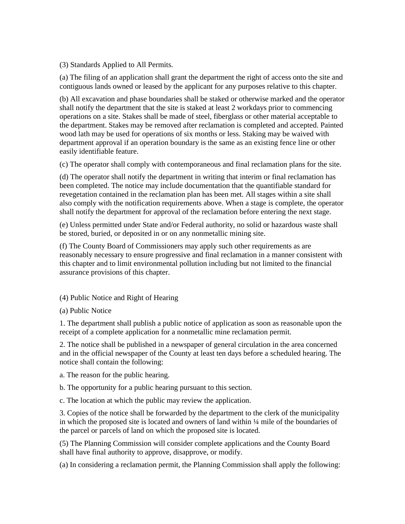(3) Standards Applied to All Permits.

(a) The filing of an application shall grant the department the right of access onto the site and contiguous lands owned or leased by the applicant for any purposes relative to this chapter.

(b) All excavation and phase boundaries shall be staked or otherwise marked and the operator shall notify the department that the site is staked at least 2 workdays prior to commencing operations on a site. Stakes shall be made of steel, fiberglass or other material acceptable to the department. Stakes may be removed after reclamation is completed and accepted. Painted wood lath may be used for operations of six months or less. Staking may be waived with department approval if an operation boundary is the same as an existing fence line or other easily identifiable feature.

(c) The operator shall comply with contemporaneous and final reclamation plans for the site.

(d) The operator shall notify the department in writing that interim or final reclamation has been completed. The notice may include documentation that the quantifiable standard for revegetation contained in the reclamation plan has been met. All stages within a site shall also comply with the notification requirements above. When a stage is complete, the operator shall notify the department for approval of the reclamation before entering the next stage.

(e) Unless permitted under State and/or Federal authority, no solid or hazardous waste shall be stored, buried, or deposited in or on any nonmetallic mining site.

(f) The County Board of Commissioners may apply such other requirements as are reasonably necessary to ensure progressive and final reclamation in a manner consistent with this chapter and to limit environmental pollution including but not limited to the financial assurance provisions of this chapter.

## (4) Public Notice and Right of Hearing

(a) Public Notice

1. The department shall publish a public notice of application as soon as reasonable upon the receipt of a complete application for a nonmetallic mine reclamation permit.

2. The notice shall be published in a newspaper of general circulation in the area concerned and in the official newspaper of the County at least ten days before a scheduled hearing. The notice shall contain the following:

a. The reason for the public hearing.

b. The opportunity for a public hearing pursuant to this section.

c. The location at which the public may review the application.

3. Copies of the notice shall be forwarded by the department to the clerk of the municipality in which the proposed site is located and owners of land within ¼ mile of the boundaries of the parcel or parcels of land on which the proposed site is located.

(5) The Planning Commission will consider complete applications and the County Board shall have final authority to approve, disapprove, or modify.

(a) In considering a reclamation permit, the Planning Commission shall apply the following: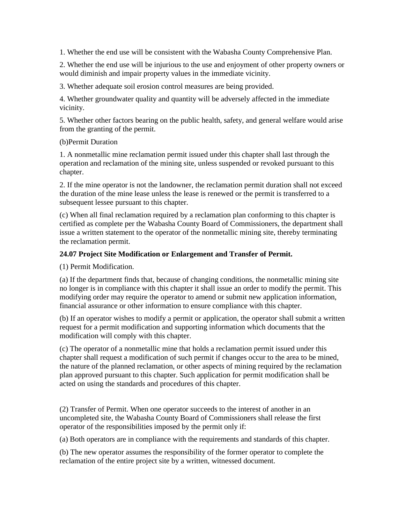1. Whether the end use will be consistent with the Wabasha County Comprehensive Plan.

2. Whether the end use will be injurious to the use and enjoyment of other property owners or would diminish and impair property values in the immediate vicinity.

3. Whether adequate soil erosion control measures are being provided.

4. Whether groundwater quality and quantity will be adversely affected in the immediate vicinity.

5. Whether other factors bearing on the public health, safety, and general welfare would arise from the granting of the permit.

#### (b)Permit Duration

1. A nonmetallic mine reclamation permit issued under this chapter shall last through the operation and reclamation of the mining site, unless suspended or revoked pursuant to this chapter.

2. If the mine operator is not the landowner, the reclamation permit duration shall not exceed the duration of the mine lease unless the lease is renewed or the permit is transferred to a subsequent lessee pursuant to this chapter.

(c) When all final reclamation required by a reclamation plan conforming to this chapter is certified as complete per the Wabasha County Board of Commissioners, the department shall issue a written statement to the operator of the nonmetallic mining site, thereby terminating the reclamation permit.

## **24.07 Project Site Modification or Enlargement and Transfer of Permit.**

(1) Permit Modification.

(a) If the department finds that, because of changing conditions, the nonmetallic mining site no longer is in compliance with this chapter it shall issue an order to modify the permit. This modifying order may require the operator to amend or submit new application information, financial assurance or other information to ensure compliance with this chapter.

(b) If an operator wishes to modify a permit or application, the operator shall submit a written request for a permit modification and supporting information which documents that the modification will comply with this chapter.

(c) The operator of a nonmetallic mine that holds a reclamation permit issued under this chapter shall request a modification of such permit if changes occur to the area to be mined, the nature of the planned reclamation, or other aspects of mining required by the reclamation plan approved pursuant to this chapter. Such application for permit modification shall be acted on using the standards and procedures of this chapter.

(2) Transfer of Permit. When one operator succeeds to the interest of another in an uncompleted site, the Wabasha County Board of Commissioners shall release the first operator of the responsibilities imposed by the permit only if:

(a) Both operators are in compliance with the requirements and standards of this chapter.

(b) The new operator assumes the responsibility of the former operator to complete the reclamation of the entire project site by a written, witnessed document.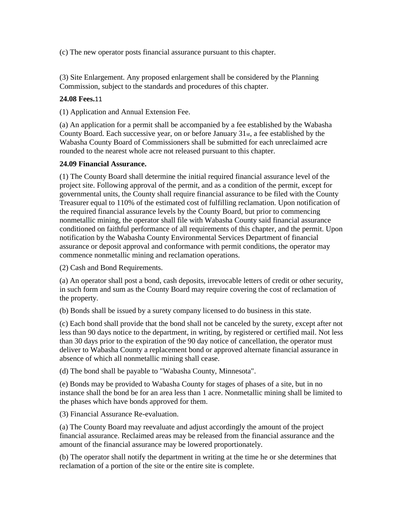(c) The new operator posts financial assurance pursuant to this chapter.

(3) Site Enlargement. Any proposed enlargement shall be considered by the Planning Commission, subject to the standards and procedures of this chapter.

## **24.08 Fees.**11

(1) Application and Annual Extension Fee.

(a) An application for a permit shall be accompanied by a fee established by the Wabasha County Board. Each successive year, on or before January 31st, a fee established by the Wabasha County Board of Commissioners shall be submitted for each unreclaimed acre rounded to the nearest whole acre not released pursuant to this chapter.

## **24.09 Financial Assurance.**

(1) The County Board shall determine the initial required financial assurance level of the project site. Following approval of the permit, and as a condition of the permit, except for governmental units, the County shall require financial assurance to be filed with the County Treasurer equal to 110% of the estimated cost of fulfilling reclamation. Upon notification of the required financial assurance levels by the County Board, but prior to commencing nonmetallic mining, the operator shall file with Wabasha County said financial assurance conditioned on faithful performance of all requirements of this chapter, and the permit. Upon notification by the Wabasha County Environmental Services Department of financial assurance or deposit approval and conformance with permit conditions, the operator may commence nonmetallic mining and reclamation operations.

(2) Cash and Bond Requirements.

(a) An operator shall post a bond, cash deposits, irrevocable letters of credit or other security, in such form and sum as the County Board may require covering the cost of reclamation of the property.

(b) Bonds shall be issued by a surety company licensed to do business in this state.

(c) Each bond shall provide that the bond shall not be canceled by the surety, except after not less than 90 days notice to the department, in writing, by registered or certified mail. Not less than 30 days prior to the expiration of the 90 day notice of cancellation, the operator must deliver to Wabasha County a replacement bond or approved alternate financial assurance in absence of which all nonmetallic mining shall cease.

(d) The bond shall be payable to "Wabasha County, Minnesota".

(e) Bonds may be provided to Wabasha County for stages of phases of a site, but in no instance shall the bond be for an area less than 1 acre. Nonmetallic mining shall be limited to the phases which have bonds approved for them.

(3) Financial Assurance Re-evaluation.

(a) The County Board may reevaluate and adjust accordingly the amount of the project financial assurance. Reclaimed areas may be released from the financial assurance and the amount of the financial assurance may be lowered proportionately.

(b) The operator shall notify the department in writing at the time he or she determines that reclamation of a portion of the site or the entire site is complete.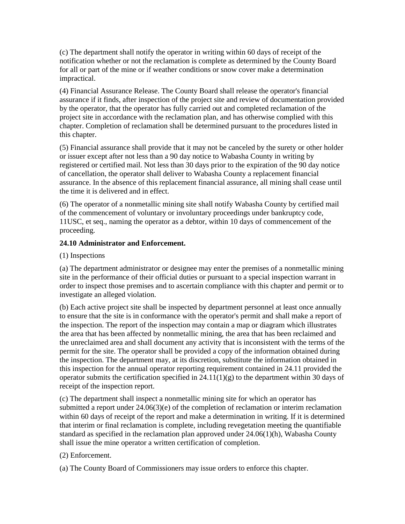(c) The department shall notify the operator in writing within 60 days of receipt of the notification whether or not the reclamation is complete as determined by the County Board for all or part of the mine or if weather conditions or snow cover make a determination impractical.

(4) Financial Assurance Release. The County Board shall release the operator's financial assurance if it finds, after inspection of the project site and review of documentation provided by the operator, that the operator has fully carried out and completed reclamation of the project site in accordance with the reclamation plan, and has otherwise complied with this chapter. Completion of reclamation shall be determined pursuant to the procedures listed in this chapter.

(5) Financial assurance shall provide that it may not be canceled by the surety or other holder or issuer except after not less than a 90 day notice to Wabasha County in writing by registered or certified mail. Not less than 30 days prior to the expiration of the 90 day notice of cancellation, the operator shall deliver to Wabasha County a replacement financial assurance. In the absence of this replacement financial assurance, all mining shall cease until the time it is delivered and in effect.

(6) The operator of a nonmetallic mining site shall notify Wabasha County by certified mail of the commencement of voluntary or involuntary proceedings under bankruptcy code, 11USC, et seq., naming the operator as a debtor, within 10 days of commencement of the proceeding.

## **24.10 Administrator and Enforcement.**

(1) Inspections

(a) The department administrator or designee may enter the premises of a nonmetallic mining site in the performance of their official duties or pursuant to a special inspection warrant in order to inspect those premises and to ascertain compliance with this chapter and permit or to investigate an alleged violation.

(b) Each active project site shall be inspected by department personnel at least once annually to ensure that the site is in conformance with the operator's permit and shall make a report of the inspection. The report of the inspection may contain a map or diagram which illustrates the area that has been affected by nonmetallic mining, the area that has been reclaimed and the unreclaimed area and shall document any activity that is inconsistent with the terms of the permit for the site. The operator shall be provided a copy of the information obtained during the inspection. The department may, at its discretion, substitute the information obtained in this inspection for the annual operator reporting requirement contained in 24.11 provided the operator submits the certification specified in  $24.11(1)(g)$  to the department within 30 days of receipt of the inspection report.

(c) The department shall inspect a nonmetallic mining site for which an operator has submitted a report under 24.06(3)(e) of the completion of reclamation or interim reclamation within 60 days of receipt of the report and make a determination in writing. If it is determined that interim or final reclamation is complete, including revegetation meeting the quantifiable standard as specified in the reclamation plan approved under  $24.06(1)(h)$ , Wabasha County shall issue the mine operator a written certification of completion.

#### (2) Enforcement.

(a) The County Board of Commissioners may issue orders to enforce this chapter.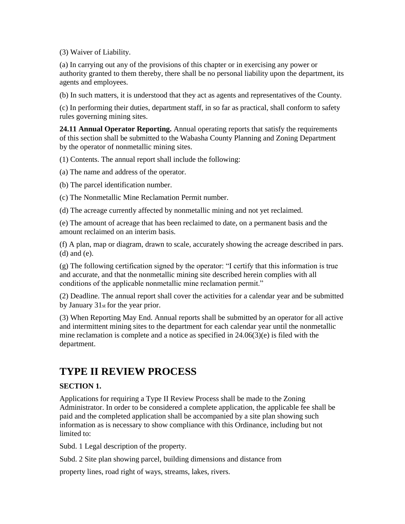(3) Waiver of Liability.

(a) In carrying out any of the provisions of this chapter or in exercising any power or authority granted to them thereby, there shall be no personal liability upon the department, its agents and employees.

(b) In such matters, it is understood that they act as agents and representatives of the County.

(c) In performing their duties, department staff, in so far as practical, shall conform to safety rules governing mining sites.

**24.11 Annual Operator Reporting.** Annual operating reports that satisfy the requirements of this section shall be submitted to the Wabasha County Planning and Zoning Department by the operator of nonmetallic mining sites.

(1) Contents. The annual report shall include the following:

(a) The name and address of the operator.

(b) The parcel identification number.

(c) The Nonmetallic Mine Reclamation Permit number.

(d) The acreage currently affected by nonmetallic mining and not yet reclaimed.

(e) The amount of acreage that has been reclaimed to date, on a permanent basis and the amount reclaimed on an interim basis.

(f) A plan, map or diagram, drawn to scale, accurately showing the acreage described in pars. (d) and (e).

(g) The following certification signed by the operator: "I certify that this information is true and accurate, and that the nonmetallic mining site described herein complies with all conditions of the applicable nonmetallic mine reclamation permit."

(2) Deadline. The annual report shall cover the activities for a calendar year and be submitted by January 31st for the year prior.

(3) When Reporting May End. Annual reports shall be submitted by an operator for all active and intermittent mining sites to the department for each calendar year until the nonmetallic mine reclamation is complete and a notice as specified in 24.06(3)(e) is filed with the department.

# **TYPE II REVIEW PROCESS**

## **SECTION 1.**

Applications for requiring a Type II Review Process shall be made to the Zoning Administrator. In order to be considered a complete application, the applicable fee shall be paid and the completed application shall be accompanied by a site plan showing such information as is necessary to show compliance with this Ordinance, including but not limited to:

Subd. 1 Legal description of the property.

Subd. 2 Site plan showing parcel, building dimensions and distance from

property lines, road right of ways, streams, lakes, rivers.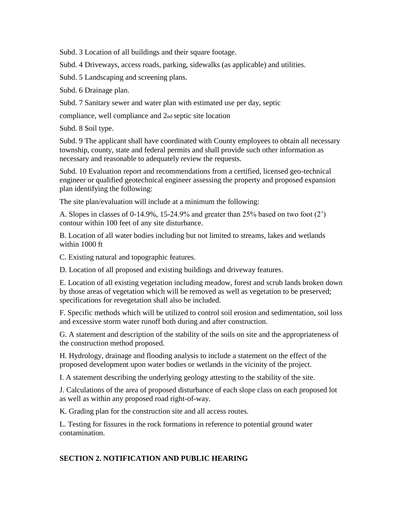Subd. 3 Location of all buildings and their square footage.

Subd. 4 Driveways, access roads, parking, sidewalks (as applicable) and utilities.

Subd. 5 Landscaping and screening plans.

Subd. 6 Drainage plan.

Subd. 7 Sanitary sewer and water plan with estimated use per day, septic

compliance, well compliance and 2nd septic site location

Subd. 8 Soil type.

Subd. 9 The applicant shall have coordinated with County employees to obtain all necessary township, county, state and federal permits and shall provide such other information as necessary and reasonable to adequately review the requests.

Subd. 10 Evaluation report and recommendations from a certified, licensed geo-technical engineer or qualified geotechnical engineer assessing the property and proposed expansion plan identifying the following:

The site plan/evaluation will include at a minimum the following:

A. Slopes in classes of 0-14.9%, 15-24.9% and greater than 25% based on two foot (2') contour within 100 feet of any site disturbance.

B. Location of all water bodies including but not limited to streams, lakes and wetlands within 1000 ft

C. Existing natural and topographic features.

D. Location of all proposed and existing buildings and driveway features.

E. Location of all existing vegetation including meadow, forest and scrub lands broken down by those areas of vegetation which will be removed as well as vegetation to be preserved; specifications for revegetation shall also be included.

F. Specific methods which will be utilized to control soil erosion and sedimentation, soil loss and excessive storm water runoff both during and after construction.

G. A statement and description of the stability of the soils on site and the appropriateness of the construction method proposed.

H. Hydrology, drainage and flooding analysis to include a statement on the effect of the proposed development upon water bodies or wetlands in the vicinity of the project.

I. A statement describing the underlying geology attesting to the stability of the site.

J. Calculations of the area of proposed disturbance of each slope class on each proposed lot as well as within any proposed road right-of-way.

K. Grading plan for the construction site and all access routes.

L. Testing for fissures in the rock formations in reference to potential ground water contamination.

## **SECTION 2. NOTIFICATION AND PUBLIC HEARING**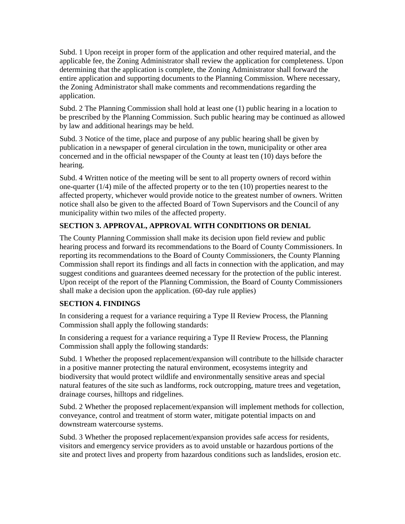Subd. 1 Upon receipt in proper form of the application and other required material, and the applicable fee, the Zoning Administrator shall review the application for completeness. Upon determining that the application is complete, the Zoning Administrator shall forward the entire application and supporting documents to the Planning Commission. Where necessary, the Zoning Administrator shall make comments and recommendations regarding the application.

Subd. 2 The Planning Commission shall hold at least one (1) public hearing in a location to be prescribed by the Planning Commission. Such public hearing may be continued as allowed by law and additional hearings may be held.

Subd. 3 Notice of the time, place and purpose of any public hearing shall be given by publication in a newspaper of general circulation in the town, municipality or other area concerned and in the official newspaper of the County at least ten (10) days before the hearing.

Subd. 4 Written notice of the meeting will be sent to all property owners of record within one-quarter  $(1/4)$  mile of the affected property or to the ten  $(10)$  properties nearest to the affected property, whichever would provide notice to the greatest number of owners. Written notice shall also be given to the affected Board of Town Supervisors and the Council of any municipality within two miles of the affected property.

# **SECTION 3. APPROVAL, APPROVAL WITH CONDITIONS OR DENIAL**

The County Planning Commission shall make its decision upon field review and public hearing process and forward its recommendations to the Board of County Commissioners. In reporting its recommendations to the Board of County Commissioners, the County Planning Commission shall report its findings and all facts in connection with the application, and may suggest conditions and guarantees deemed necessary for the protection of the public interest. Upon receipt of the report of the Planning Commission, the Board of County Commissioners shall make a decision upon the application. (60-day rule applies)

## **SECTION 4. FINDINGS**

In considering a request for a variance requiring a Type II Review Process, the Planning Commission shall apply the following standards:

In considering a request for a variance requiring a Type II Review Process, the Planning Commission shall apply the following standards:

Subd. 1 Whether the proposed replacement/expansion will contribute to the hillside character in a positive manner protecting the natural environment, ecosystems integrity and biodiversity that would protect wildlife and environmentally sensitive areas and special natural features of the site such as landforms, rock outcropping, mature trees and vegetation, drainage courses, hilltops and ridgelines.

Subd. 2 Whether the proposed replacement/expansion will implement methods for collection, conveyance, control and treatment of storm water, mitigate potential impacts on and downstream watercourse systems.

Subd. 3 Whether the proposed replacement/expansion provides safe access for residents, visitors and emergency service providers as to avoid unstable or hazardous portions of the site and protect lives and property from hazardous conditions such as landslides, erosion etc.